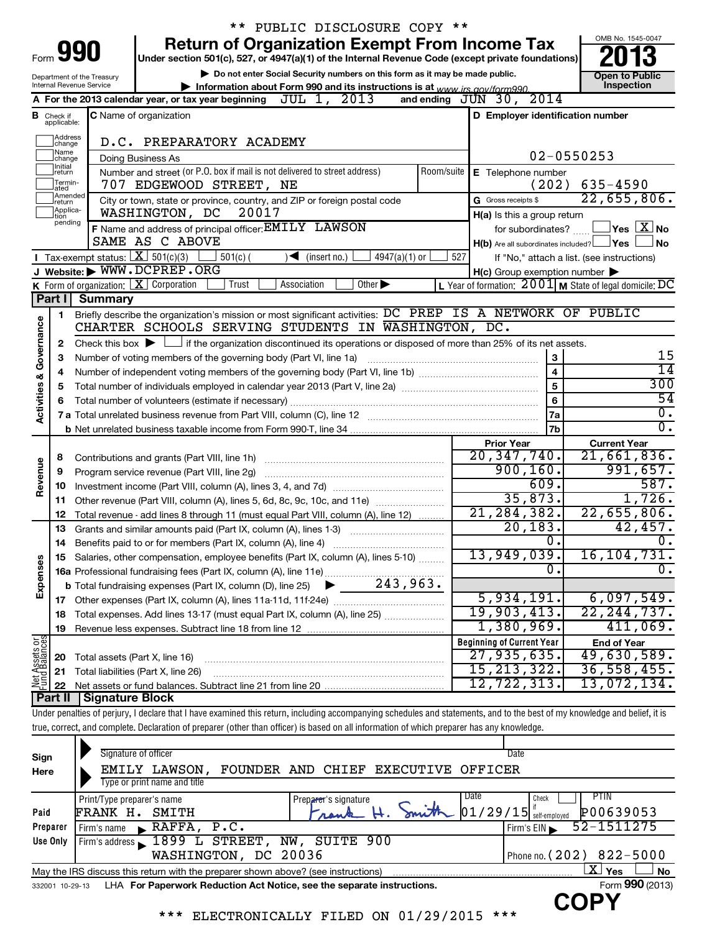|                                    |                                  |                                                                 | ** PUBLIC DISCLOSURE COPY **                                                                                                                                               |            |                                                         |                                                           |
|------------------------------------|----------------------------------|-----------------------------------------------------------------|----------------------------------------------------------------------------------------------------------------------------------------------------------------------------|------------|---------------------------------------------------------|-----------------------------------------------------------|
|                                    |                                  | Form 990                                                        | <b>Return of Organization Exempt From Income Tax</b><br>Under section 501(c), 527, or 4947(a)(1) of the Internal Revenue Code (except private foundations)                 |            |                                                         | OMB No. 1545-0047                                         |
|                                    |                                  | Department of the Treasury                                      | Do not enter Social Security numbers on this form as it may be made public.                                                                                                |            |                                                         | <b>Open to Public</b>                                     |
|                                    |                                  | Internal Revenue Service                                        | Information about Form 990 and its instructions is at www irs gov/form990                                                                                                  |            |                                                         | Inspection                                                |
|                                    |                                  |                                                                 | JUL 1, 2013<br>A For the 2013 calendar year, or tax year beginning                                                                                                         |            | 2014<br>and ending $J\bar{U}N$ 30,                      |                                                           |
|                                    | <b>B</b> Check if<br>applicable: |                                                                 | <b>C</b> Name of organization                                                                                                                                              |            | D Employer identification number                        |                                                           |
|                                    | Address<br>change                |                                                                 | D.C. PREPARATORY ACADEMY                                                                                                                                                   |            |                                                         |                                                           |
|                                    | 1Name<br>change                  |                                                                 | Doing Business As                                                                                                                                                          |            |                                                         | 02-0550253                                                |
|                                    | Initial<br>return                |                                                                 | Number and street (or P.O. box if mail is not delivered to street address)                                                                                                 | Room/suite | E Telephone number                                      |                                                           |
|                                    | Termin-<br>ated<br>Amended       |                                                                 | 707 EDGEWOOD STREET, NE                                                                                                                                                    |            | (202)                                                   | $635 - 4590$                                              |
|                                    | Ireturn<br>Applica-              |                                                                 | City or town, state or province, country, and ZIP or foreign postal code                                                                                                   |            | G Gross receipts \$                                     | 22,655,806.                                               |
|                                    | tion<br>pending                  |                                                                 | WASHINGTON, DC<br>20017                                                                                                                                                    |            | H(a) Is this a group return                             |                                                           |
|                                    |                                  |                                                                 | F Name and address of principal officer: EMILY LAWSON                                                                                                                      |            | for subordinates?                                       | $\Box$ Yes $\Box X$ No                                    |
|                                    |                                  |                                                                 | SAME AS C ABOVE                                                                                                                                                            |            | $H(b)$ Are all subordinates included? $\Box$ Yes $\Box$ | ⊿ No                                                      |
|                                    |                                  | Tax-exempt status: $X \over 301(c)(3)$                          | $4947(a)(1)$ or<br>$501(c)$ (<br>∖◀<br>(insert no.)                                                                                                                        | 527        |                                                         | If "No," attach a list. (see instructions)                |
|                                    |                                  |                                                                 | J Website: WWW.DCPREP.ORG                                                                                                                                                  |            | $H(c)$ Group exemption number $\blacktriangleright$     |                                                           |
|                                    |                                  | <b>K</b> Form of organization: $\boxed{\mathbf{X}}$ Corporation | Other $\blacktriangleright$<br>Trust<br>Association                                                                                                                        |            |                                                         | L Year of formation: $2001$ M State of legal domicile: DC |
|                                    | Part I                           | <b>Summary</b>                                                  |                                                                                                                                                                            |            |                                                         |                                                           |
|                                    | 1                                |                                                                 | Briefly describe the organization's mission or most significant activities: DC PREP IS A NETWORK OF PUBLIC                                                                 |            |                                                         |                                                           |
|                                    |                                  |                                                                 | CHARTER SCHOOLS SERVING STUDENTS IN WASHINGTON, DC.                                                                                                                        |            |                                                         |                                                           |
|                                    | 2                                |                                                                 | Check this box $\blacktriangleright$ $\Box$ if the organization discontinued its operations or disposed of more than 25% of its net assets.                                |            |                                                         |                                                           |
|                                    | 3                                |                                                                 | Number of voting members of the governing body (Part VI, line 1a)                                                                                                          |            | 3                                                       | 15<br>$\overline{14}$                                     |
| <b>Activities &amp; Governance</b> | 4                                |                                                                 |                                                                                                                                                                            |            | 4                                                       | 300                                                       |
|                                    | 5                                |                                                                 |                                                                                                                                                                            |            | 5                                                       | 54                                                        |
|                                    | 6                                |                                                                 |                                                                                                                                                                            |            | 6                                                       | $\overline{0}$ .                                          |
|                                    |                                  |                                                                 |                                                                                                                                                                            | 7a         | $\overline{0}$ .                                        |                                                           |
|                                    |                                  |                                                                 |                                                                                                                                                                            |            | 7b                                                      |                                                           |
|                                    |                                  |                                                                 |                                                                                                                                                                            |            | <b>Prior Year</b><br>20, 347, 740.                      | <b>Current Year</b><br>21,661,836.                        |
| Revenue                            | 8                                |                                                                 |                                                                                                                                                                            |            | 900, 160.                                               | 991,657.                                                  |
|                                    | 9                                |                                                                 |                                                                                                                                                                            |            | 609.                                                    | 587.                                                      |
|                                    | 10                               |                                                                 |                                                                                                                                                                            |            | 35,873.                                                 | 1,726.                                                    |
|                                    | 11<br>12                         |                                                                 | Other revenue (Part VIII, column (A), lines 5, 6d, 8c, 9c, 10c, and 11e)                                                                                                   |            | 21, 284, 382.                                           | 22,655,806.                                               |
|                                    | 13                               |                                                                 | Total revenue - add lines 8 through 11 (must equal Part VIII, column (A), line 12)<br>Grants and similar amounts paid (Part IX, column (A), lines 1-3)                     |            | 20, 183.                                                | 42,457.                                                   |
|                                    | 14                               |                                                                 | Benefits paid to or for members (Part IX, column (A), line 4)                                                                                                              |            | $\overline{0}$ .                                        | $\overline{\mathfrak{0}}$ .                               |
|                                    | 15                               |                                                                 | Salaries, other compensation, employee benefits (Part IX, column (A), lines 5-10)                                                                                          |            | 13,949,039.                                             | 16, 104, 731.                                             |
|                                    |                                  |                                                                 |                                                                                                                                                                            |            | 0.                                                      | $\overline{0}$ .                                          |
| Expenses                           |                                  |                                                                 |                                                                                                                                                                            |            |                                                         |                                                           |
|                                    | 17                               |                                                                 |                                                                                                                                                                            |            | 5,934,191.                                              | 6,097,549.                                                |
|                                    | 18                               |                                                                 | Total expenses. Add lines 13-17 (must equal Part IX, column (A), line 25)                                                                                                  |            | 19,903,413.                                             | 22, 244, 737.                                             |
|                                    | 19                               |                                                                 |                                                                                                                                                                            |            | 1,380,969.                                              | 411,069.                                                  |
|                                    |                                  |                                                                 |                                                                                                                                                                            |            | <b>Beginning of Current Year</b>                        | <b>End of Year</b>                                        |
| Net Assets or                      | 20                               | Total assets (Part X, line 16)                                  |                                                                                                                                                                            |            | 27,935,635.                                             | 49,630,589.                                               |
|                                    | 21                               |                                                                 | Total liabilities (Part X, line 26)                                                                                                                                        |            | 15, 213, 322.                                           | 36, 558, 455.                                             |
|                                    | 22                               |                                                                 |                                                                                                                                                                            |            | 12, 722, 313.                                           | 13,072,134.                                               |
|                                    | Part II                          | <b>Signature Block</b>                                          |                                                                                                                                                                            |            |                                                         |                                                           |
|                                    |                                  |                                                                 | Under penalties of perjury, I declare that I have examined this return, including accompanying schedules and statements, and to the best of my knowledge and belief, it is |            |                                                         |                                                           |
|                                    |                                  |                                                                 | true, correct, and complete. Declaration of preparer (other than officer) is based on all information of which preparer has any knowledge.                                 |            |                                                         |                                                           |

| Sign     | Signature of officer                                                                                               |                                       | Date                                                            |  |  |  |  |  |
|----------|--------------------------------------------------------------------------------------------------------------------|---------------------------------------|-----------------------------------------------------------------|--|--|--|--|--|
| Here     | LAWSON,<br>EMILY                                                                                                   | FOUNDER AND CHIEF<br><b>EXECUTIVE</b> | OFFICER                                                         |  |  |  |  |  |
|          | Type or print name and title                                                                                       |                                       |                                                                 |  |  |  |  |  |
|          | Print/Type preparer's name                                                                                         | Preparer's signature                  | Date<br>PTIN<br>Check                                           |  |  |  |  |  |
| Paid     | FRANK H.<br>SMITH                                                                                                  | Frank                                 | $\sum_{\text{subscript}}  01/29/15 $ self-employed<br>P00639053 |  |  |  |  |  |
| Preparer | $\blacktriangleright$ RAFFA, P.C.<br>Firm's name                                                                   |                                       | 52-1511275<br>Firm's $EIN$                                      |  |  |  |  |  |
| Use Only | Firm's address 1899 L STREET,                                                                                      | NW, SUITE 900                         |                                                                 |  |  |  |  |  |
|          | WASHINGTON, DC 20036                                                                                               |                                       | Phone no. (202) 822-5000                                        |  |  |  |  |  |
|          | $\mathbf{X}$ Yes<br><b>No</b><br>May the IRS discuss this return with the preparer shown above? (see instructions) |                                       |                                                                 |  |  |  |  |  |
|          | Form 990 (2013)<br>LHA For Paperwork Reduction Act Notice, see the separate instructions.<br>332001 10-29-13       |                                       |                                                                 |  |  |  |  |  |
|          | しゅうしょう しんしょう                                                                                                       |                                       |                                                                 |  |  |  |  |  |

\*\*\* ELECTRONICALLY FILED ON 01/29/2015 \*\*\*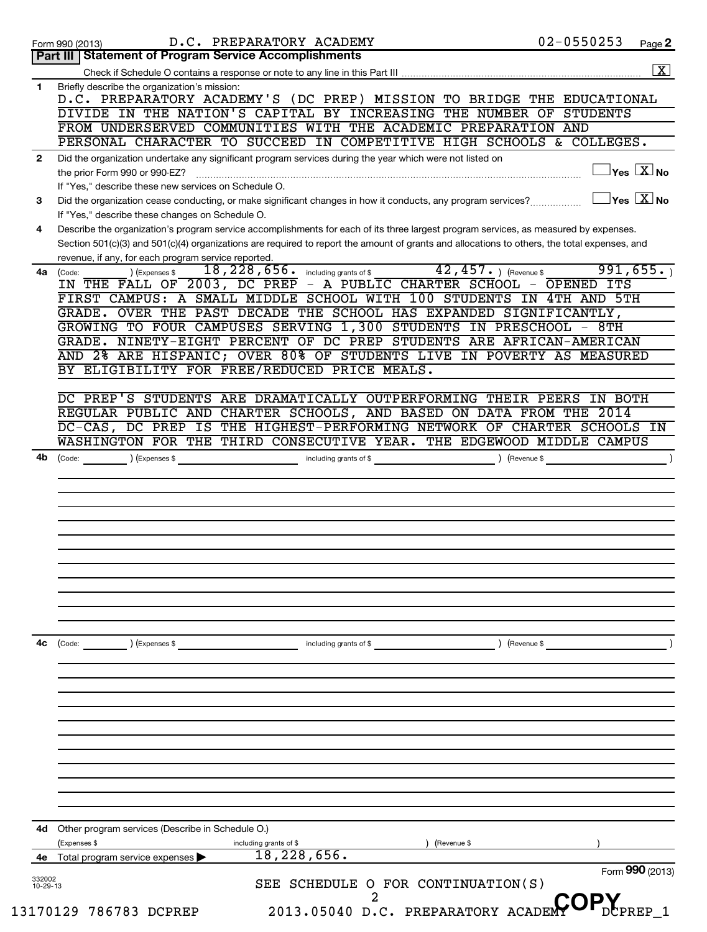| Part III   Statement of Program Service Accomplishments<br>Briefly describe the organization's mission:<br>1<br>D.C. PREPARATORY ACADEMY'S (DC PREP) MISSION TO BRIDGE THE EDUCATIONAL<br>DIVIDE IN THE NATION'S CAPITAL BY INCREASING THE NUMBER OF STUDENTS<br>FROM UNDERSERVED COMMUNITIES WITH THE ACADEMIC PREPARATION AND<br>PERSONAL CHARACTER TO SUCCEED IN COMPETITIVE HIGH SCHOOLS & COLLEGES.<br>Did the organization undertake any significant program services during the year which were not listed on<br>$\mathbf{2}$<br>the prior Form 990 or 990-EZ?<br>If "Yes," describe these new services on Schedule O.<br>Did the organization cease conducting, or make significant changes in how it conducts, any program services?<br>3<br>If "Yes," describe these changes on Schedule O.<br>Describe the organization's program service accomplishments for each of its three largest program services, as measured by expenses.<br>4<br>Section 501(c)(3) and 501(c)(4) organizations are required to report the amount of grants and allocations to others, the total expenses, and<br>revenue, if any, for each program service reported.<br>$42$ , $457$ . ) (Revenue \$<br>$\overline{18}$ , $\overline{228}$ , $\overline{656}$ . including grants of \$<br>4a<br>(Code:<br>) (Expenses \$<br>IN THE FALL OF 2003, DC PREP - A PUBLIC CHARTER SCHOOL - OPENED ITS<br>FIRST CAMPUS: A SMALL MIDDLE SCHOOL WITH 100 STUDENTS IN 4TH AND 5TH<br>GRADE. OVER THE PAST DECADE THE SCHOOL HAS EXPANDED SIGNIFICANTLY,<br>GROWING TO FOUR CAMPUSES SERVING 1,300 STUDENTS IN PRESCHOOL - 8TH<br>GRADE. NINETY-EIGHT PERCENT OF DC PREP STUDENTS ARE AFRICAN-AMERICAN<br>AND 2% ARE HISPANIC; OVER 80% OF STUDENTS LIVE IN POVERTY AS MEASURED<br>BY ELIGIBILITY FOR FREE/REDUCED PRICE MEALS.<br>DC PREP'S STUDENTS ARE DRAMATICALLY OUTPERFORMING THEIR PEERS<br>REGULAR PUBLIC AND CHARTER SCHOOLS, AND BASED ON DATA FROM THE 2014<br>DC-CAS, DC PREP IS THE HIGHEST-PERFORMING NETWORK OF CHARTER SCHOOLS IN<br>WASHINGTON FOR THE THIRD CONSECUTIVE YEAR. THE EDGEWOOD MIDDLE CAMPUS<br>4b<br>) (Revenue \$<br>(Code:<br>(Expenses \$<br>including grants of \$<br>) (Revenue \$<br>4c<br>including grants of \$<br>(Code:<br>) (Expenses \$<br>Other program services (Describe in Schedule O.)<br>4d | $02 - 0550253$<br>Page 2                                           |
|-------------------------------------------------------------------------------------------------------------------------------------------------------------------------------------------------------------------------------------------------------------------------------------------------------------------------------------------------------------------------------------------------------------------------------------------------------------------------------------------------------------------------------------------------------------------------------------------------------------------------------------------------------------------------------------------------------------------------------------------------------------------------------------------------------------------------------------------------------------------------------------------------------------------------------------------------------------------------------------------------------------------------------------------------------------------------------------------------------------------------------------------------------------------------------------------------------------------------------------------------------------------------------------------------------------------------------------------------------------------------------------------------------------------------------------------------------------------------------------------------------------------------------------------------------------------------------------------------------------------------------------------------------------------------------------------------------------------------------------------------------------------------------------------------------------------------------------------------------------------------------------------------------------------------------------------------------------------------------------------------------------------------------------------------------------------------------------------------------------------------------------------------------------------------------------------------------------------------------------------------------------------------------------------------------------------------|--------------------------------------------------------------------|
|                                                                                                                                                                                                                                                                                                                                                                                                                                                                                                                                                                                                                                                                                                                                                                                                                                                                                                                                                                                                                                                                                                                                                                                                                                                                                                                                                                                                                                                                                                                                                                                                                                                                                                                                                                                                                                                                                                                                                                                                                                                                                                                                                                                                                                                                                                                         |                                                                    |
|                                                                                                                                                                                                                                                                                                                                                                                                                                                                                                                                                                                                                                                                                                                                                                                                                                                                                                                                                                                                                                                                                                                                                                                                                                                                                                                                                                                                                                                                                                                                                                                                                                                                                                                                                                                                                                                                                                                                                                                                                                                                                                                                                                                                                                                                                                                         |                                                                    |
|                                                                                                                                                                                                                                                                                                                                                                                                                                                                                                                                                                                                                                                                                                                                                                                                                                                                                                                                                                                                                                                                                                                                                                                                                                                                                                                                                                                                                                                                                                                                                                                                                                                                                                                                                                                                                                                                                                                                                                                                                                                                                                                                                                                                                                                                                                                         |                                                                    |
|                                                                                                                                                                                                                                                                                                                                                                                                                                                                                                                                                                                                                                                                                                                                                                                                                                                                                                                                                                                                                                                                                                                                                                                                                                                                                                                                                                                                                                                                                                                                                                                                                                                                                                                                                                                                                                                                                                                                                                                                                                                                                                                                                                                                                                                                                                                         |                                                                    |
|                                                                                                                                                                                                                                                                                                                                                                                                                                                                                                                                                                                                                                                                                                                                                                                                                                                                                                                                                                                                                                                                                                                                                                                                                                                                                                                                                                                                                                                                                                                                                                                                                                                                                                                                                                                                                                                                                                                                                                                                                                                                                                                                                                                                                                                                                                                         |                                                                    |
|                                                                                                                                                                                                                                                                                                                                                                                                                                                                                                                                                                                                                                                                                                                                                                                                                                                                                                                                                                                                                                                                                                                                                                                                                                                                                                                                                                                                                                                                                                                                                                                                                                                                                                                                                                                                                                                                                                                                                                                                                                                                                                                                                                                                                                                                                                                         |                                                                    |
|                                                                                                                                                                                                                                                                                                                                                                                                                                                                                                                                                                                                                                                                                                                                                                                                                                                                                                                                                                                                                                                                                                                                                                                                                                                                                                                                                                                                                                                                                                                                                                                                                                                                                                                                                                                                                                                                                                                                                                                                                                                                                                                                                                                                                                                                                                                         |                                                                    |
|                                                                                                                                                                                                                                                                                                                                                                                                                                                                                                                                                                                                                                                                                                                                                                                                                                                                                                                                                                                                                                                                                                                                                                                                                                                                                                                                                                                                                                                                                                                                                                                                                                                                                                                                                                                                                                                                                                                                                                                                                                                                                                                                                                                                                                                                                                                         | $\sqrt{\mathsf{Yes}\mathord{\;\mathbb{X}}\mathord{\;\mathsf{No}}}$ |
|                                                                                                                                                                                                                                                                                                                                                                                                                                                                                                                                                                                                                                                                                                                                                                                                                                                                                                                                                                                                                                                                                                                                                                                                                                                                                                                                                                                                                                                                                                                                                                                                                                                                                                                                                                                                                                                                                                                                                                                                                                                                                                                                                                                                                                                                                                                         |                                                                    |
|                                                                                                                                                                                                                                                                                                                                                                                                                                                                                                                                                                                                                                                                                                                                                                                                                                                                                                                                                                                                                                                                                                                                                                                                                                                                                                                                                                                                                                                                                                                                                                                                                                                                                                                                                                                                                                                                                                                                                                                                                                                                                                                                                                                                                                                                                                                         | $\sqrt{\mathsf{Yes}}$ $\boxed{\mathrm{X}}$ No                      |
|                                                                                                                                                                                                                                                                                                                                                                                                                                                                                                                                                                                                                                                                                                                                                                                                                                                                                                                                                                                                                                                                                                                                                                                                                                                                                                                                                                                                                                                                                                                                                                                                                                                                                                                                                                                                                                                                                                                                                                                                                                                                                                                                                                                                                                                                                                                         |                                                                    |
|                                                                                                                                                                                                                                                                                                                                                                                                                                                                                                                                                                                                                                                                                                                                                                                                                                                                                                                                                                                                                                                                                                                                                                                                                                                                                                                                                                                                                                                                                                                                                                                                                                                                                                                                                                                                                                                                                                                                                                                                                                                                                                                                                                                                                                                                                                                         |                                                                    |
|                                                                                                                                                                                                                                                                                                                                                                                                                                                                                                                                                                                                                                                                                                                                                                                                                                                                                                                                                                                                                                                                                                                                                                                                                                                                                                                                                                                                                                                                                                                                                                                                                                                                                                                                                                                                                                                                                                                                                                                                                                                                                                                                                                                                                                                                                                                         |                                                                    |
|                                                                                                                                                                                                                                                                                                                                                                                                                                                                                                                                                                                                                                                                                                                                                                                                                                                                                                                                                                                                                                                                                                                                                                                                                                                                                                                                                                                                                                                                                                                                                                                                                                                                                                                                                                                                                                                                                                                                                                                                                                                                                                                                                                                                                                                                                                                         |                                                                    |
|                                                                                                                                                                                                                                                                                                                                                                                                                                                                                                                                                                                                                                                                                                                                                                                                                                                                                                                                                                                                                                                                                                                                                                                                                                                                                                                                                                                                                                                                                                                                                                                                                                                                                                                                                                                                                                                                                                                                                                                                                                                                                                                                                                                                                                                                                                                         | 991,655.                                                           |
|                                                                                                                                                                                                                                                                                                                                                                                                                                                                                                                                                                                                                                                                                                                                                                                                                                                                                                                                                                                                                                                                                                                                                                                                                                                                                                                                                                                                                                                                                                                                                                                                                                                                                                                                                                                                                                                                                                                                                                                                                                                                                                                                                                                                                                                                                                                         |                                                                    |
|                                                                                                                                                                                                                                                                                                                                                                                                                                                                                                                                                                                                                                                                                                                                                                                                                                                                                                                                                                                                                                                                                                                                                                                                                                                                                                                                                                                                                                                                                                                                                                                                                                                                                                                                                                                                                                                                                                                                                                                                                                                                                                                                                                                                                                                                                                                         |                                                                    |
|                                                                                                                                                                                                                                                                                                                                                                                                                                                                                                                                                                                                                                                                                                                                                                                                                                                                                                                                                                                                                                                                                                                                                                                                                                                                                                                                                                                                                                                                                                                                                                                                                                                                                                                                                                                                                                                                                                                                                                                                                                                                                                                                                                                                                                                                                                                         |                                                                    |
|                                                                                                                                                                                                                                                                                                                                                                                                                                                                                                                                                                                                                                                                                                                                                                                                                                                                                                                                                                                                                                                                                                                                                                                                                                                                                                                                                                                                                                                                                                                                                                                                                                                                                                                                                                                                                                                                                                                                                                                                                                                                                                                                                                                                                                                                                                                         |                                                                    |
|                                                                                                                                                                                                                                                                                                                                                                                                                                                                                                                                                                                                                                                                                                                                                                                                                                                                                                                                                                                                                                                                                                                                                                                                                                                                                                                                                                                                                                                                                                                                                                                                                                                                                                                                                                                                                                                                                                                                                                                                                                                                                                                                                                                                                                                                                                                         |                                                                    |
|                                                                                                                                                                                                                                                                                                                                                                                                                                                                                                                                                                                                                                                                                                                                                                                                                                                                                                                                                                                                                                                                                                                                                                                                                                                                                                                                                                                                                                                                                                                                                                                                                                                                                                                                                                                                                                                                                                                                                                                                                                                                                                                                                                                                                                                                                                                         |                                                                    |
|                                                                                                                                                                                                                                                                                                                                                                                                                                                                                                                                                                                                                                                                                                                                                                                                                                                                                                                                                                                                                                                                                                                                                                                                                                                                                                                                                                                                                                                                                                                                                                                                                                                                                                                                                                                                                                                                                                                                                                                                                                                                                                                                                                                                                                                                                                                         |                                                                    |
|                                                                                                                                                                                                                                                                                                                                                                                                                                                                                                                                                                                                                                                                                                                                                                                                                                                                                                                                                                                                                                                                                                                                                                                                                                                                                                                                                                                                                                                                                                                                                                                                                                                                                                                                                                                                                                                                                                                                                                                                                                                                                                                                                                                                                                                                                                                         |                                                                    |
|                                                                                                                                                                                                                                                                                                                                                                                                                                                                                                                                                                                                                                                                                                                                                                                                                                                                                                                                                                                                                                                                                                                                                                                                                                                                                                                                                                                                                                                                                                                                                                                                                                                                                                                                                                                                                                                                                                                                                                                                                                                                                                                                                                                                                                                                                                                         | IN BOTH                                                            |
|                                                                                                                                                                                                                                                                                                                                                                                                                                                                                                                                                                                                                                                                                                                                                                                                                                                                                                                                                                                                                                                                                                                                                                                                                                                                                                                                                                                                                                                                                                                                                                                                                                                                                                                                                                                                                                                                                                                                                                                                                                                                                                                                                                                                                                                                                                                         |                                                                    |
|                                                                                                                                                                                                                                                                                                                                                                                                                                                                                                                                                                                                                                                                                                                                                                                                                                                                                                                                                                                                                                                                                                                                                                                                                                                                                                                                                                                                                                                                                                                                                                                                                                                                                                                                                                                                                                                                                                                                                                                                                                                                                                                                                                                                                                                                                                                         |                                                                    |
|                                                                                                                                                                                                                                                                                                                                                                                                                                                                                                                                                                                                                                                                                                                                                                                                                                                                                                                                                                                                                                                                                                                                                                                                                                                                                                                                                                                                                                                                                                                                                                                                                                                                                                                                                                                                                                                                                                                                                                                                                                                                                                                                                                                                                                                                                                                         |                                                                    |
|                                                                                                                                                                                                                                                                                                                                                                                                                                                                                                                                                                                                                                                                                                                                                                                                                                                                                                                                                                                                                                                                                                                                                                                                                                                                                                                                                                                                                                                                                                                                                                                                                                                                                                                                                                                                                                                                                                                                                                                                                                                                                                                                                                                                                                                                                                                         |                                                                    |
|                                                                                                                                                                                                                                                                                                                                                                                                                                                                                                                                                                                                                                                                                                                                                                                                                                                                                                                                                                                                                                                                                                                                                                                                                                                                                                                                                                                                                                                                                                                                                                                                                                                                                                                                                                                                                                                                                                                                                                                                                                                                                                                                                                                                                                                                                                                         |                                                                    |
|                                                                                                                                                                                                                                                                                                                                                                                                                                                                                                                                                                                                                                                                                                                                                                                                                                                                                                                                                                                                                                                                                                                                                                                                                                                                                                                                                                                                                                                                                                                                                                                                                                                                                                                                                                                                                                                                                                                                                                                                                                                                                                                                                                                                                                                                                                                         |                                                                    |
|                                                                                                                                                                                                                                                                                                                                                                                                                                                                                                                                                                                                                                                                                                                                                                                                                                                                                                                                                                                                                                                                                                                                                                                                                                                                                                                                                                                                                                                                                                                                                                                                                                                                                                                                                                                                                                                                                                                                                                                                                                                                                                                                                                                                                                                                                                                         |                                                                    |
|                                                                                                                                                                                                                                                                                                                                                                                                                                                                                                                                                                                                                                                                                                                                                                                                                                                                                                                                                                                                                                                                                                                                                                                                                                                                                                                                                                                                                                                                                                                                                                                                                                                                                                                                                                                                                                                                                                                                                                                                                                                                                                                                                                                                                                                                                                                         |                                                                    |
|                                                                                                                                                                                                                                                                                                                                                                                                                                                                                                                                                                                                                                                                                                                                                                                                                                                                                                                                                                                                                                                                                                                                                                                                                                                                                                                                                                                                                                                                                                                                                                                                                                                                                                                                                                                                                                                                                                                                                                                                                                                                                                                                                                                                                                                                                                                         |                                                                    |
|                                                                                                                                                                                                                                                                                                                                                                                                                                                                                                                                                                                                                                                                                                                                                                                                                                                                                                                                                                                                                                                                                                                                                                                                                                                                                                                                                                                                                                                                                                                                                                                                                                                                                                                                                                                                                                                                                                                                                                                                                                                                                                                                                                                                                                                                                                                         |                                                                    |
|                                                                                                                                                                                                                                                                                                                                                                                                                                                                                                                                                                                                                                                                                                                                                                                                                                                                                                                                                                                                                                                                                                                                                                                                                                                                                                                                                                                                                                                                                                                                                                                                                                                                                                                                                                                                                                                                                                                                                                                                                                                                                                                                                                                                                                                                                                                         |                                                                    |
|                                                                                                                                                                                                                                                                                                                                                                                                                                                                                                                                                                                                                                                                                                                                                                                                                                                                                                                                                                                                                                                                                                                                                                                                                                                                                                                                                                                                                                                                                                                                                                                                                                                                                                                                                                                                                                                                                                                                                                                                                                                                                                                                                                                                                                                                                                                         |                                                                    |
|                                                                                                                                                                                                                                                                                                                                                                                                                                                                                                                                                                                                                                                                                                                                                                                                                                                                                                                                                                                                                                                                                                                                                                                                                                                                                                                                                                                                                                                                                                                                                                                                                                                                                                                                                                                                                                                                                                                                                                                                                                                                                                                                                                                                                                                                                                                         |                                                                    |
|                                                                                                                                                                                                                                                                                                                                                                                                                                                                                                                                                                                                                                                                                                                                                                                                                                                                                                                                                                                                                                                                                                                                                                                                                                                                                                                                                                                                                                                                                                                                                                                                                                                                                                                                                                                                                                                                                                                                                                                                                                                                                                                                                                                                                                                                                                                         |                                                                    |
|                                                                                                                                                                                                                                                                                                                                                                                                                                                                                                                                                                                                                                                                                                                                                                                                                                                                                                                                                                                                                                                                                                                                                                                                                                                                                                                                                                                                                                                                                                                                                                                                                                                                                                                                                                                                                                                                                                                                                                                                                                                                                                                                                                                                                                                                                                                         |                                                                    |
|                                                                                                                                                                                                                                                                                                                                                                                                                                                                                                                                                                                                                                                                                                                                                                                                                                                                                                                                                                                                                                                                                                                                                                                                                                                                                                                                                                                                                                                                                                                                                                                                                                                                                                                                                                                                                                                                                                                                                                                                                                                                                                                                                                                                                                                                                                                         |                                                                    |
|                                                                                                                                                                                                                                                                                                                                                                                                                                                                                                                                                                                                                                                                                                                                                                                                                                                                                                                                                                                                                                                                                                                                                                                                                                                                                                                                                                                                                                                                                                                                                                                                                                                                                                                                                                                                                                                                                                                                                                                                                                                                                                                                                                                                                                                                                                                         |                                                                    |
|                                                                                                                                                                                                                                                                                                                                                                                                                                                                                                                                                                                                                                                                                                                                                                                                                                                                                                                                                                                                                                                                                                                                                                                                                                                                                                                                                                                                                                                                                                                                                                                                                                                                                                                                                                                                                                                                                                                                                                                                                                                                                                                                                                                                                                                                                                                         |                                                                    |
|                                                                                                                                                                                                                                                                                                                                                                                                                                                                                                                                                                                                                                                                                                                                                                                                                                                                                                                                                                                                                                                                                                                                                                                                                                                                                                                                                                                                                                                                                                                                                                                                                                                                                                                                                                                                                                                                                                                                                                                                                                                                                                                                                                                                                                                                                                                         |                                                                    |
|                                                                                                                                                                                                                                                                                                                                                                                                                                                                                                                                                                                                                                                                                                                                                                                                                                                                                                                                                                                                                                                                                                                                                                                                                                                                                                                                                                                                                                                                                                                                                                                                                                                                                                                                                                                                                                                                                                                                                                                                                                                                                                                                                                                                                                                                                                                         |                                                                    |
|                                                                                                                                                                                                                                                                                                                                                                                                                                                                                                                                                                                                                                                                                                                                                                                                                                                                                                                                                                                                                                                                                                                                                                                                                                                                                                                                                                                                                                                                                                                                                                                                                                                                                                                                                                                                                                                                                                                                                                                                                                                                                                                                                                                                                                                                                                                         |                                                                    |
|                                                                                                                                                                                                                                                                                                                                                                                                                                                                                                                                                                                                                                                                                                                                                                                                                                                                                                                                                                                                                                                                                                                                                                                                                                                                                                                                                                                                                                                                                                                                                                                                                                                                                                                                                                                                                                                                                                                                                                                                                                                                                                                                                                                                                                                                                                                         |                                                                    |
|                                                                                                                                                                                                                                                                                                                                                                                                                                                                                                                                                                                                                                                                                                                                                                                                                                                                                                                                                                                                                                                                                                                                                                                                                                                                                                                                                                                                                                                                                                                                                                                                                                                                                                                                                                                                                                                                                                                                                                                                                                                                                                                                                                                                                                                                                                                         |                                                                    |
|                                                                                                                                                                                                                                                                                                                                                                                                                                                                                                                                                                                                                                                                                                                                                                                                                                                                                                                                                                                                                                                                                                                                                                                                                                                                                                                                                                                                                                                                                                                                                                                                                                                                                                                                                                                                                                                                                                                                                                                                                                                                                                                                                                                                                                                                                                                         |                                                                    |
|                                                                                                                                                                                                                                                                                                                                                                                                                                                                                                                                                                                                                                                                                                                                                                                                                                                                                                                                                                                                                                                                                                                                                                                                                                                                                                                                                                                                                                                                                                                                                                                                                                                                                                                                                                                                                                                                                                                                                                                                                                                                                                                                                                                                                                                                                                                         |                                                                    |
|                                                                                                                                                                                                                                                                                                                                                                                                                                                                                                                                                                                                                                                                                                                                                                                                                                                                                                                                                                                                                                                                                                                                                                                                                                                                                                                                                                                                                                                                                                                                                                                                                                                                                                                                                                                                                                                                                                                                                                                                                                                                                                                                                                                                                                                                                                                         |                                                                    |
|                                                                                                                                                                                                                                                                                                                                                                                                                                                                                                                                                                                                                                                                                                                                                                                                                                                                                                                                                                                                                                                                                                                                                                                                                                                                                                                                                                                                                                                                                                                                                                                                                                                                                                                                                                                                                                                                                                                                                                                                                                                                                                                                                                                                                                                                                                                         |                                                                    |
|                                                                                                                                                                                                                                                                                                                                                                                                                                                                                                                                                                                                                                                                                                                                                                                                                                                                                                                                                                                                                                                                                                                                                                                                                                                                                                                                                                                                                                                                                                                                                                                                                                                                                                                                                                                                                                                                                                                                                                                                                                                                                                                                                                                                                                                                                                                         |                                                                    |
|                                                                                                                                                                                                                                                                                                                                                                                                                                                                                                                                                                                                                                                                                                                                                                                                                                                                                                                                                                                                                                                                                                                                                                                                                                                                                                                                                                                                                                                                                                                                                                                                                                                                                                                                                                                                                                                                                                                                                                                                                                                                                                                                                                                                                                                                                                                         |                                                                    |
|                                                                                                                                                                                                                                                                                                                                                                                                                                                                                                                                                                                                                                                                                                                                                                                                                                                                                                                                                                                                                                                                                                                                                                                                                                                                                                                                                                                                                                                                                                                                                                                                                                                                                                                                                                                                                                                                                                                                                                                                                                                                                                                                                                                                                                                                                                                         |                                                                    |
|                                                                                                                                                                                                                                                                                                                                                                                                                                                                                                                                                                                                                                                                                                                                                                                                                                                                                                                                                                                                                                                                                                                                                                                                                                                                                                                                                                                                                                                                                                                                                                                                                                                                                                                                                                                                                                                                                                                                                                                                                                                                                                                                                                                                                                                                                                                         |                                                                    |
| (Expenses \$<br>including grants of \$<br>(Revenue \$                                                                                                                                                                                                                                                                                                                                                                                                                                                                                                                                                                                                                                                                                                                                                                                                                                                                                                                                                                                                                                                                                                                                                                                                                                                                                                                                                                                                                                                                                                                                                                                                                                                                                                                                                                                                                                                                                                                                                                                                                                                                                                                                                                                                                                                                   |                                                                    |
| 18,228,656.<br>Total program service expenses<br>4е                                                                                                                                                                                                                                                                                                                                                                                                                                                                                                                                                                                                                                                                                                                                                                                                                                                                                                                                                                                                                                                                                                                                                                                                                                                                                                                                                                                                                                                                                                                                                                                                                                                                                                                                                                                                                                                                                                                                                                                                                                                                                                                                                                                                                                                                     |                                                                    |
|                                                                                                                                                                                                                                                                                                                                                                                                                                                                                                                                                                                                                                                                                                                                                                                                                                                                                                                                                                                                                                                                                                                                                                                                                                                                                                                                                                                                                                                                                                                                                                                                                                                                                                                                                                                                                                                                                                                                                                                                                                                                                                                                                                                                                                                                                                                         | Form 990 (2013)                                                    |
| 332002<br>SEE SCHEDULE O FOR CONTINUATION(S)<br>$10 - 29 - 13$                                                                                                                                                                                                                                                                                                                                                                                                                                                                                                                                                                                                                                                                                                                                                                                                                                                                                                                                                                                                                                                                                                                                                                                                                                                                                                                                                                                                                                                                                                                                                                                                                                                                                                                                                                                                                                                                                                                                                                                                                                                                                                                                                                                                                                                          |                                                                    |
| 2<br>2013.05040 D.C. PREPARATORY ACADE<br>13170129 786783 DCPREP                                                                                                                                                                                                                                                                                                                                                                                                                                                                                                                                                                                                                                                                                                                                                                                                                                                                                                                                                                                                                                                                                                                                                                                                                                                                                                                                                                                                                                                                                                                                                                                                                                                                                                                                                                                                                                                                                                                                                                                                                                                                                                                                                                                                                                                        |                                                                    |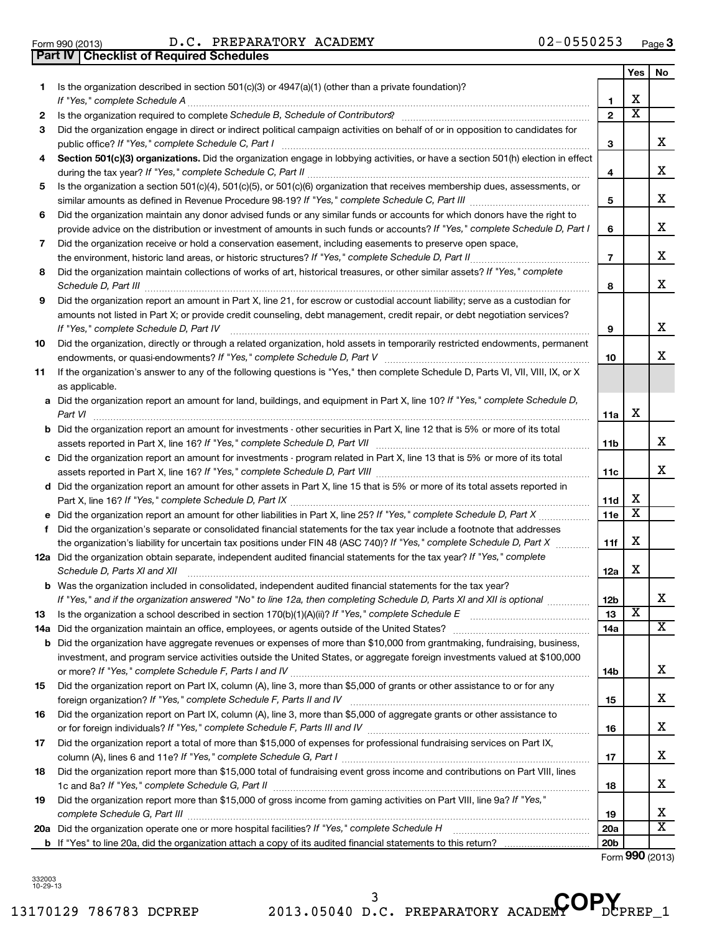| 1. | Is the organization described in section 501(c)(3) or 4947(a)(1) (other than a private foundation)?                                                                                                                                                       |                 |                         |                         |
|----|-----------------------------------------------------------------------------------------------------------------------------------------------------------------------------------------------------------------------------------------------------------|-----------------|-------------------------|-------------------------|
|    |                                                                                                                                                                                                                                                           | 1               | х                       |                         |
| 2  |                                                                                                                                                                                                                                                           | $\overline{2}$  | $\overline{\textbf{x}}$ |                         |
| 3  | Did the organization engage in direct or indirect political campaign activities on behalf of or in opposition to candidates for                                                                                                                           | З               |                         | x                       |
| 4  | Section 501(c)(3) organizations. Did the organization engage in lobbying activities, or have a section 501(h) election in effect                                                                                                                          |                 |                         |                         |
|    |                                                                                                                                                                                                                                                           | 4               |                         | x                       |
| 5  | Is the organization a section 501(c)(4), 501(c)(5), or 501(c)(6) organization that receives membership dues, assessments, or                                                                                                                              |                 |                         |                         |
|    |                                                                                                                                                                                                                                                           | 5               |                         | x                       |
| 6  | Did the organization maintain any donor advised funds or any similar funds or accounts for which donors have the right to                                                                                                                                 |                 |                         |                         |
|    | provide advice on the distribution or investment of amounts in such funds or accounts? If "Yes," complete Schedule D, Part I                                                                                                                              | 6               |                         | x                       |
| 7  | Did the organization receive or hold a conservation easement, including easements to preserve open space,                                                                                                                                                 |                 |                         |                         |
|    | the environment, historic land areas, or historic structures? If "Yes," complete Schedule D, Part II                                                                                                                                                      | 7               |                         | x                       |
| 8  | Did the organization maintain collections of works of art, historical treasures, or other similar assets? If "Yes," complete<br>Schedule D, Part III <b>Marting Community</b> Contract and Technical Community Contract of Technical Community Contract O | 8               |                         | x                       |
| 9  | Did the organization report an amount in Part X, line 21, for escrow or custodial account liability; serve as a custodian for                                                                                                                             |                 |                         |                         |
|    | amounts not listed in Part X; or provide credit counseling, debt management, credit repair, or debt negotiation services?                                                                                                                                 |                 |                         |                         |
|    | If "Yes," complete Schedule D, Part IV                                                                                                                                                                                                                    | 9               |                         | x                       |
| 10 | Did the organization, directly or through a related organization, hold assets in temporarily restricted endowments, permanent                                                                                                                             | 10              |                         | x                       |
| 11 | If the organization's answer to any of the following questions is "Yes," then complete Schedule D, Parts VI, VII, VIII, IX, or X<br>as applicable.                                                                                                        |                 |                         |                         |
|    | a Did the organization report an amount for land, buildings, and equipment in Part X, line 10? If "Yes," complete Schedule D,                                                                                                                             |                 |                         |                         |
|    | Part VI                                                                                                                                                                                                                                                   | 11a             | X                       |                         |
|    | <b>b</b> Did the organization report an amount for investments - other securities in Part X, line 12 that is 5% or more of its total                                                                                                                      |                 |                         |                         |
|    |                                                                                                                                                                                                                                                           | 11b             |                         | x                       |
|    | c Did the organization report an amount for investments - program related in Part X, line 13 that is 5% or more of its total                                                                                                                              |                 |                         |                         |
|    |                                                                                                                                                                                                                                                           | 11c             |                         | x                       |
|    | d Did the organization report an amount for other assets in Part X, line 15 that is 5% or more of its total assets reported in                                                                                                                            |                 |                         |                         |
|    |                                                                                                                                                                                                                                                           | 11d             | х                       |                         |
|    |                                                                                                                                                                                                                                                           | 11e             | $\overline{\textbf{X}}$ |                         |
| f  | Did the organization's separate or consolidated financial statements for the tax year include a footnote that addresses<br>the organization's liability for uncertain tax positions under FIN 48 (ASC 740)? If "Yes," complete Schedule D, Part X         |                 | х                       |                         |
|    | 12a Did the organization obtain separate, independent audited financial statements for the tax year? If "Yes," complete                                                                                                                                   | 11f             |                         |                         |
|    | Schedule D, Parts XI and XII                                                                                                                                                                                                                              | 12a             | X                       |                         |
|    | <b>b</b> Was the organization included in consolidated, independent audited financial statements for the tax year?                                                                                                                                        |                 |                         |                         |
|    | If "Yes," and if the organization answered "No" to line 12a, then completing Schedule D, Parts XI and XII is optional <i>maniming</i>                                                                                                                     | 12b             |                         | X.                      |
| 13 |                                                                                                                                                                                                                                                           | 13              | х                       |                         |
|    |                                                                                                                                                                                                                                                           | 14a             |                         | x                       |
|    | <b>b</b> Did the organization have aggregate revenues or expenses of more than \$10,000 from grantmaking, fundraising, business,                                                                                                                          |                 |                         |                         |
|    | investment, and program service activities outside the United States, or aggregate foreign investments valued at \$100,000                                                                                                                                |                 |                         |                         |
|    |                                                                                                                                                                                                                                                           | 14b             |                         | х                       |
| 15 | Did the organization report on Part IX, column (A), line 3, more than \$5,000 of grants or other assistance to or for any                                                                                                                                 |                 |                         |                         |
|    |                                                                                                                                                                                                                                                           | 15              |                         | х                       |
| 16 | Did the organization report on Part IX, column (A), line 3, more than \$5,000 of aggregate grants or other assistance to                                                                                                                                  |                 |                         | х                       |
|    |                                                                                                                                                                                                                                                           | 16              |                         |                         |
| 17 | Did the organization report a total of more than \$15,000 of expenses for professional fundraising services on Part IX,                                                                                                                                   | 17              |                         | х                       |
| 18 | Did the organization report more than \$15,000 total of fundraising event gross income and contributions on Part VIII, lines                                                                                                                              |                 |                         |                         |
|    |                                                                                                                                                                                                                                                           | 18              |                         | х                       |
| 19 | Did the organization report more than \$15,000 of gross income from gaming activities on Part VIII, line 9a? If "Yes,"                                                                                                                                    |                 |                         |                         |
|    |                                                                                                                                                                                                                                                           | 19              |                         | x                       |
|    |                                                                                                                                                                                                                                                           | <b>20a</b>      |                         | $\overline{\textbf{X}}$ |
|    |                                                                                                                                                                                                                                                           | 20 <sub>b</sub> |                         |                         |

332003 10-29-13

Form (2013) **990**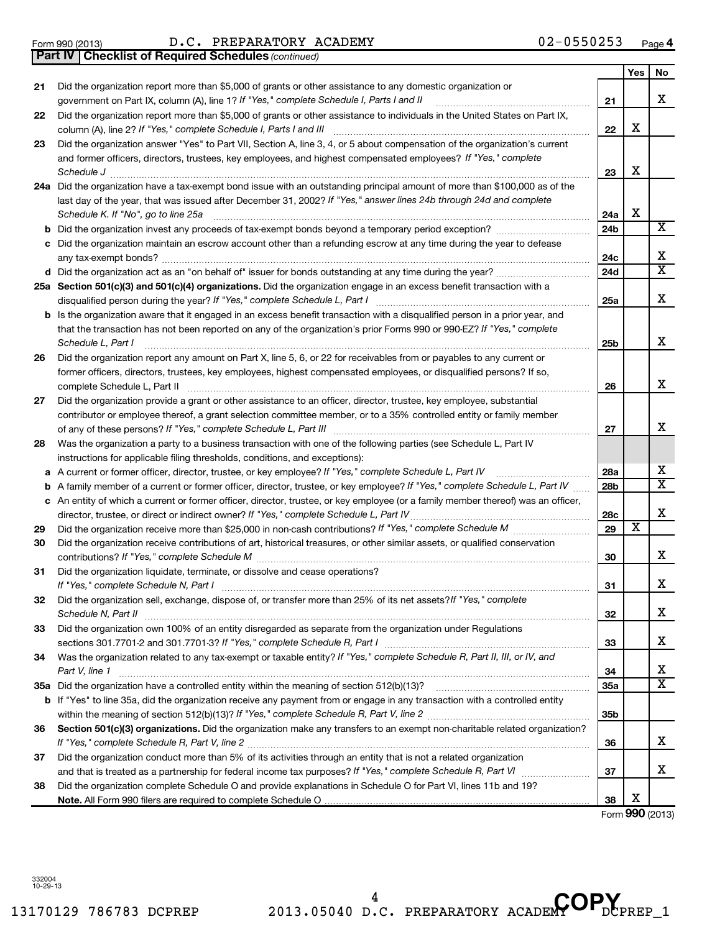#### Form 990 (2013)  $D.C. PREPARATORY ACADEMY$   $02-0550253$   $Page$

*(continued)* **Part IV Checklist of Required Schedules**

|    |                                                                                                                                                                                                                                                                                                                          |     | Yes | No                      |
|----|--------------------------------------------------------------------------------------------------------------------------------------------------------------------------------------------------------------------------------------------------------------------------------------------------------------------------|-----|-----|-------------------------|
| 21 | Did the organization report more than \$5,000 of grants or other assistance to any domestic organization or<br>government on Part IX, column (A), line 1? If "Yes," complete Schedule I, Parts I and II<br>a se de la componenta de la componenta de la componenta de la componenta de la componenta de la componenta de | 21  |     | х                       |
| 22 | Did the organization report more than \$5,000 of grants or other assistance to individuals in the United States on Part IX,<br>column (A), line 2? If "Yes," complete Schedule I, Parts I and III                                                                                                                        | 22  | х   |                         |
| 23 | Did the organization answer "Yes" to Part VII, Section A, line 3, 4, or 5 about compensation of the organization's current                                                                                                                                                                                               |     |     |                         |
|    | and former officers, directors, trustees, key employees, and highest compensated employees? If "Yes," complete                                                                                                                                                                                                           |     |     |                         |
|    | Schedule J                                                                                                                                                                                                                                                                                                               | 23  | х   |                         |
|    | 24a Did the organization have a tax-exempt bond issue with an outstanding principal amount of more than \$100,000 as of the                                                                                                                                                                                              |     |     |                         |
|    | last day of the year, that was issued after December 31, 2002? If "Yes," answer lines 24b through 24d and complete                                                                                                                                                                                                       |     |     |                         |
|    | Schedule K. If "No", go to line 25a                                                                                                                                                                                                                                                                                      | 24a | х   |                         |
|    |                                                                                                                                                                                                                                                                                                                          | 24b |     | X                       |
|    | c Did the organization maintain an escrow account other than a refunding escrow at any time during the year to defease                                                                                                                                                                                                   |     |     |                         |
|    |                                                                                                                                                                                                                                                                                                                          | 24c |     | х                       |
|    |                                                                                                                                                                                                                                                                                                                          | 24d |     | $\overline{\textbf{x}}$ |
|    | 25a Section 501(c)(3) and 501(c)(4) organizations. Did the organization engage in an excess benefit transaction with a                                                                                                                                                                                                   |     |     |                         |
|    | disqualified person during the year? If "Yes," complete Schedule L, Part I                                                                                                                                                                                                                                               | 25a |     | X                       |
|    | <b>b</b> Is the organization aware that it engaged in an excess benefit transaction with a disqualified person in a prior year, and                                                                                                                                                                                      |     |     |                         |
|    | that the transaction has not been reported on any of the organization's prior Forms 990 or 990-EZ? If "Yes," complete<br>Schedule L, Part I                                                                                                                                                                              | 25b |     | x                       |
| 26 | Did the organization report any amount on Part X, line 5, 6, or 22 for receivables from or payables to any current or                                                                                                                                                                                                    |     |     |                         |
|    | former officers, directors, trustees, key employees, highest compensated employees, or disqualified persons? If so,                                                                                                                                                                                                      |     |     |                         |
|    | complete Schedule L, Part II                                                                                                                                                                                                                                                                                             | 26  |     | X                       |
| 27 | Did the organization provide a grant or other assistance to an officer, director, trustee, key employee, substantial                                                                                                                                                                                                     |     |     |                         |
|    | contributor or employee thereof, a grant selection committee member, or to a 35% controlled entity or family member                                                                                                                                                                                                      |     |     |                         |
|    |                                                                                                                                                                                                                                                                                                                          | 27  |     | x                       |
| 28 | Was the organization a party to a business transaction with one of the following parties (see Schedule L, Part IV                                                                                                                                                                                                        |     |     |                         |
|    | instructions for applicable filing thresholds, conditions, and exceptions):                                                                                                                                                                                                                                              |     |     |                         |
| а  | A current or former officer, director, trustee, or key employee? If "Yes," complete Schedule L, Part IV                                                                                                                                                                                                                  | 28a |     | х                       |
| b  | A family member of a current or former officer, director, trustee, or key employee? If "Yes," complete Schedule L, Part IV                                                                                                                                                                                               | 28b |     | $\overline{\texttt{x}}$ |
|    | c An entity of which a current or former officer, director, trustee, or key employee (or a family member thereof) was an officer,                                                                                                                                                                                        |     |     |                         |
|    | director, trustee, or direct or indirect owner? If "Yes," complete Schedule L, Part IV                                                                                                                                                                                                                                   | 28c |     | х                       |
| 29 |                                                                                                                                                                                                                                                                                                                          | 29  | х   |                         |
| 30 | Did the organization receive contributions of art, historical treasures, or other similar assets, or qualified conservation                                                                                                                                                                                              |     |     |                         |
|    |                                                                                                                                                                                                                                                                                                                          | 30  |     | х                       |
| 31 | Did the organization liquidate, terminate, or dissolve and cease operations?                                                                                                                                                                                                                                             |     |     |                         |
|    |                                                                                                                                                                                                                                                                                                                          | 31  |     | х                       |
| 32 | Did the organization sell, exchange, dispose of, or transfer more than 25% of its net assets? If "Yes," complete                                                                                                                                                                                                         |     |     |                         |
|    | Schedule N, Part II <b>Entertainment and Construction Construction</b> Construction Construction Construction Construction Construction Construction Construction Construction Construction Construction Construction Construction                                                                                       | 32  |     | х                       |
| 33 | Did the organization own 100% of an entity disregarded as separate from the organization under Regulations                                                                                                                                                                                                               |     |     |                         |
|    |                                                                                                                                                                                                                                                                                                                          | 33  |     | x                       |
| 34 | Was the organization related to any tax-exempt or taxable entity? If "Yes," complete Schedule R, Part II, III, or IV, and                                                                                                                                                                                                |     |     |                         |
|    | Part V, line 1                                                                                                                                                                                                                                                                                                           | 34  |     | х                       |
|    |                                                                                                                                                                                                                                                                                                                          | 35a |     | $\overline{\texttt{x}}$ |
|    | b If "Yes" to line 35a, did the organization receive any payment from or engage in any transaction with a controlled entity                                                                                                                                                                                              |     |     |                         |
|    |                                                                                                                                                                                                                                                                                                                          | 35b |     |                         |
| 36 | Section 501(c)(3) organizations. Did the organization make any transfers to an exempt non-charitable related organization?                                                                                                                                                                                               |     |     |                         |
|    |                                                                                                                                                                                                                                                                                                                          | 36  |     | x                       |
| 37 | Did the organization conduct more than 5% of its activities through an entity that is not a related organization                                                                                                                                                                                                         |     |     |                         |
|    |                                                                                                                                                                                                                                                                                                                          | 37  |     | x                       |
| 38 | Did the organization complete Schedule O and provide explanations in Schedule O for Part VI, lines 11b and 19?                                                                                                                                                                                                           |     |     |                         |
|    |                                                                                                                                                                                                                                                                                                                          | 38  | х   |                         |

Form (2013) **990**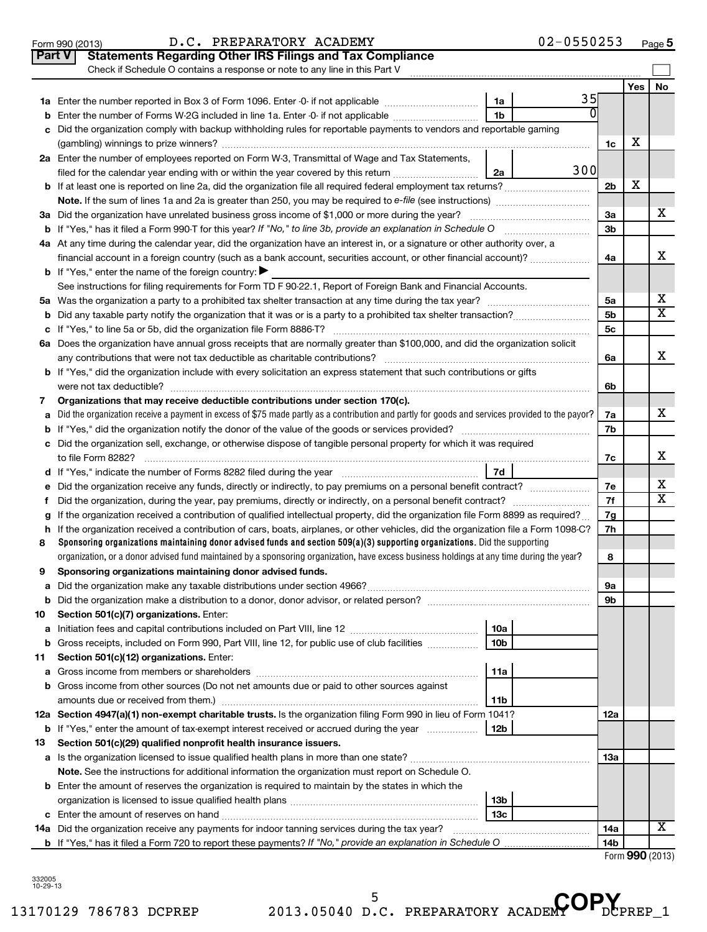| Part V | <b>Statements Regarding Other IRS Filings and Tax Compliance</b><br>Check if Schedule O contains a response or note to any line in this Part V  |                     |                |     |                         |  |  |
|--------|-------------------------------------------------------------------------------------------------------------------------------------------------|---------------------|----------------|-----|-------------------------|--|--|
|        |                                                                                                                                                 |                     |                | Yes | No                      |  |  |
|        |                                                                                                                                                 | 35<br>1a            |                |     |                         |  |  |
| b      | Enter the number of Forms W-2G included in line 1a. Enter -0- if not applicable                                                                 | U<br>1 <sub>b</sub> |                |     |                         |  |  |
|        | Did the organization comply with backup withholding rules for reportable payments to vendors and reportable gaming                              |                     |                |     |                         |  |  |
|        |                                                                                                                                                 |                     | 1c             | Х   |                         |  |  |
|        | 2a Enter the number of employees reported on Form W-3, Transmittal of Wage and Tax Statements,                                                  |                     |                |     |                         |  |  |
|        | filed for the calendar year ending with or within the year covered by this return                                                               | 300<br>2a           |                |     |                         |  |  |
|        | b If at least one is reported on line 2a, did the organization file all required federal employment tax returns?                                |                     | 2 <sub>b</sub> | X   |                         |  |  |
|        |                                                                                                                                                 |                     |                |     |                         |  |  |
|        | 3a Did the organization have unrelated business gross income of \$1,000 or more during the year?                                                |                     | За             |     | х                       |  |  |
|        | <b>b</b> If "Yes," has it filed a Form 990-T for this year? If "No," to line 3b, provide an explanation in Schedule O                           |                     |                |     |                         |  |  |
|        | 4a At any time during the calendar year, did the organization have an interest in, or a signature or other authority over, a                    |                     |                |     |                         |  |  |
|        | financial account in a foreign country (such as a bank account, securities account, or other financial account)?                                |                     | 4a             |     | x                       |  |  |
|        | <b>b</b> If "Yes," enter the name of the foreign country:                                                                                       |                     |                |     |                         |  |  |
|        | See instructions for filing requirements for Form TD F 90-22.1, Report of Foreign Bank and Financial Accounts.                                  |                     |                |     |                         |  |  |
| 5a     |                                                                                                                                                 |                     | 5a             |     | х                       |  |  |
| b      |                                                                                                                                                 |                     | 5 <sub>b</sub> |     | $\overline{\textbf{X}}$ |  |  |
|        |                                                                                                                                                 |                     | 5c             |     |                         |  |  |
|        | 6a Does the organization have annual gross receipts that are normally greater than \$100,000, and did the organization solicit                  |                     |                |     |                         |  |  |
|        |                                                                                                                                                 |                     | 6a             |     | x                       |  |  |
|        | <b>b</b> If "Yes," did the organization include with every solicitation an express statement that such contributions or gifts                   |                     |                |     |                         |  |  |
|        |                                                                                                                                                 |                     | 6b             |     |                         |  |  |
| 7      | Organizations that may receive deductible contributions under section 170(c).                                                                   |                     |                |     |                         |  |  |
| a      | Did the organization receive a payment in excess of \$75 made partly as a contribution and partly for goods and services provided to the payor? |                     | 7a             |     | x                       |  |  |
| b      |                                                                                                                                                 |                     |                |     |                         |  |  |
|        | c Did the organization sell, exchange, or otherwise dispose of tangible personal property for which it was required                             |                     |                |     |                         |  |  |
|        |                                                                                                                                                 |                     | 7c             |     | х                       |  |  |
|        |                                                                                                                                                 | 7d                  |                |     |                         |  |  |
|        | Did the organization receive any funds, directly or indirectly, to pay premiums on a personal benefit contract?                                 |                     | 7е             |     | х                       |  |  |
| f      |                                                                                                                                                 |                     | 7f             |     | $\overline{\text{X}}$   |  |  |
|        | If the organization received a contribution of qualified intellectual property, did the organization file Form 8899 as required?                |                     | 7g             |     |                         |  |  |
| h      | If the organization received a contribution of cars, boats, airplanes, or other vehicles, did the organization file a Form 1098-C?              |                     | 7h             |     |                         |  |  |
| 8      | Sponsoring organizations maintaining donor advised funds and section $509(a)(3)$ supporting organizations. Did the supporting                   |                     |                |     |                         |  |  |
|        | organization, or a donor advised fund maintained by a sponsoring organization, have excess business holdings at any time during the year?       |                     | 8              |     |                         |  |  |
| 9      | Sponsoring organizations maintaining donor advised funds.                                                                                       |                     |                |     |                         |  |  |
|        |                                                                                                                                                 |                     | эа             |     |                         |  |  |
|        |                                                                                                                                                 |                     | 9b             |     |                         |  |  |
| 10     | Section 501(c)(7) organizations. Enter:                                                                                                         |                     |                |     |                         |  |  |
| а      |                                                                                                                                                 | 10a                 |                |     |                         |  |  |
| b      | Gross receipts, included on Form 990, Part VIII, line 12, for public use of club facilities                                                     | 10 <sub>b</sub>     |                |     |                         |  |  |
| 11     | Section 501(c)(12) organizations. Enter:                                                                                                        |                     |                |     |                         |  |  |
| а      |                                                                                                                                                 | 11a                 |                |     |                         |  |  |
|        | <b>b</b> Gross income from other sources (Do not net amounts due or paid to other sources against                                               |                     |                |     |                         |  |  |
|        |                                                                                                                                                 | 11b                 |                |     |                         |  |  |
|        | 12a Section 4947(a)(1) non-exempt charitable trusts. Is the organization filing Form 990 in lieu of Form 1041?                                  |                     | 12a            |     |                         |  |  |
|        | <b>b</b> If "Yes," enter the amount of tax-exempt interest received or accrued during the year                                                  | 12b                 |                |     |                         |  |  |
| 13     | Section 501(c)(29) qualified nonprofit health insurance issuers.                                                                                |                     |                |     |                         |  |  |
|        | a Is the organization licensed to issue qualified health plans in more than one state?                                                          |                     | 13а            |     |                         |  |  |
|        | Note. See the instructions for additional information the organization must report on Schedule O.                                               |                     |                |     |                         |  |  |
|        | <b>b</b> Enter the amount of reserves the organization is required to maintain by the states in which the                                       |                     |                |     |                         |  |  |
|        |                                                                                                                                                 | 13b                 |                |     |                         |  |  |
|        |                                                                                                                                                 | 13 <sub>c</sub>     |                |     |                         |  |  |
|        | 14a Did the organization receive any payments for indoor tanning services during the tax year?                                                  |                     | 14a            |     | x                       |  |  |
|        | <b>b</b> If "Yes," has it filed a Form 720 to report these payments? If "No," provide an explanation in Schedule O                              |                     | 14b            |     |                         |  |  |

Form (2013) **990**

332005 10-29-13

<sup>5</sup> D.C. PREPARATORY ACADEMY OP.

**5**

#### Form 990 (2013)  $D.C. PREPARATORY ACADEMY$   $02-0550253$   $Page$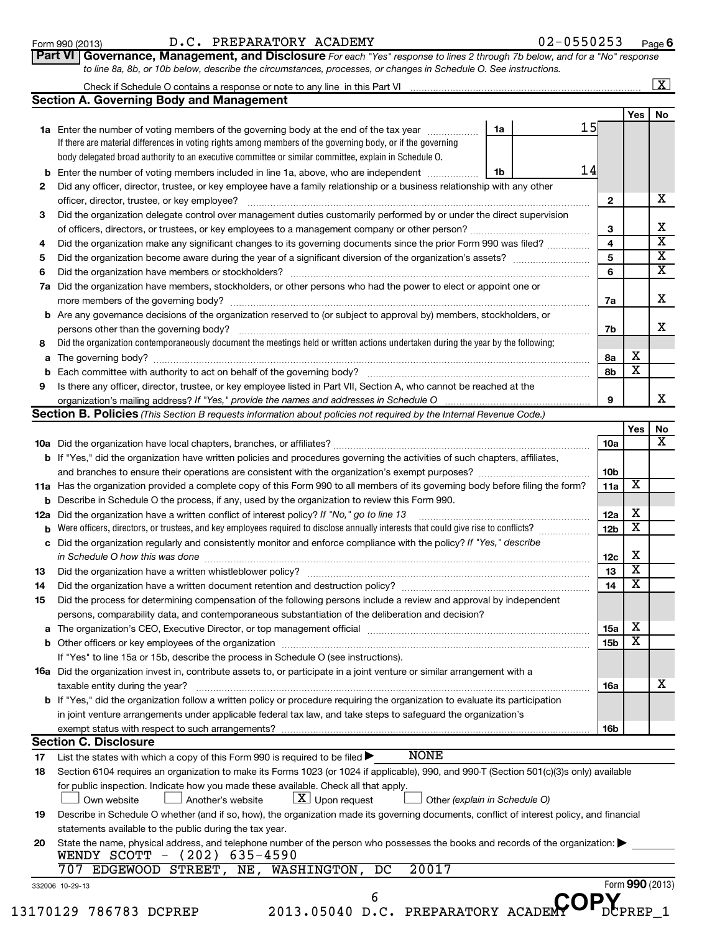#### Form 990 (2013)  $D.C. PREPARATORY ACADEMY$   $02-0550253$   $Page$

**6**

| <b>rt VI   Governance, Management, and Disclosure</b> For each "Yes" response to lines 2 through 7b below, and for a "No" response |
|------------------------------------------------------------------------------------------------------------------------------------|
| to line 8a, 8b, or 10b below, describe the circumstances, processes, or changes in Schedule O. See instructions.                   |

#### Check if Schedule O contains a response or note to any line in this Part VI  $\lfloor x \rfloor$

|    |                                                                                                                                                                                                                  |    |    |                 | Yes         | No |
|----|------------------------------------------------------------------------------------------------------------------------------------------------------------------------------------------------------------------|----|----|-----------------|-------------|----|
|    | <b>1a</b> Enter the number of voting members of the governing body at the end of the tax year                                                                                                                    | 1a | 15 |                 |             |    |
|    | If there are material differences in voting rights among members of the governing body, or if the governing                                                                                                      |    |    |                 |             |    |
|    | body delegated broad authority to an executive committee or similar committee, explain in Schedule O.                                                                                                            |    |    |                 |             |    |
|    | <b>b</b> Enter the number of voting members included in line 1a, above, who are independent <i>manumum</i>                                                                                                       | 1b | 14 |                 |             |    |
| 2  | Did any officer, director, trustee, or key employee have a family relationship or a business relationship with any other                                                                                         |    |    |                 |             |    |
|    | officer, director, trustee, or key employee?                                                                                                                                                                     |    |    | 2               |             | х  |
| з  | Did the organization delegate control over management duties customarily performed by or under the direct supervision                                                                                            |    |    |                 |             |    |
|    |                                                                                                                                                                                                                  |    |    | 3               |             | х  |
| 4  | Did the organization make any significant changes to its governing documents since the prior Form 990 was filed?                                                                                                 |    |    | 4               |             | х  |
| 5  | Did the organization become aware during the year of a significant diversion of the organization's assets?                                                                                                       |    |    | 5               |             | х  |
| 6  |                                                                                                                                                                                                                  |    |    | 6               |             | х  |
|    | 7a Did the organization have members, stockholders, or other persons who had the power to elect or appoint one or                                                                                                |    |    |                 |             |    |
|    |                                                                                                                                                                                                                  |    |    | 7a              |             | х  |
|    | <b>b</b> Are any governance decisions of the organization reserved to (or subject to approval by) members, stockholders, or                                                                                      |    |    |                 |             |    |
|    | persons other than the governing body?                                                                                                                                                                           |    |    | 7b              |             | х  |
| 8  | Did the organization contemporaneously document the meetings held or written actions undertaken during the year by the following:                                                                                |    |    |                 |             |    |
|    |                                                                                                                                                                                                                  |    |    | 8a              | х           |    |
| b  |                                                                                                                                                                                                                  |    |    | 8b              | х           |    |
| 9  | Is there any officer, director, trustee, or key employee listed in Part VII, Section A, who cannot be reached at the                                                                                             |    |    |                 |             |    |
|    |                                                                                                                                                                                                                  |    |    | 9               |             | х  |
|    | Section B. Policies (This Section B requests information about policies not required by the Internal Revenue Code.)                                                                                              |    |    |                 |             |    |
|    |                                                                                                                                                                                                                  |    |    |                 | Yes         | No |
|    |                                                                                                                                                                                                                  |    |    | 10a             |             | X  |
|    | <b>b</b> If "Yes," did the organization have written policies and procedures governing the activities of such chapters, affiliates,                                                                              |    |    |                 |             |    |
|    |                                                                                                                                                                                                                  |    |    | 10 <sub>b</sub> |             |    |
|    | 11a Has the organization provided a complete copy of this Form 990 to all members of its governing body before filing the form?                                                                                  |    |    | 11a             | х           |    |
|    | <b>b</b> Describe in Schedule O the process, if any, used by the organization to review this Form 990.                                                                                                           |    |    |                 |             |    |
|    | 12a Did the organization have a written conflict of interest policy? If "No," go to line 13                                                                                                                      |    |    | 12a             | х           |    |
| b  | Were officers, directors, or trustees, and key employees required to disclose annually interests that could give rise to conflicts?                                                                              |    |    | 12 <sub>b</sub> | х           |    |
|    | c Did the organization regularly and consistently monitor and enforce compliance with the policy? If "Yes," describe                                                                                             |    |    |                 |             |    |
|    | in Schedule O how this was done                                                                                                                                                                                  |    |    | 12c             | х           |    |
| 13 |                                                                                                                                                                                                                  |    |    | 13              | х           |    |
| 14 |                                                                                                                                                                                                                  |    |    | 14              | х           |    |
| 15 | Did the process for determining compensation of the following persons include a review and approval by independent                                                                                               |    |    |                 |             |    |
|    | persons, comparability data, and contemporaneous substantiation of the deliberation and decision?                                                                                                                |    |    |                 |             |    |
|    | The organization's CEO, Executive Director, or top management official manufactured content of the organization's CEO, Executive Director, or top management official manufactured content of the organization's |    |    | 15a             | $\mathbf X$ |    |
|    |                                                                                                                                                                                                                  |    |    | 15b             | X           |    |
|    | If "Yes" to line 15a or 15b, describe the process in Schedule O (see instructions).                                                                                                                              |    |    |                 |             |    |
|    | 16a Did the organization invest in, contribute assets to, or participate in a joint venture or similar arrangement with a                                                                                        |    |    |                 |             |    |
|    | taxable entity during the year?                                                                                                                                                                                  |    |    | 16a             |             | х  |
|    | b If "Yes," did the organization follow a written policy or procedure requiring the organization to evaluate its participation                                                                                   |    |    |                 |             |    |
|    | in joint venture arrangements under applicable federal tax law, and take steps to safeguard the organization's                                                                                                   |    |    |                 |             |    |
|    | exempt status with respect to such arrangements?                                                                                                                                                                 |    |    | 16b             |             |    |
|    | <b>Section C. Disclosure</b>                                                                                                                                                                                     |    |    |                 |             |    |
| 17 | <b>NONE</b><br>List the states with which a copy of this Form 990 is required to be filed $\blacktriangleright$                                                                                                  |    |    |                 |             |    |
| 18 | Section 6104 requires an organization to make its Forms 1023 (or 1024 if applicable), 990, and 990-T (Section 501(c)(3)s only) available                                                                         |    |    |                 |             |    |
|    | for public inspection. Indicate how you made these available. Check all that apply.                                                                                                                              |    |    |                 |             |    |
|    | $\lfloor \underline{X} \rfloor$ Upon request<br>Other (explain in Schedule O)<br>Own website<br>Another's website                                                                                                |    |    |                 |             |    |

| 19 | Describe in Schedule O whether (and if so, how), the organization made its governing documents, conflict of interest policy, and financial |  |  |
|----|--------------------------------------------------------------------------------------------------------------------------------------------|--|--|
|    | statements available to the public during the tax year.                                                                                    |  |  |

| 20 State the name, physical address, and telephone number of the person who possesses the books and records of the organization: |
|----------------------------------------------------------------------------------------------------------------------------------|
| WENDY SCOTT - $(202)$ 635-4590                                                                                                   |

|  |  |  |  | 707 EDGEWOOD STREET, NE, WASHINGTON, DC 20017 |  |  |
|--|--|--|--|-----------------------------------------------|--|--|
|--|--|--|--|-----------------------------------------------|--|--|

<sup>6</sup> D.C. PREPARATORY ACADEMY OP<sub>DCI</sub>

Form **990** (2013)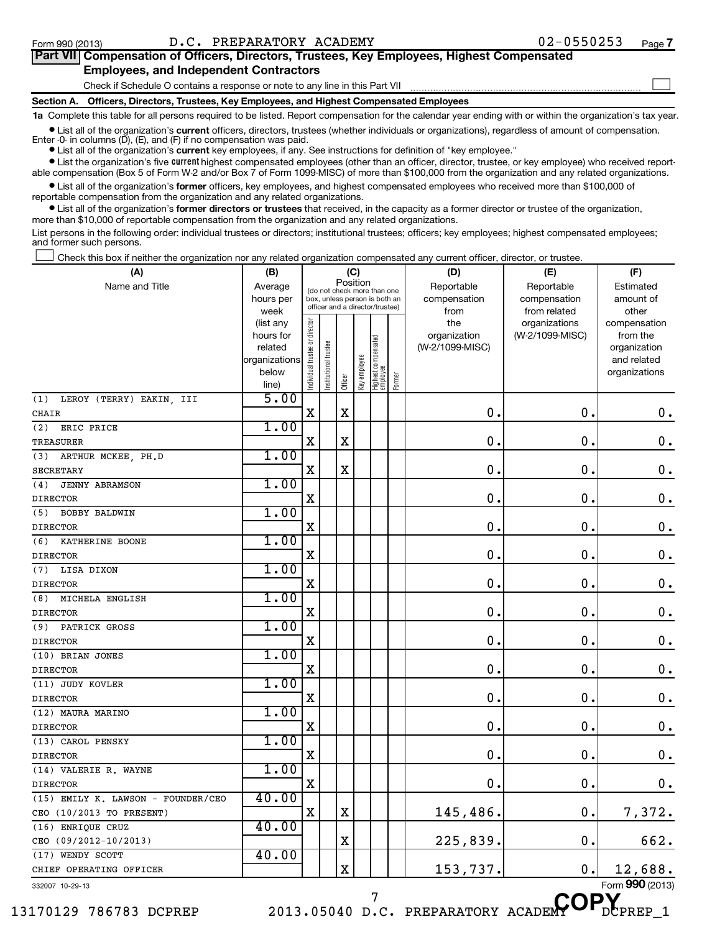#### Form 990 (2013)  $D.C. PREPARATORY ACADEMY$   $02-0550253$   $Page$

| Part VII Compensation of Officers, Directors, Trustees, Key Employees, Highest Compensated |  |
|--------------------------------------------------------------------------------------------|--|
| <b>Employees, and Independent Contractors</b>                                              |  |
| Check if Schedule O contains a response or note to any line in this Part VII               |  |
| Section A. Officers, Directors, Trustees, Key Employees, and Highest Compensated Employees |  |

**1a**  Complete this table for all persons required to be listed. Report compensation for the calendar year ending with or within the organization's tax year.

• List all of the organization's current officers, directors, trustees (whether individuals or organizations), regardless of amount of compensation. Enter -0- in columns  $(D)$ ,  $(E)$ , and  $(F)$  if no compensation was paid.

**•** List all of the organization's **current** key employees, if any. See instructions for definition of "key employee."

**•** List the organization's five *current* highest compensated employees (other than an officer, director, trustee, or key employee) who received reportable compensation (Box 5 of Form W-2 and/or Box 7 of Form 1099-MISC) of more than \$100,000 from the organization and any related organizations.

 $\bullet$  List all of the organization's former officers, key employees, and highest compensated employees who received more than \$100,000 of reportable compensation from the organization and any related organizations.

**•** List all of the organization's former directors or trustees that received, in the capacity as a former director or trustee of the organization, more than \$10,000 of reportable compensation from the organization and any related organizations.

List persons in the following order: individual trustees or directors; institutional trustees; officers; key employees; highest compensated employees; and former such persons.

Check this box if neither the organization nor any related organization compensated any current officer, director, or trustee.  $\Box$ 

| (A)                                | (B)               |                                                       |                                                                  | (C)                   |              |                                 |        | (D)             | (E)                           | (F)                   |
|------------------------------------|-------------------|-------------------------------------------------------|------------------------------------------------------------------|-----------------------|--------------|---------------------------------|--------|-----------------|-------------------------------|-----------------------|
| Name and Title                     | Average           | Position<br>Reportable<br>(do not check more than one |                                                                  | Reportable            | Estimated    |                                 |        |                 |                               |                       |
|                                    | hours per         |                                                       | box, unless person is both an<br>officer and a director/trustee) |                       |              |                                 |        | compensation    | compensation                  | amount of             |
|                                    | week<br>(list any |                                                       |                                                                  |                       |              |                                 |        | from<br>the     | from related<br>organizations | other<br>compensation |
|                                    | hours for         | Individual trustee or director                        |                                                                  |                       |              |                                 |        | organization    | (W-2/1099-MISC)               | from the              |
|                                    | related           |                                                       |                                                                  |                       |              |                                 |        | (W-2/1099-MISC) |                               | organization          |
|                                    | organizations     |                                                       |                                                                  |                       |              |                                 |        |                 |                               | and related           |
|                                    | below             |                                                       | nstitutional trustee                                             |                       | key employee | Highest compensated<br>employee |        |                 |                               | organizations         |
|                                    | line)             |                                                       |                                                                  | Officer               |              |                                 | Former |                 |                               |                       |
| (1)<br>LEROY (TERRY) EAKIN, III    | 5.00              |                                                       |                                                                  |                       |              |                                 |        |                 |                               |                       |
| CHAIR                              |                   | $\mathbf X$                                           |                                                                  | $\mathbf X$           |              |                                 |        | $\mathbf 0$ .   | $\mathbf 0$ .                 | $\mathbf 0$ .         |
| ERIC PRICE<br>(2)                  | 1.00              |                                                       |                                                                  |                       |              |                                 |        |                 |                               |                       |
| <b>TREASURER</b>                   |                   | $\mathbf X$                                           |                                                                  | $\mathbf X$           |              |                                 |        | $\mathbf 0$     | $\mathbf 0$                   | $\mathbf 0$ .         |
| ARTHUR MCKEE, PH.D<br>(3)          | 1.00              |                                                       |                                                                  |                       |              |                                 |        |                 |                               |                       |
| <b>SECRETARY</b>                   |                   | X                                                     |                                                                  | X                     |              |                                 |        | $\mathbf 0$ .   | $\mathbf 0$ .                 | $\mathbf 0$ .         |
| <b>JENNY ABRAMSON</b><br>(4)       | 1.00              |                                                       |                                                                  |                       |              |                                 |        |                 |                               |                       |
| <b>DIRECTOR</b>                    |                   | X                                                     |                                                                  |                       |              |                                 |        | 0.              | 0.                            | $\mathbf 0$ .         |
| (5) BOBBY BALDWIN                  | 1.00              |                                                       |                                                                  |                       |              |                                 |        |                 |                               |                       |
| <b>DIRECTOR</b>                    |                   | X                                                     |                                                                  |                       |              |                                 |        | $\mathbf 0$     | $\mathbf 0$                   | $\mathbf 0$ .         |
| (6) KATHERINE BOONE                | 1.00              |                                                       |                                                                  |                       |              |                                 |        |                 |                               |                       |
| <b>DIRECTOR</b>                    |                   | $\mathbf X$                                           |                                                                  |                       |              |                                 |        | $\mathbf 0$ .   | $\mathbf 0$                   | $\mathbf 0$ .         |
| (7) LISA DIXON                     | 1.00              |                                                       |                                                                  |                       |              |                                 |        |                 |                               |                       |
| <b>DIRECTOR</b>                    |                   | X                                                     |                                                                  |                       |              |                                 |        | $\mathbf 0$ .   | 0                             | 0.                    |
| (8) MICHELA ENGLISH                | 1.00              |                                                       |                                                                  |                       |              |                                 |        |                 |                               |                       |
| <b>DIRECTOR</b>                    |                   | X                                                     |                                                                  |                       |              |                                 |        | 0.              | $\mathbf 0$                   | $\mathbf 0$ .         |
| (9) PATRICK GROSS                  | 1.00              |                                                       |                                                                  |                       |              |                                 |        |                 |                               |                       |
| <b>DIRECTOR</b>                    |                   | $\mathbf X$                                           |                                                                  |                       |              |                                 |        | $\mathbf 0$     | $\mathbf 0$                   | $\mathbf 0$ .         |
| (10) BRIAN JONES                   | 1.00              |                                                       |                                                                  |                       |              |                                 |        |                 |                               |                       |
| <b>DIRECTOR</b>                    |                   | $\mathbf X$                                           |                                                                  |                       |              |                                 |        | $\mathbf 0$     | $\mathbf 0$                   | $\mathbf 0$ .         |
| (11) JUDY KOVLER                   | 1.00              |                                                       |                                                                  |                       |              |                                 |        |                 |                               |                       |
| <b>DIRECTOR</b>                    |                   | $\mathbf X$                                           |                                                                  |                       |              |                                 |        | $\mathbf 0$ .   | $\mathbf 0$ .                 | $\mathbf 0$ .         |
| (12) MAURA MARINO                  | 1.00              |                                                       |                                                                  |                       |              |                                 |        |                 |                               |                       |
| <b>DIRECTOR</b>                    |                   | X                                                     |                                                                  |                       |              |                                 |        | $\mathbf 0$ .   | $\mathbf 0$ .                 | $\mathbf 0$ .         |
| (13) CAROL PENSKY                  | 1.00              |                                                       |                                                                  |                       |              |                                 |        |                 |                               |                       |
| <b>DIRECTOR</b>                    |                   | X                                                     |                                                                  |                       |              |                                 |        | $\mathbf 0$ .   | $\mathbf 0$                   | $\mathbf 0$ .         |
| (14) VALERIE R. WAYNE              | 1.00              |                                                       |                                                                  |                       |              |                                 |        |                 |                               |                       |
| <b>DIRECTOR</b>                    |                   | X                                                     |                                                                  |                       |              |                                 |        | $\mathbf 0$ .   | $\mathbf 0$                   | $\mathbf 0$ .         |
| (15) EMILY K. LAWSON - FOUNDER/CEO | 40.00             |                                                       |                                                                  |                       |              |                                 |        |                 |                               |                       |
| CEO (10/2013 TO PRESENT)           |                   | $\mathbf X$                                           |                                                                  | $\mathbf X$           |              |                                 |        | 145,486.        | 0.                            | 7,372.                |
| (16) ENRIQUE CRUZ                  | 40.00             |                                                       |                                                                  |                       |              |                                 |        |                 |                               |                       |
| CEO (09/2012-10/2013)              |                   |                                                       |                                                                  | Χ                     |              |                                 |        | 225,839.        | $\mathbf 0$                   | 662.                  |
| (17) WENDY SCOTT                   | 40.00             |                                                       |                                                                  |                       |              |                                 |        |                 |                               |                       |
| CHIEF OPERATING OFFICER            |                   |                                                       |                                                                  | $\overline{\text{X}}$ |              |                                 |        | 153,737.        | $\mathbf 0$ .                 | 12,688.               |
| 332007 10-29-13                    |                   |                                                       |                                                                  |                       |              |                                 |        |                 |                               | Form 990 (2013)       |

13170129 786783 DCPREP 2013.05040 D.C. PREPARATORY ACADEMY DCPREP\_1

<sup>7</sup> D.C. PREPARATORY ACADEMY OP.

Form (2013) **990**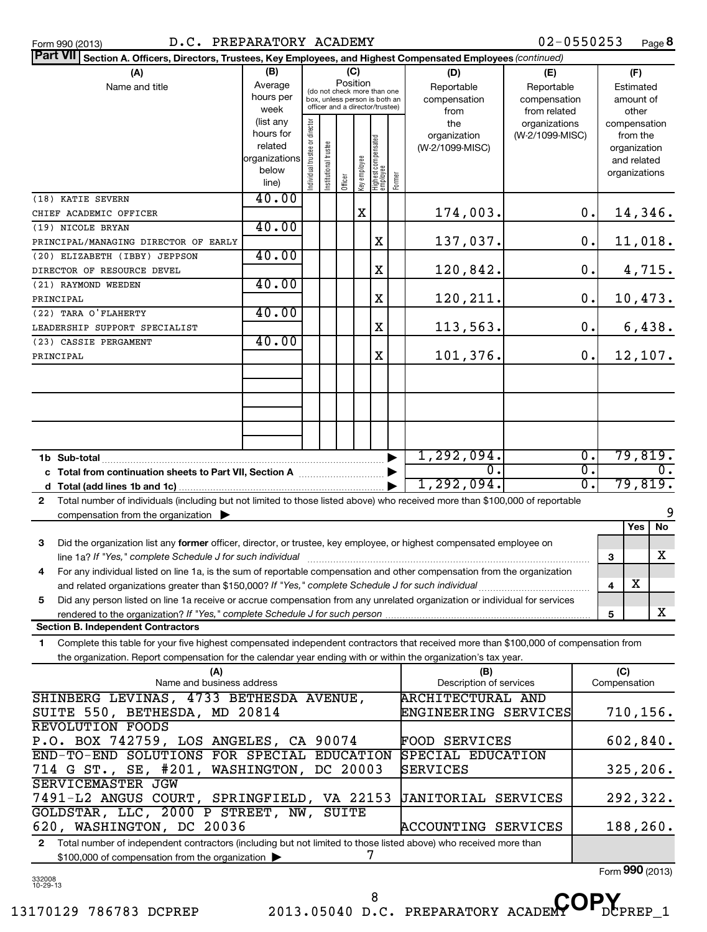| Part VII Section A. Officers, Directors, Trustees, Key Employees, and Highest Compensated Employees (continued)                              |                        |                                |                                                                  |          |              |                                 |        |                                 |                 |                  |              |                             |
|----------------------------------------------------------------------------------------------------------------------------------------------|------------------------|--------------------------------|------------------------------------------------------------------|----------|--------------|---------------------------------|--------|---------------------------------|-----------------|------------------|--------------|-----------------------------|
| (A)                                                                                                                                          | (B)                    |                                |                                                                  | (C)      |              |                                 |        | (D)                             | (E)             |                  |              | (F)                         |
| Name and title                                                                                                                               | Average                |                                | (do not check more than one                                      | Position |              |                                 |        | Reportable                      | Reportable      |                  |              | Estimated                   |
|                                                                                                                                              | hours per              |                                | box, unless person is both an<br>officer and a director/trustee) |          |              |                                 |        | compensation                    | compensation    |                  |              | amount of                   |
|                                                                                                                                              | week                   |                                |                                                                  |          |              |                                 |        | from                            | from related    |                  |              | other                       |
|                                                                                                                                              | (list any<br>hours for |                                |                                                                  |          |              |                                 |        | the                             | organizations   |                  |              | compensation<br>from the    |
|                                                                                                                                              | related                |                                |                                                                  |          |              |                                 |        | organization<br>(W-2/1099-MISC) | (W-2/1099-MISC) |                  |              | organization                |
|                                                                                                                                              | organizations          |                                |                                                                  |          |              |                                 |        |                                 |                 |                  |              | and related                 |
|                                                                                                                                              | below                  | Individual trustee or director | Institutional trustee                                            |          |              |                                 |        |                                 |                 |                  |              | organizations               |
|                                                                                                                                              | line)                  |                                |                                                                  | Officer  | Key employee | Highest compensated<br>employee | Former |                                 |                 |                  |              |                             |
| (18) KATIE SEVERN                                                                                                                            | 40.00                  |                                |                                                                  |          |              |                                 |        |                                 |                 |                  |              |                             |
| CHIEF ACADEMIC OFFICER                                                                                                                       |                        |                                |                                                                  |          | $\mathbf X$  |                                 |        | 174,003.                        |                 | 0.               |              | 14,346.                     |
| (19) NICOLE BRYAN                                                                                                                            | 40.00                  |                                |                                                                  |          |              |                                 |        |                                 |                 |                  |              |                             |
| PRINCIPAL/MANAGING DIRECTOR OF EARLY                                                                                                         |                        |                                |                                                                  |          |              | X                               |        | 137,037.                        |                 | $0$ .            |              | 11,018.                     |
| (20) ELIZABETH (IBBY) JEPPSON                                                                                                                | 40.00                  |                                |                                                                  |          |              |                                 |        |                                 |                 |                  |              |                             |
| DIRECTOR OF RESOURCE DEVEL                                                                                                                   |                        |                                |                                                                  |          |              | $\mathbf X$                     |        | 120,842.                        |                 | 0.               |              | 4,715.                      |
| (21) RAYMOND WEEDEN                                                                                                                          | 40.00                  |                                |                                                                  |          |              |                                 |        |                                 |                 |                  |              |                             |
| PRINCIPAL                                                                                                                                    |                        |                                |                                                                  |          |              | X                               |        | 120,211.                        |                 | $0$ .            |              | 10,473.                     |
| (22) TARA O'FLAHERTY                                                                                                                         | 40.00                  |                                |                                                                  |          |              |                                 |        |                                 |                 |                  |              |                             |
| LEADERSHIP SUPPORT SPECIALIST                                                                                                                |                        |                                |                                                                  |          |              | X                               |        | 113,563.                        |                 | 0.               |              | 6,438.                      |
| (23) CASSIE PERGAMENT                                                                                                                        | 40.00                  |                                |                                                                  |          |              |                                 |        |                                 |                 |                  |              |                             |
| PRINCIPAL                                                                                                                                    |                        |                                |                                                                  |          |              | X                               |        | 101,376.                        |                 | $\mathbf 0$ .    |              | 12,107.                     |
|                                                                                                                                              |                        |                                |                                                                  |          |              |                                 |        |                                 |                 |                  |              |                             |
|                                                                                                                                              |                        |                                |                                                                  |          |              |                                 |        |                                 |                 |                  |              |                             |
|                                                                                                                                              |                        |                                |                                                                  |          |              |                                 |        |                                 |                 |                  |              |                             |
|                                                                                                                                              |                        |                                |                                                                  |          |              |                                 |        |                                 |                 |                  |              |                             |
|                                                                                                                                              |                        |                                |                                                                  |          |              |                                 |        |                                 |                 |                  |              |                             |
|                                                                                                                                              |                        |                                |                                                                  |          |              |                                 |        |                                 |                 | $\overline{0}$ . |              |                             |
|                                                                                                                                              |                        |                                |                                                                  |          |              |                                 |        | 1,292,094.<br>$\overline{0}$ .  |                 | $\overline{0}$ . |              | 79,819.<br>$\overline{0}$ . |
|                                                                                                                                              |                        |                                |                                                                  |          |              |                                 |        | 1,292,094.                      |                 | $\overline{0}$ . |              | 79,819.                     |
|                                                                                                                                              |                        |                                |                                                                  |          |              |                                 |        |                                 |                 |                  |              |                             |
| Total number of individuals (including but not limited to those listed above) who received more than \$100,000 of reportable<br>$\mathbf{2}$ |                        |                                |                                                                  |          |              |                                 |        |                                 |                 |                  |              | 9                           |
| compensation from the organization $\blacktriangleright$                                                                                     |                        |                                |                                                                  |          |              |                                 |        |                                 |                 |                  |              | No<br>Yes                   |
| 3<br>Did the organization list any former officer, director, or trustee, key employee, or highest compensated employee on                    |                        |                                |                                                                  |          |              |                                 |        |                                 |                 |                  |              |                             |
| line 1a? If "Yes," complete Schedule J for such individual                                                                                   |                        |                                |                                                                  |          |              |                                 |        |                                 |                 |                  | 3            | X                           |
| For any individual listed on line 1a, is the sum of reportable compensation and other compensation from the organization<br>4                |                        |                                |                                                                  |          |              |                                 |        |                                 |                 |                  |              |                             |
|                                                                                                                                              |                        |                                |                                                                  |          |              |                                 |        |                                 |                 |                  | 4            | $\overline{\textbf{X}}$     |
| Did any person listed on line 1a receive or accrue compensation from any unrelated organization or individual for services<br>5              |                        |                                |                                                                  |          |              |                                 |        |                                 |                 |                  |              |                             |
| rendered to the organization? If "Yes," complete Schedule J for such person                                                                  |                        |                                |                                                                  |          |              |                                 |        |                                 |                 |                  | 5            | X                           |
| <b>Section B. Independent Contractors</b>                                                                                                    |                        |                                |                                                                  |          |              |                                 |        |                                 |                 |                  |              |                             |
| Complete this table for your five highest compensated independent contractors that received more than \$100,000 of compensation from<br>1    |                        |                                |                                                                  |          |              |                                 |        |                                 |                 |                  |              |                             |
| the organization. Report compensation for the calendar year ending with or within the organization's tax year.                               |                        |                                |                                                                  |          |              |                                 |        |                                 |                 |                  |              |                             |
| (A)                                                                                                                                          |                        |                                |                                                                  |          |              |                                 |        | (B)                             |                 |                  | (C)          |                             |
| Name and business address                                                                                                                    |                        |                                |                                                                  |          |              |                                 |        | Description of services         |                 |                  | Compensation |                             |
| SHINBERG LEVINAS, 4733 BETHESDA AVENUE,                                                                                                      |                        |                                |                                                                  |          |              |                                 |        | <b>ARCHITECTURAL AND</b>        |                 |                  |              |                             |
| SUITE 550, BETHESDA, MD 20814                                                                                                                |                        |                                |                                                                  |          |              |                                 |        | ENGINEERING SERVICES            |                 |                  |              | 710,156.                    |
| <b>REVOLUTION FOODS</b>                                                                                                                      |                        |                                |                                                                  |          |              |                                 |        |                                 |                 |                  |              |                             |
| P.O. BOX 742759, LOS ANGELES, CA 90074                                                                                                       |                        |                                |                                                                  |          |              |                                 |        | FOOD SERVICES                   |                 |                  |              | 602,840.                    |
| END-TO-END SOLUTIONS FOR SPECIAL EDUCATION                                                                                                   |                        |                                |                                                                  |          |              |                                 |        | SPECIAL EDUCATION               |                 |                  |              |                             |
| 714 G ST., SE, #201, WASHINGTON, DC 20003                                                                                                    |                        |                                |                                                                  |          |              |                                 |        | SERVICES                        |                 |                  |              | 325, 206.                   |
| SERVICEMASTER JGW                                                                                                                            |                        |                                |                                                                  |          |              |                                 |        |                                 |                 |                  |              |                             |
| 7491-L2 ANGUS COURT, SPRINGFIELD, VA 22153                                                                                                   |                        |                                |                                                                  |          |              |                                 |        | <b>JANITORIAL SERVICES</b>      |                 |                  |              | 292,322.                    |
| GOLDSTAR, LLC, 2000 P STREET, NW, SUITE                                                                                                      |                        |                                |                                                                  |          |              |                                 |        |                                 |                 |                  |              |                             |

**2** Total number of independent contractors (including but not limited to those listed above) who received more than \$100,000 of compensation from the organization 7

620, WASHINGTON, DC 20036 ACCOUNTING SERVICES | 188,260.

Form (2013) **990**

332008 10-29-13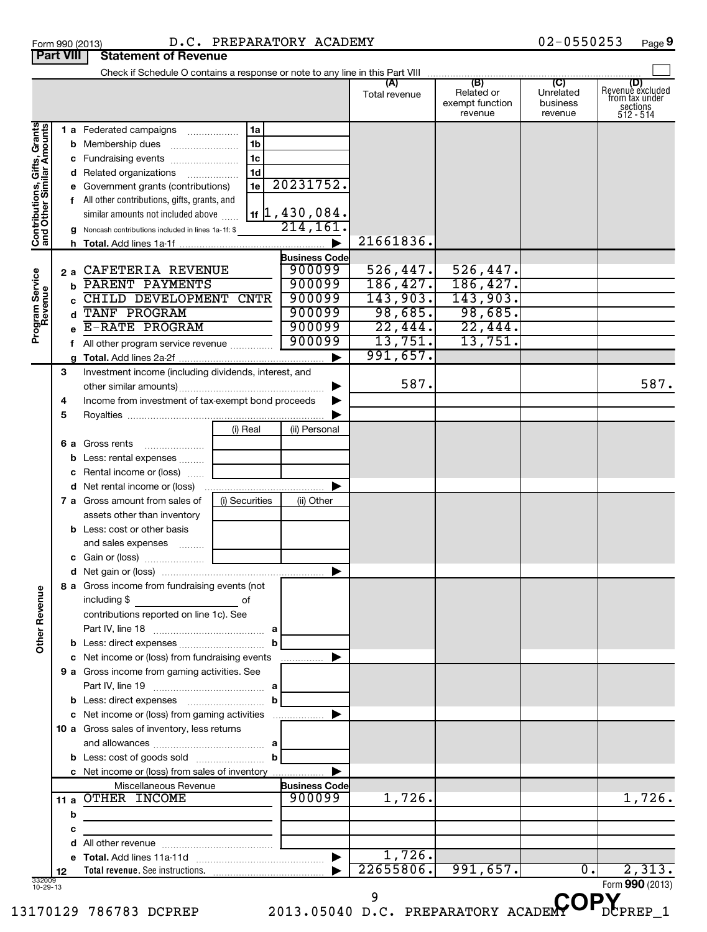| Form 990 (2013) |                                         | D.C. PR |  |
|-----------------|-----------------------------------------|---------|--|
|                 | <b>Part VIII   Statement of Revenue</b> |         |  |

#### Form 990 (2013) Page D.C. PREPARATORY ACADEMY 02-0550253

02-0550253 Page 9

|                                                           |         | Check if Schedule O contains a response or note to any line in this Part VIII                |                                |               |                                                 |                                         |                                                                                    |
|-----------------------------------------------------------|---------|----------------------------------------------------------------------------------------------|--------------------------------|---------------|-------------------------------------------------|-----------------------------------------|------------------------------------------------------------------------------------|
|                                                           |         |                                                                                              |                                | Total revenue | (B)<br>Related or<br>exempt function<br>revenue | (C)<br>Unrelated<br>business<br>revenue | (D)<br>Revenue excluded<br>from tax under<br>$\frac{200}{3}$ sections<br>512 - 514 |
| Contributions, Gifts, Grants<br>and Other Similar Amounts |         | 1 a Federated campaigns<br>1a<br>1 <sub>b</sub>                                              |                                |               |                                                 |                                         |                                                                                    |
|                                                           |         | 1 <sub>c</sub><br>c Fundraising events<br>1 <sub>d</sub><br>d Related organizations          |                                |               |                                                 |                                         |                                                                                    |
|                                                           |         | 1e<br>e Government grants (contributions)                                                    | 20231752.                      |               |                                                 |                                         |                                                                                    |
|                                                           |         | f All other contributions, gifts, grants, and                                                |                                |               |                                                 |                                         |                                                                                    |
|                                                           |         | similar amounts not included above                                                           | $1$ f $\vert$ 1, 430, 084.     |               |                                                 |                                         |                                                                                    |
|                                                           |         | Noncash contributions included in lines 1a-1f: \$                                            | 214,161                        |               |                                                 |                                         |                                                                                    |
|                                                           |         |                                                                                              | $\blacktriangleright$          | 21661836.     |                                                 |                                         |                                                                                    |
|                                                           |         | CAFETERIA REVENUE                                                                            | <b>Business Code</b><br>900099 | 526, 447.     | 526,447.                                        |                                         |                                                                                    |
|                                                           | 2а<br>h | PARENT PAYMENTS                                                                              | 900099                         | 186, 427.     | 186,427.                                        |                                         |                                                                                    |
|                                                           |         | CHILD DEVELOPMENT CNTR                                                                       | 900099                         | 143,903.      | 143,903.                                        |                                         |                                                                                    |
| Program Service<br>Revenue                                | d       | TANF PROGRAM                                                                                 | 900099                         | 98,685.       | 98,685.                                         |                                         |                                                                                    |
|                                                           |         | E-RATE PROGRAM                                                                               | 900099                         | 22,444.       | 22,444.                                         |                                         |                                                                                    |
|                                                           |         | f All other program service revenue                                                          | 900099                         | 13,751.       | 13,751.                                         |                                         |                                                                                    |
|                                                           | g       |                                                                                              | ▶                              | 991,657.      |                                                 |                                         |                                                                                    |
|                                                           | 3       | Investment income (including dividends, interest, and                                        |                                | 587.          |                                                 |                                         |                                                                                    |
|                                                           |         |                                                                                              | ▶                              |               |                                                 |                                         | 587.                                                                               |
|                                                           | 4<br>5  | Income from investment of tax-exempt bond proceeds                                           |                                |               |                                                 |                                         |                                                                                    |
|                                                           |         | (i) Real                                                                                     | (ii) Personal                  |               |                                                 |                                         |                                                                                    |
|                                                           | 6а      | Gross rents                                                                                  |                                |               |                                                 |                                         |                                                                                    |
|                                                           | b       | Less: rental expenses                                                                        |                                |               |                                                 |                                         |                                                                                    |
|                                                           | с       | Rental income or (loss)                                                                      |                                |               |                                                 |                                         |                                                                                    |
|                                                           |         |                                                                                              | ▶                              |               |                                                 |                                         |                                                                                    |
|                                                           |         | 7 a Gross amount from sales of<br>(i) Securities                                             | (ii) Other                     |               |                                                 |                                         |                                                                                    |
|                                                           |         | assets other than inventory                                                                  |                                |               |                                                 |                                         |                                                                                    |
|                                                           |         | <b>b</b> Less: cost or other basis                                                           |                                |               |                                                 |                                         |                                                                                    |
|                                                           |         | and sales expenses                                                                           |                                |               |                                                 |                                         |                                                                                    |
|                                                           |         |                                                                                              | ▶                              |               |                                                 |                                         |                                                                                    |
|                                                           |         | 8 a Gross income from fundraising events (not                                                |                                |               |                                                 |                                         |                                                                                    |
| 9U<br>Other Rever                                         |         | including \$<br>contributions reported on line 1c). See                                      |                                |               |                                                 |                                         |                                                                                    |
|                                                           |         |                                                                                              |                                |               |                                                 |                                         |                                                                                    |
|                                                           |         |                                                                                              |                                |               |                                                 |                                         |                                                                                    |
|                                                           |         | c Net income or (loss) from fundraising events                                               | .                              |               |                                                 |                                         |                                                                                    |
|                                                           |         | 9 a Gross income from gaming activities. See                                                 |                                |               |                                                 |                                         |                                                                                    |
|                                                           |         | b                                                                                            |                                |               |                                                 |                                         |                                                                                    |
|                                                           |         | c Net income or (loss) from gaming activities<br>10 a Gross sales of inventory, less returns |                                |               |                                                 |                                         |                                                                                    |
|                                                           |         |                                                                                              |                                |               |                                                 |                                         |                                                                                    |
|                                                           |         | c Net income or (loss) from sales of inventory                                               | ▶                              |               |                                                 |                                         |                                                                                    |
|                                                           |         | Miscellaneous Revenue                                                                        | <b>Business Code</b>           |               |                                                 |                                         |                                                                                    |
|                                                           |         | 11 a OTHER INCOME                                                                            | 900099                         | 1,726.        |                                                 |                                         | 1,726.                                                                             |
|                                                           | b       |                                                                                              |                                |               |                                                 |                                         |                                                                                    |
|                                                           | с       |                                                                                              |                                |               |                                                 |                                         |                                                                                    |
|                                                           |         |                                                                                              |                                |               |                                                 |                                         |                                                                                    |
|                                                           |         |                                                                                              | $\blacktriangleright$          | 1,726.        |                                                 |                                         |                                                                                    |
|                                                           | 12      |                                                                                              |                                | 22655806.     | 991,657.                                        | $\overline{0}$ .                        | 2,313.                                                                             |
| 332009<br>10-29-13                                        |         |                                                                                              |                                | 9             |                                                 |                                         | Form $990(2013)$                                                                   |
|                                                           |         | 170129 786783 DCPREP 2013.05040 D.C. PREPARATORY ACADE                                       |                                |               |                                                 |                                         |                                                                                    |

13170129 786783 DCPREP 2013.05040 D.C. PREPARATORY ACADEMY DCPREP\_1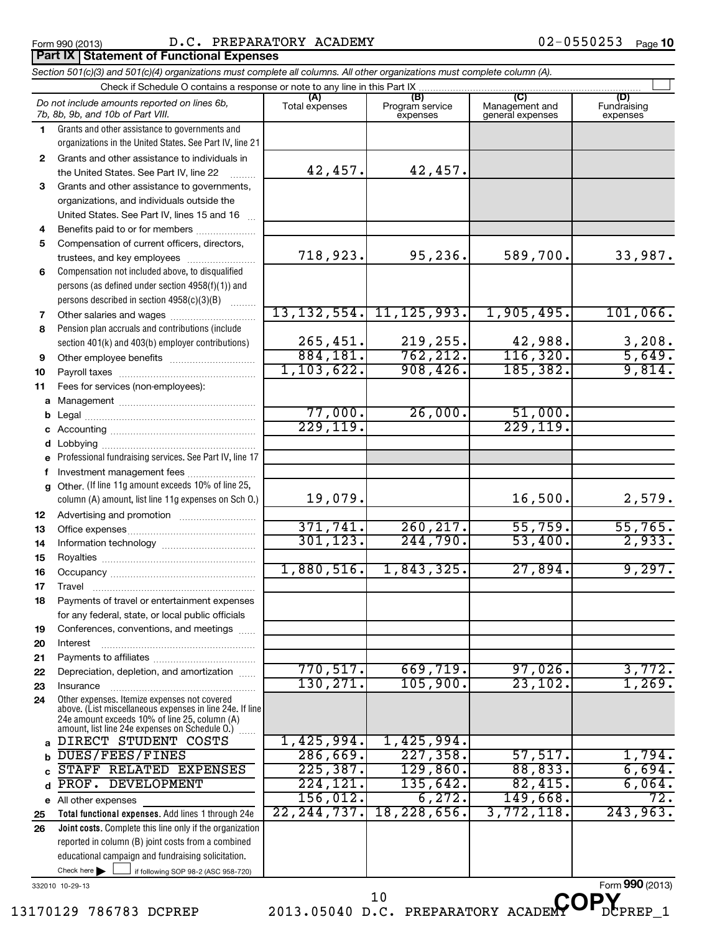#### Form 990 (2013)  $D.C.$  PREPARATORY ACADEMY  $02-0550253$   $Page$

# *Section 501(c)(3) and 501(c)(4) organizations must complete all columns. All other organizations must complete column (A).* **Part IX Statement of Functional Expenses**

|              | Do not include amounts reported on lines 6b.<br>7b, 8b, 9b, and 10b of Part VIII.                        | (A)<br>Total expenses | (B)<br>Program service<br>expenses | (C)<br>Management and<br>general expenses | (D)<br>Fundraising<br>expenses |
|--------------|----------------------------------------------------------------------------------------------------------|-----------------------|------------------------------------|-------------------------------------------|--------------------------------|
| 1            | Grants and other assistance to governments and                                                           |                       |                                    |                                           |                                |
|              | organizations in the United States. See Part IV, line 21                                                 |                       |                                    |                                           |                                |
| $\mathbf{2}$ | Grants and other assistance to individuals in                                                            |                       |                                    |                                           |                                |
|              | the United States. See Part IV, line 22                                                                  | 42,457.               | 42,457.                            |                                           |                                |
| 3            | Grants and other assistance to governments,                                                              |                       |                                    |                                           |                                |
|              | organizations, and individuals outside the                                                               |                       |                                    |                                           |                                |
|              | United States. See Part IV, lines 15 and 16                                                              |                       |                                    |                                           |                                |
| 4            | Benefits paid to or for members                                                                          |                       |                                    |                                           |                                |
| 5            | Compensation of current officers, directors,                                                             |                       |                                    |                                           |                                |
|              | trustees, and key employees                                                                              | 718,923.              | 95,236.                            | 589,700.                                  | 33,987.                        |
| 6            | Compensation not included above, to disqualified                                                         |                       |                                    |                                           |                                |
|              | persons (as defined under section 4958(f)(1)) and<br>persons described in section 4958(c)(3)(B)          |                       |                                    |                                           |                                |
| 7            | Other salaries and wages                                                                                 | 13, 132, 554.         | 11, 125, 993.                      | 1,905,495.                                | 101,066.                       |
| 8            | Pension plan accruals and contributions (include                                                         |                       |                                    |                                           |                                |
|              | section 401(k) and 403(b) employer contributions)                                                        | 265,451.              | 219,255.                           | 42,988.                                   | 3,208.                         |
| 9            |                                                                                                          | 884, 181.             | 762, 212.                          | 116,320.                                  | 5,649.                         |
| 10           |                                                                                                          | 1,103,622.            | 908,426.                           | 185, 382.                                 | 9,814.                         |
| 11           | Fees for services (non-employees):                                                                       |                       |                                    |                                           |                                |
| а            |                                                                                                          |                       |                                    |                                           |                                |
| b            |                                                                                                          | 77,000.               | 26,000.                            | 51,000.                                   |                                |
| c            |                                                                                                          | 229, 119.             |                                    | 229, 119.                                 |                                |
| d            |                                                                                                          |                       |                                    |                                           |                                |
| e            | Professional fundraising services. See Part IV, line 17                                                  |                       |                                    |                                           |                                |
| f            | Investment management fees                                                                               |                       |                                    |                                           |                                |
| $\mathbf{q}$ | Other. (If line 11g amount exceeds 10% of line 25,                                                       |                       |                                    |                                           |                                |
|              | column (A) amount, list line 11g expenses on Sch O.)                                                     | 19,079.               |                                    | 16,500.                                   | 2,579.                         |
| 12           |                                                                                                          | 371,741.              | 260, 217.                          | 55,759.                                   | 55,765.                        |
| 13           |                                                                                                          | 301, 123.             | 244,790.                           | 53,400.                                   | 2,933.                         |
| 14<br>15     |                                                                                                          |                       |                                    |                                           |                                |
| 16           |                                                                                                          | 1,880,516.            | 1,843,325.                         | 27,894.                                   | 9,297.                         |
| 17           | Travel                                                                                                   |                       |                                    |                                           |                                |
| 18           | Payments of travel or entertainment expenses                                                             |                       |                                    |                                           |                                |
|              | for any federal, state, or local public officials                                                        |                       |                                    |                                           |                                |
| 19           | Conferences, conventions, and meetings                                                                   |                       |                                    |                                           |                                |
| 20           | Interest                                                                                                 |                       |                                    |                                           |                                |
| 21           |                                                                                                          |                       |                                    |                                           |                                |
| 22           | Depreciation, depletion, and amortization                                                                | 770, 517.             | 669,719.                           | 97,026.                                   | 3,772.                         |
| 23           | Insurance                                                                                                | 130, 271.             | 105,900.                           | 23,102.                                   | 1,269.                         |
| 24           | Other expenses. Itemize expenses not covered<br>above. (List miscellaneous expenses in line 24e. If line |                       |                                    |                                           |                                |
|              | 24e amount exceeds 10% of line 25, column (A)                                                            |                       |                                    |                                           |                                |
| a            | amount, list line 24e expenses on Schedule O.)<br>DIRECT STUDENT COSTS                                   | 1,425,994.            | 1,425,994.                         |                                           |                                |
| b            | DUES/FEES/FINES                                                                                          | 286,669.              | 227, 358.                          | 57,517.                                   | 1,794.                         |
| C            | STAFF RELATED EXPENSES                                                                                   | 225, 387.             | 129,860.                           | 88,833.                                   | 6,694.                         |
| d            | <b>DEVELOPMENT</b><br>PROF.                                                                              | 224,121.              | 135,642.                           | 82,415.                                   | 6,064.                         |
|              | e All other expenses                                                                                     | 156,012.              | 6,272.                             | 149,668.                                  | $\overline{72}$ .              |
| 25           | Total functional expenses. Add lines 1 through 24e                                                       | 22, 244, 737.         | 18, 228, 656.                      | 3,772,118.                                | 243,963.                       |
| 26           | Joint costs. Complete this line only if the organization                                                 |                       |                                    |                                           |                                |
|              | reported in column (B) joint costs from a combined                                                       |                       |                                    |                                           |                                |
|              | educational campaign and fundraising solicitation.                                                       |                       |                                    |                                           |                                |
|              | Check here $\blacktriangleright$<br>if following SOP 98-2 (ASC 958-720)                                  |                       |                                    |                                           | $000 \text{ years}$            |
|              |                                                                                                          |                       |                                    |                                           |                                |

332010 10-29-13

13170129 786783 DCPREP 2013.05040 D.C. PREPARATORY ACADEMY DCPREP\_1

<sup>10</sup> D.C. PREPARATORY ACADEMY OP<sub>DCI</sub>

Form **990** (2013)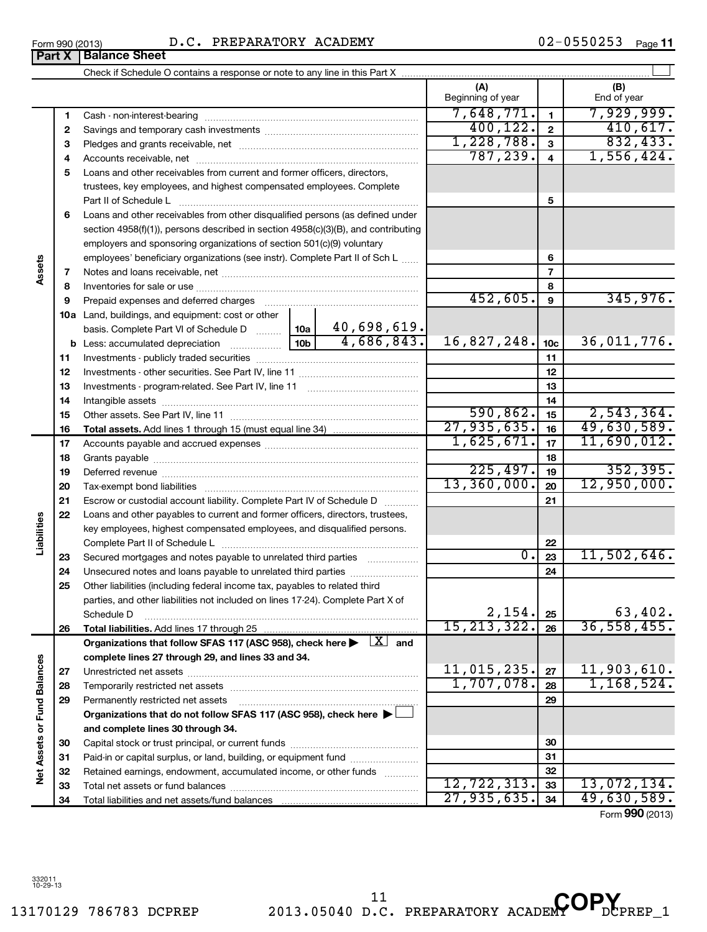|       | Form 990 (2013) | D.C. PREPARATORY ACADEMY                                                                                                                                                                                                                         |                 |             |                          |                 | $02 - 0550253$<br>Page 11 |
|-------|-----------------|--------------------------------------------------------------------------------------------------------------------------------------------------------------------------------------------------------------------------------------------------|-----------------|-------------|--------------------------|-----------------|---------------------------|
|       | Part X          | <b>Balance Sheet</b>                                                                                                                                                                                                                             |                 |             |                          |                 |                           |
|       |                 |                                                                                                                                                                                                                                                  |                 |             |                          |                 |                           |
|       |                 |                                                                                                                                                                                                                                                  |                 |             | (A)<br>Beginning of year |                 | (B)<br>End of year        |
|       |                 |                                                                                                                                                                                                                                                  |                 |             | 7,648,771.               | $\blacksquare$  | 7,929,999.                |
|       | 2               |                                                                                                                                                                                                                                                  |                 |             | 400, 122.                | $\overline{2}$  | 410,617.                  |
|       | 3               |                                                                                                                                                                                                                                                  |                 |             | 1,228,788.               | 3               | 832, 433.                 |
|       | 4               |                                                                                                                                                                                                                                                  |                 |             | 787, 239.                | 4               | 1,556,424.                |
|       | 5               | Loans and other receivables from current and former officers, directors,<br>trustees, key employees, and highest compensated employees. Complete                                                                                                 |                 |             |                          |                 |                           |
|       |                 | Part II of Schedule L                                                                                                                                                                                                                            |                 |             |                          | 5               |                           |
|       | 6               | Loans and other receivables from other disqualified persons (as defined under<br>section $4958(f)(1)$ , persons described in section $4958(c)(3)(B)$ , and contributing<br>employers and sponsoring organizations of section 501(c)(9) voluntary |                 |             |                          |                 |                           |
|       |                 | employees' beneficiary organizations (see instr). Complete Part II of Sch L                                                                                                                                                                      |                 |             |                          | 6               |                           |
| ssets | 7               |                                                                                                                                                                                                                                                  |                 |             |                          | 7               |                           |
|       | 8               |                                                                                                                                                                                                                                                  |                 |             |                          | 8               |                           |
|       | 9               | Prepaid expenses and deferred charges                                                                                                                                                                                                            |                 |             | 452,605.                 | 9               | 345,976.                  |
|       | 10a             | Land, buildings, and equipment: cost or other<br>basis. Complete Part VI of Schedule D                                                                                                                                                           | 10a l           | 40,698,619. |                          |                 |                           |
|       |                 | <b>b</b> Less: accumulated depreciation                                                                                                                                                                                                          | 10 <sub>b</sub> | 4,686,843.  | 16,827,248.              | 10 <sub>c</sub> | 36,011,776.               |
|       | 11              |                                                                                                                                                                                                                                                  |                 |             |                          | 11              |                           |
|       |                 |                                                                                                                                                                                                                                                  |                 |             |                          |                 |                           |

|                             | 11 |                                                                                                                                                                                                                                |                  | 11 |               |
|-----------------------------|----|--------------------------------------------------------------------------------------------------------------------------------------------------------------------------------------------------------------------------------|------------------|----|---------------|
|                             | 12 |                                                                                                                                                                                                                                |                  | 12 |               |
|                             | 13 |                                                                                                                                                                                                                                |                  | 13 |               |
|                             | 14 |                                                                                                                                                                                                                                |                  | 14 |               |
|                             | 15 |                                                                                                                                                                                                                                | 590,862.         | 15 | 2,543,364.    |
|                             | 16 |                                                                                                                                                                                                                                | 27,935,635.      | 16 | 49,630,589.   |
|                             | 17 |                                                                                                                                                                                                                                | 1,625,671.       | 17 | 11,690,012.   |
|                             | 18 |                                                                                                                                                                                                                                |                  | 18 |               |
|                             | 19 | Deferred revenue manual contracts and contracts are all the manual contracts and contracts are all the contracts and contracts are contracted and contracts are contracted and contract are contracted and contract are contra | 225,497.         | 19 | 352, 395.     |
|                             | 20 |                                                                                                                                                                                                                                | 13,360,000.      | 20 | 12,950,000.   |
|                             | 21 | Escrow or custodial account liability. Complete Part IV of Schedule D                                                                                                                                                          |                  | 21 |               |
|                             | 22 | Loans and other payables to current and former officers, directors, trustees,                                                                                                                                                  |                  |    |               |
| Liabilities                 |    | key employees, highest compensated employees, and disqualified persons.                                                                                                                                                        |                  |    |               |
|                             |    |                                                                                                                                                                                                                                |                  | 22 |               |
|                             | 23 | Secured mortgages and notes payable to unrelated third parties                                                                                                                                                                 | $\overline{0}$ . | 23 | 11,502,646.   |
|                             | 24 | Unsecured notes and loans payable to unrelated third parties                                                                                                                                                                   |                  | 24 |               |
|                             | 25 | Other liabilities (including federal income tax, payables to related third                                                                                                                                                     |                  |    |               |
|                             |    | parties, and other liabilities not included on lines 17-24). Complete Part X of                                                                                                                                                |                  |    |               |
|                             |    | Schedule D                                                                                                                                                                                                                     | 2,154.           | 25 | 63,402.       |
|                             | 26 |                                                                                                                                                                                                                                | 15, 213, 322.    | 26 | 36, 558, 455. |
|                             |    | Organizations that follow SFAS 117 (ASC 958), check here $\blacktriangleright \begin{array}{c} \perp X \end{array}$ and                                                                                                        |                  |    |               |
|                             |    | complete lines 27 through 29, and lines 33 and 34.                                                                                                                                                                             |                  |    |               |
|                             | 27 |                                                                                                                                                                                                                                | 11,015,235.      | 27 | 11,903,610.   |
|                             | 28 |                                                                                                                                                                                                                                | 1,707,078.       | 28 | 1,168,524.    |
|                             | 29 | Permanently restricted net assets                                                                                                                                                                                              |                  | 29 |               |
|                             |    | Organizations that do not follow SFAS 117 (ASC 958), check here $\blacktriangleright$                                                                                                                                          |                  |    |               |
|                             |    | and complete lines 30 through 34.                                                                                                                                                                                              |                  |    |               |
|                             | 30 |                                                                                                                                                                                                                                |                  | 30 |               |
| Net Assets or Fund Balances | 31 | Paid-in or capital surplus, or land, building, or equipment fund                                                                                                                                                               |                  | 31 |               |
|                             | 32 | Retained earnings, endowment, accumulated income, or other funds                                                                                                                                                               |                  | 32 |               |
|                             | 33 |                                                                                                                                                                                                                                | 12, 722, 313.    | 33 | 13,072,134.   |
|                             | 34 |                                                                                                                                                                                                                                | 27,935,635.      | 34 | 49,630,589.   |

Form (2013) **990**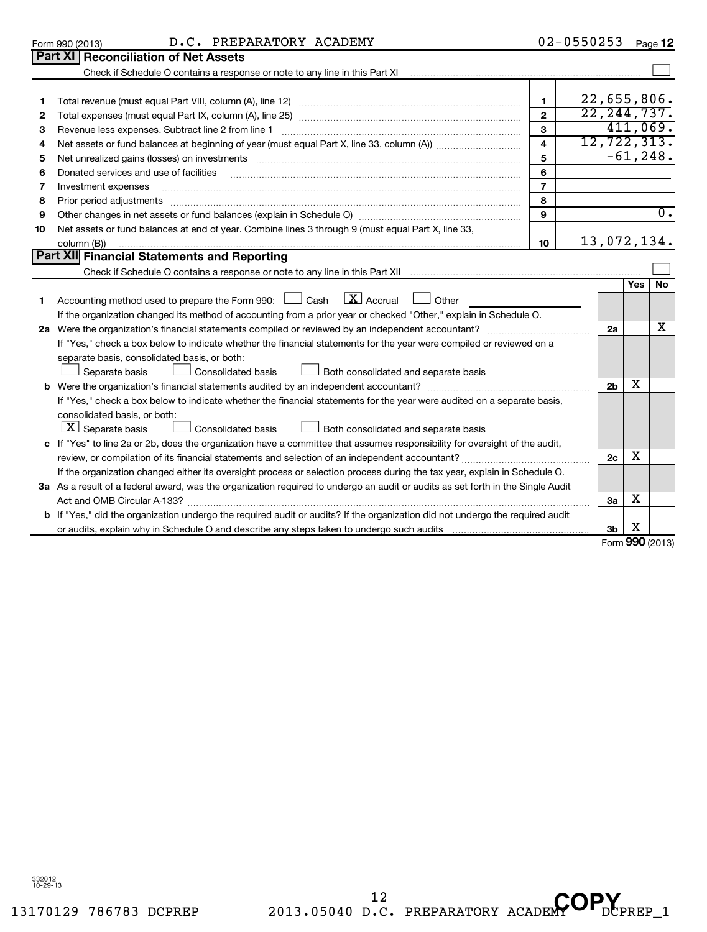| <b>THOI DUTOU aujustinuitis</b>                                                                                                                                           |                                                                                                                                            |                                                                                                                                                                                                                                                                                                                                                                                                                                                                                                                                                                                                                                                                                                                                                                     |                |                  |
|---------------------------------------------------------------------------------------------------------------------------------------------------------------------------|--------------------------------------------------------------------------------------------------------------------------------------------|---------------------------------------------------------------------------------------------------------------------------------------------------------------------------------------------------------------------------------------------------------------------------------------------------------------------------------------------------------------------------------------------------------------------------------------------------------------------------------------------------------------------------------------------------------------------------------------------------------------------------------------------------------------------------------------------------------------------------------------------------------------------|----------------|------------------|
| Other changes in net assets or fund balances (explain in Schedule O) manual content content content of the changes in net assets or fund balances (explain in Schedule O) | 9                                                                                                                                          |                                                                                                                                                                                                                                                                                                                                                                                                                                                                                                                                                                                                                                                                                                                                                                     |                | υ.               |
| Net assets or fund balances at end of year. Combine lines 3 through 9 (must equal Part X, line 33,                                                                        |                                                                                                                                            |                                                                                                                                                                                                                                                                                                                                                                                                                                                                                                                                                                                                                                                                                                                                                                     |                |                  |
| column (B))                                                                                                                                                               | 10                                                                                                                                         |                                                                                                                                                                                                                                                                                                                                                                                                                                                                                                                                                                                                                                                                                                                                                                     |                |                  |
|                                                                                                                                                                           |                                                                                                                                            |                                                                                                                                                                                                                                                                                                                                                                                                                                                                                                                                                                                                                                                                                                                                                                     |                |                  |
|                                                                                                                                                                           |                                                                                                                                            |                                                                                                                                                                                                                                                                                                                                                                                                                                                                                                                                                                                                                                                                                                                                                                     |                |                  |
| $\lfloor \mathbf{X} \rfloor$ Accrual<br>Accounting method used to prepare the Form 990: $\Box$ Cash<br>Other                                                              |                                                                                                                                            |                                                                                                                                                                                                                                                                                                                                                                                                                                                                                                                                                                                                                                                                                                                                                                     | Yes            | No.              |
|                                                                                                                                                                           |                                                                                                                                            |                                                                                                                                                                                                                                                                                                                                                                                                                                                                                                                                                                                                                                                                                                                                                                     |                |                  |
| Were the organization's financial statements compiled or reviewed by an independent accountant?                                                                           |                                                                                                                                            | 2a                                                                                                                                                                                                                                                                                                                                                                                                                                                                                                                                                                                                                                                                                                                                                                  |                | x                |
|                                                                                                                                                                           |                                                                                                                                            |                                                                                                                                                                                                                                                                                                                                                                                                                                                                                                                                                                                                                                                                                                                                                                     |                |                  |
| separate basis, consolidated basis, or both:<br><b>Consolidated basis</b><br>Separate basis<br>Both consolidated and separate basis                                       |                                                                                                                                            |                                                                                                                                                                                                                                                                                                                                                                                                                                                                                                                                                                                                                                                                                                                                                                     |                |                  |
|                                                                                                                                                                           |                                                                                                                                            |                                                                                                                                                                                                                                                                                                                                                                                                                                                                                                                                                                                                                                                                                                                                                                     |                |                  |
|                                                                                                                                                                           |                                                                                                                                            |                                                                                                                                                                                                                                                                                                                                                                                                                                                                                                                                                                                                                                                                                                                                                                     |                |                  |
| consolidated basis, or both:<br>$\lfloor \underline{X} \rfloor$ Separate basis<br>Consolidated basis<br>Both consolidated and separate basis                              |                                                                                                                                            |                                                                                                                                                                                                                                                                                                                                                                                                                                                                                                                                                                                                                                                                                                                                                                     |                |                  |
|                                                                                                                                                                           |                                                                                                                                            |                                                                                                                                                                                                                                                                                                                                                                                                                                                                                                                                                                                                                                                                                                                                                                     |                |                  |
| review, or compilation of its financial statements and selection of an independent accountant?                                                                            |                                                                                                                                            | 2c                                                                                                                                                                                                                                                                                                                                                                                                                                                                                                                                                                                                                                                                                                                                                                  | x              |                  |
|                                                                                                                                                                           |                                                                                                                                            |                                                                                                                                                                                                                                                                                                                                                                                                                                                                                                                                                                                                                                                                                                                                                                     |                |                  |
|                                                                                                                                                                           |                                                                                                                                            |                                                                                                                                                                                                                                                                                                                                                                                                                                                                                                                                                                                                                                                                                                                                                                     |                |                  |
| Act and OMB Circular A-133?                                                                                                                                               |                                                                                                                                            | За                                                                                                                                                                                                                                                                                                                                                                                                                                                                                                                                                                                                                                                                                                                                                                  | х              |                  |
|                                                                                                                                                                           | Part XII Financial Statements and Reporting<br><b>b</b> Were the organization's financial statements audited by an independent accountant? | If the organization changed its method of accounting from a prior year or checked "Other," explain in Schedule O.<br>If "Yes," check a box below to indicate whether the financial statements for the year were compiled or reviewed on a<br>If "Yes," check a box below to indicate whether the financial statements for the year were audited on a separate basis,<br>c If "Yes" to line 2a or 2b, does the organization have a committee that assumes responsibility for oversight of the audit,<br>If the organization changed either its oversight process or selection process during the tax year, explain in Schedule O.<br>3a As a result of a federal award, was the organization required to undergo an audit or audits as set forth in the Single Audit | 2 <sub>b</sub> | 13,072,134.<br>х |

#### **b** If "Yes," did the organization undergo the required audit or audits? If the organization did not undergo the required audit **3b** or audits, explain why in Schedule O and describe any steps taken to undergo such audits X

Form **990** (2013)

Check if Schedule O contains a response or note to any line in this Part XI

02-0550253 <sub>Page</sub> 12

 $\sim$ 

<sup>12</sup> D.C. PREPARATORY ACADEMY OP.

| Form 990 (2013) |                                             |  | D.C. PREP |
|-----------------|---------------------------------------------|--|-----------|
|                 | <b>Part XI Reconciliation of Net Assets</b> |  |           |

Form 990 (2013)  $D.C.$  PREPARATORY ACADEMY  $02-0550253$   $Page$ 

| 22,655,806.                                                                                                             |    |  |                |             |           |
|-------------------------------------------------------------------------------------------------------------------------|----|--|----------------|-------------|-----------|
| 22, 244, 737.<br>$\overline{2}$                                                                                         |    |  |                |             |           |
| Revenue less expenses. Subtract line 2 from line 1                                                                      | 3  |  |                | 411,069.    |           |
|                                                                                                                         | 4  |  | 12, 722, 313.  |             |           |
|                                                                                                                         | 5  |  |                | $-61, 248.$ |           |
| Donated services and use of facilities                                                                                  | 6  |  |                |             |           |
| Investment expenses                                                                                                     | 7  |  |                |             |           |
| Prior period adjustments                                                                                                | 8  |  |                |             |           |
|                                                                                                                         | 9  |  | 0.             |             |           |
| Net assets or fund balances at end of year. Combine lines 3 through 9 (must equal Part X, line 33,                      |    |  |                |             |           |
| column (B))                                                                                                             | 10 |  | 13,072,134.    |             |           |
| t XII Financial Statements and Reporting                                                                                |    |  |                |             |           |
|                                                                                                                         |    |  |                |             |           |
|                                                                                                                         |    |  |                | Yes         | <b>No</b> |
| Accounting method used to prepare the Form 990: $\Box$ Cash $\Box X$ Accrual $\Box$ Other                               |    |  |                |             |           |
| If the organization changed its method of accounting from a prior year or checked "Other," explain in Schedule O.       |    |  |                |             |           |
| Were the organization's financial statements compiled or reviewed by an independent accountant?                         |    |  | 2a             |             | х         |
| If "Yes," check a box below to indicate whether the financial statements for the year were compiled or reviewed on a    |    |  |                |             |           |
| separate basis, consolidated basis, or both:                                                                            |    |  |                |             |           |
| Consolidated basis<br>Separate basis<br>Both consolidated and separate basis                                            |    |  |                |             |           |
| Were the organization's financial statements audited by an independent accountant?                                      |    |  | 2 <sub>b</sub> | х           |           |
| If "Yes," check a box below to indicate whether the financial statements for the year were audited on a separate basis, |    |  |                |             |           |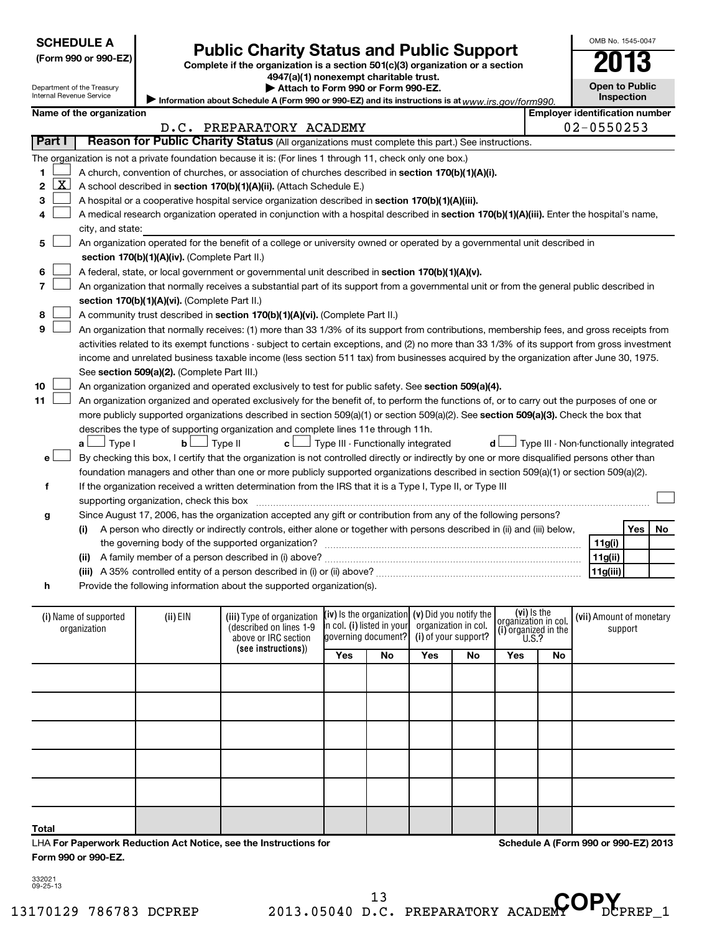| <b>SCHEDULE A</b>  |  |
|--------------------|--|
| (Form 990 or 990-E |  |

# Form 990 or 990-EZ)<br>
Complete if the organization is a section 501(c)(3) organization or a section<br> **Public Charity Status and Public Support**

**4947(a)(1) nonexempt charitable trust.**

**Open to Public Inspection**

OMB No. 1545-0047

| Department of the Treasury<br>Internal Revenue Service |
|--------------------------------------------------------|
| Name of the organizat                                  |

**| Attach to Form 990 or Form 990-EZ.** 

|       |                          | $\epsilon$ Information about Schedule A (Form 990 or 990-EZ) and its instructions is at $_{WWW}$ irs. gov/form 990. | <b>Inspection</b>              |
|-------|--------------------------|---------------------------------------------------------------------------------------------------------------------|--------------------------------|
| ation |                          |                                                                                                                     | Emplover identification number |
|       | D.C. PREPARATORY ACADEMY |                                                                                                                     | 02-0550253                     |

|               | FREFARAIORI ACADEMI<br>◡▵                                                                                                                              | ,,,,,,,, |            |           |
|---------------|--------------------------------------------------------------------------------------------------------------------------------------------------------|----------|------------|-----------|
| Part I        | Reason for Public Charity Status (All organizations must complete this part.) See instructions.                                                        |          |            |           |
|               | The organization is not a private foundation because it is: (For lines 1 through 11, check only one box.)                                              |          |            |           |
| 1.            | A church, convention of churches, or association of churches described in section 170(b)(1)(A)(i).                                                     |          |            |           |
| <u>x</u><br>2 | A school described in section 170(b)(1)(A)(ii). (Attach Schedule E.)                                                                                   |          |            |           |
| 3             | A hospital or a cooperative hospital service organization described in section 170(b)(1)(A)(iii).                                                      |          |            |           |
|               | A medical research organization operated in conjunction with a hospital described in section 170(b)(1)(A)(iii). Enter the hospital's name,             |          |            |           |
|               | city, and state:                                                                                                                                       |          |            |           |
| 5             | An organization operated for the benefit of a college or university owned or operated by a governmental unit described in                              |          |            |           |
|               | section 170(b)(1)(A)(iv). (Complete Part II.)                                                                                                          |          |            |           |
| 6             | A federal, state, or local government or governmental unit described in section 170(b)(1)(A)(v).                                                       |          |            |           |
|               | An organization that normally receives a substantial part of its support from a governmental unit or from the general public described in              |          |            |           |
|               | section 170(b)(1)(A)(vi). (Complete Part II.)                                                                                                          |          |            |           |
| 8             | A community trust described in section 170(b)(1)(A)(vi). (Complete Part II.)                                                                           |          |            |           |
| 9             | An organization that normally receives: (1) more than 33 1/3% of its support from contributions, membership fees, and gross receipts from              |          |            |           |
|               | activities related to its exempt functions - subject to certain exceptions, and (2) no more than 33 1/3% of its support from gross investment          |          |            |           |
|               | income and unrelated business taxable income (less section 511 tax) from businesses acquired by the organization after June 30, 1975.                  |          |            |           |
|               | See section 509(a)(2). (Complete Part III.)                                                                                                            |          |            |           |
| 10            | An organization organized and operated exclusively to test for public safety. See section 509(a)(4).                                                   |          |            |           |
| 11            | An organization organized and operated exclusively for the benefit of, to perform the functions of, or to carry out the purposes of one or             |          |            |           |
|               | more publicly supported organizations described in section 509(a)(1) or section 509(a)(2). See section 509(a)(3). Check the box that                   |          |            |           |
|               | describes the type of supporting organization and complete lines 11e through 11h.                                                                      |          |            |           |
|               | Type III - Non-functionally integrated<br>$\perp$ Type III - Functionally integrated<br>$\Box$ Type I<br>J Type II<br>$\mathbf{b}$<br>aι<br>c L<br>d l |          |            |           |
| е             | By checking this box, I certify that the organization is not controlled directly or indirectly by one or more disqualified persons other than          |          |            |           |
|               | foundation managers and other than one or more publicly supported organizations described in section 509(a)(1) or section 509(a)(2).                   |          |            |           |
| f             | If the organization received a written determination from the IRS that it is a Type I, Type II, or Type III                                            |          |            |           |
|               | supporting organization, check this box                                                                                                                |          |            |           |
| g             | Since August 17, 2006, has the organization accepted any gift or contribution from any of the following persons?                                       |          |            |           |
|               | A person who directly or indirectly controls, either alone or together with persons described in (ii) and (iii) below,<br>(i)                          |          | <b>Yes</b> | <b>No</b> |
|               |                                                                                                                                                        | 11g(i)   |            |           |
|               | (ii)                                                                                                                                                   | 11g(ii)  |            |           |
|               |                                                                                                                                                        | 11g(iii) |            |           |
| h             | Provide the following information about the supported organization(s).                                                                                 |          |            |           |
|               |                                                                                                                                                        |          |            |           |
|               | $\frac{1}{2}$<br>بتمديل بباد                                                                                                                           |          |            |           |

| (i) Name of supported<br>organization | (ii) EIN | (iii) Type of organization<br>(described on lines 1-9<br>above or IRC section |            | $(iv)$ is the organization $(v)$ Did you notify the<br>in col. (i) listed in your organization in col.<br>governing document? (i) of your support? |     |    | (vi) Is the<br> organization in col.<br>(i) organized in the<br>$\left  \begin{array}{c} 0.1, 0.0000, 0.0000, 0.0000, 0.0000, 0.0000, 0.0000, 0.0000, 0.0000, 0.0000, 0.0000, 0.0000, 0.0000, 0.0000, 0.0000, 0.0000, 0.0000, 0.0000, 0.0000, 0.000$ |    | (vii) Amount of monetary<br>support |
|---------------------------------------|----------|-------------------------------------------------------------------------------|------------|----------------------------------------------------------------------------------------------------------------------------------------------------|-----|----|------------------------------------------------------------------------------------------------------------------------------------------------------------------------------------------------------------------------------------------------------|----|-------------------------------------|
|                                       |          | (see instructions))                                                           | <b>Yes</b> | No                                                                                                                                                 | Yes | No | Yes                                                                                                                                                                                                                                                  | No |                                     |
|                                       |          |                                                                               |            |                                                                                                                                                    |     |    |                                                                                                                                                                                                                                                      |    |                                     |
|                                       |          |                                                                               |            |                                                                                                                                                    |     |    |                                                                                                                                                                                                                                                      |    |                                     |
|                                       |          |                                                                               |            |                                                                                                                                                    |     |    |                                                                                                                                                                                                                                                      |    |                                     |
|                                       |          |                                                                               |            |                                                                                                                                                    |     |    |                                                                                                                                                                                                                                                      |    |                                     |
|                                       |          |                                                                               |            |                                                                                                                                                    |     |    |                                                                                                                                                                                                                                                      |    |                                     |
| <b>Total</b>                          |          |                                                                               |            |                                                                                                                                                    |     |    |                                                                                                                                                                                                                                                      |    |                                     |

LHA **For Paperwork Reduction Act Notice, see the Instructions for Form 990 or 990-EZ.**

**Schedule A (Form 990 or 990-EZ) 2013**

332021 09-25-13

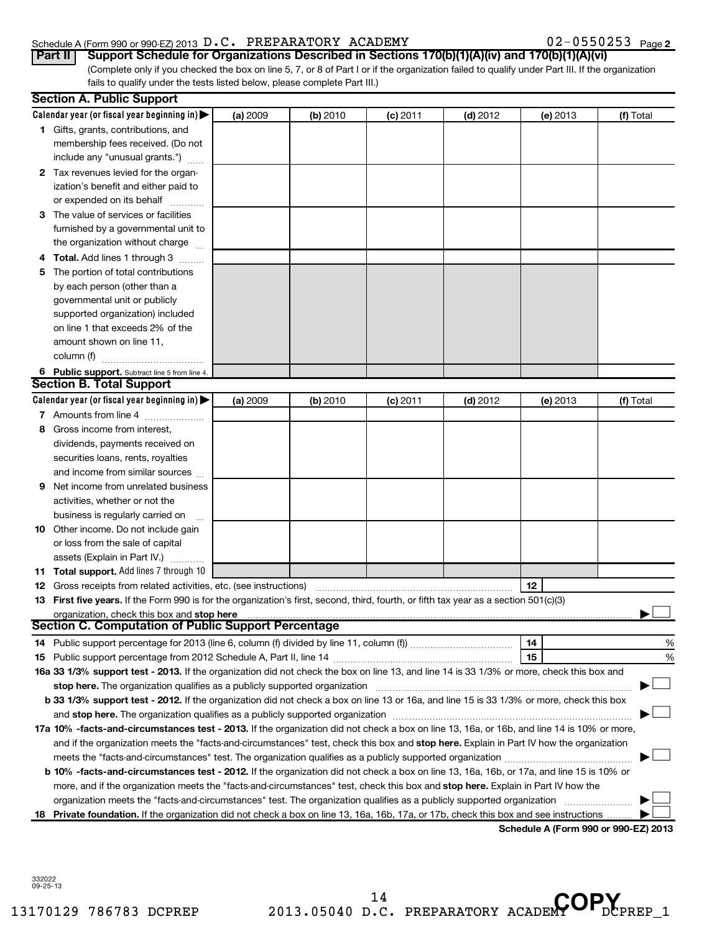#### Schedule A (Form 990 or 990-EZ) 2013 Page D.C. PREPARATORY ACADEMY 02-0550253

|  |  |  |  |  |  |  |  |  | $02 - 0550253$ Page 2 |
|--|--|--|--|--|--|--|--|--|-----------------------|
|--|--|--|--|--|--|--|--|--|-----------------------|

| Part II   Support Schedule for Organizations Described in Sections 170(b)(1)(A)(iv) and 170(b)(1)(A)(vi)                                        |
|-------------------------------------------------------------------------------------------------------------------------------------------------|
| (Complete only if you checked the box on line 5, 7, or 8 of Part I or if the organization failed to qualify under Part III. If the organization |
| fails to qualify under the tests listed below, please complete Part III.)                                                                       |

|    | <b>Section A. Public Support</b>                                                                                                                                                                                               |          |          |            |            |                                      |           |
|----|--------------------------------------------------------------------------------------------------------------------------------------------------------------------------------------------------------------------------------|----------|----------|------------|------------|--------------------------------------|-----------|
|    | Calendar year (or fiscal year beginning in) $\blacktriangleright$                                                                                                                                                              | (a) 2009 | (b) 2010 | $(c)$ 2011 | $(d)$ 2012 | (e) 2013                             | (f) Total |
|    | 1 Gifts, grants, contributions, and                                                                                                                                                                                            |          |          |            |            |                                      |           |
|    | membership fees received. (Do not                                                                                                                                                                                              |          |          |            |            |                                      |           |
|    | include any "unusual grants.")                                                                                                                                                                                                 |          |          |            |            |                                      |           |
|    | 2 Tax revenues levied for the organ-                                                                                                                                                                                           |          |          |            |            |                                      |           |
|    | ization's benefit and either paid to                                                                                                                                                                                           |          |          |            |            |                                      |           |
|    | or expended on its behalf                                                                                                                                                                                                      |          |          |            |            |                                      |           |
|    | 3 The value of services or facilities                                                                                                                                                                                          |          |          |            |            |                                      |           |
|    | furnished by a governmental unit to                                                                                                                                                                                            |          |          |            |            |                                      |           |
|    | the organization without charge                                                                                                                                                                                                |          |          |            |            |                                      |           |
| 4  | Total. Add lines 1 through 3                                                                                                                                                                                                   |          |          |            |            |                                      |           |
| 5  | The portion of total contributions                                                                                                                                                                                             |          |          |            |            |                                      |           |
|    | by each person (other than a                                                                                                                                                                                                   |          |          |            |            |                                      |           |
|    | governmental unit or publicly                                                                                                                                                                                                  |          |          |            |            |                                      |           |
|    | supported organization) included                                                                                                                                                                                               |          |          |            |            |                                      |           |
|    | on line 1 that exceeds 2% of the                                                                                                                                                                                               |          |          |            |            |                                      |           |
|    | amount shown on line 11,                                                                                                                                                                                                       |          |          |            |            |                                      |           |
|    | column (f)                                                                                                                                                                                                                     |          |          |            |            |                                      |           |
|    | 6 Public support. Subtract line 5 from line 4.                                                                                                                                                                                 |          |          |            |            |                                      |           |
|    | <b>Section B. Total Support</b>                                                                                                                                                                                                |          |          |            |            |                                      |           |
|    | Calendar year (or fiscal year beginning in)                                                                                                                                                                                    | (a) 2009 | (b) 2010 | $(c)$ 2011 | $(d)$ 2012 | (e) 2013                             | (f) Total |
|    | 7 Amounts from line 4                                                                                                                                                                                                          |          |          |            |            |                                      |           |
| 8  | Gross income from interest,                                                                                                                                                                                                    |          |          |            |            |                                      |           |
|    | dividends, payments received on                                                                                                                                                                                                |          |          |            |            |                                      |           |
|    | securities loans, rents, royalties                                                                                                                                                                                             |          |          |            |            |                                      |           |
|    | and income from similar sources                                                                                                                                                                                                |          |          |            |            |                                      |           |
| 9  | Net income from unrelated business                                                                                                                                                                                             |          |          |            |            |                                      |           |
|    | activities, whether or not the                                                                                                                                                                                                 |          |          |            |            |                                      |           |
|    | business is regularly carried on                                                                                                                                                                                               |          |          |            |            |                                      |           |
|    | <b>10</b> Other income. Do not include gain                                                                                                                                                                                    |          |          |            |            |                                      |           |
|    | or loss from the sale of capital                                                                                                                                                                                               |          |          |            |            |                                      |           |
|    | assets (Explain in Part IV.)                                                                                                                                                                                                   |          |          |            |            |                                      |           |
|    | <b>11 Total support.</b> Add lines 7 through 10                                                                                                                                                                                |          |          |            |            |                                      |           |
| 12 | Gross receipts from related activities, etc. (see instructions)                                                                                                                                                                |          |          |            |            | 12                                   |           |
|    | 13 First five years. If the Form 990 is for the organization's first, second, third, fourth, or fifth tax year as a section 501(c)(3)                                                                                          |          |          |            |            |                                      |           |
|    | organization, check this box and stop here manufactured and content to the state of the state of the state of the state of the state of the state of the state of the state of the state of the state of the state of the stat |          |          |            |            |                                      |           |
|    | <b>Section C. Computation of Public Support Percentage</b>                                                                                                                                                                     |          |          |            |            |                                      |           |
|    |                                                                                                                                                                                                                                |          |          |            |            | 14                                   | %         |
|    |                                                                                                                                                                                                                                |          |          |            |            | 15                                   | %         |
|    | 16a 33 1/3% support test - 2013. If the organization did not check the box on line 13, and line 14 is 33 1/3% or more, check this box and                                                                                      |          |          |            |            |                                      |           |
|    |                                                                                                                                                                                                                                |          |          |            |            |                                      |           |
|    | b 33 1/3% support test - 2012. If the organization did not check a box on line 13 or 16a, and line 15 is 33 1/3% or more, check this box                                                                                       |          |          |            |            |                                      |           |
|    |                                                                                                                                                                                                                                |          |          |            |            |                                      |           |
|    | 17a 10% -facts-and-circumstances test - 2013. If the organization did not check a box on line 13, 16a, or 16b, and line 14 is 10% or more,                                                                                     |          |          |            |            |                                      |           |
|    | and if the organization meets the "facts-and-circumstances" test, check this box and stop here. Explain in Part IV how the organization                                                                                        |          |          |            |            |                                      |           |
|    |                                                                                                                                                                                                                                |          |          |            |            |                                      |           |
|    | <b>b 10%</b> -facts-and-circumstances test - 2012. If the organization did not check a box on line 13, 16a, 16b, or 17a, and line 15 is 10% or                                                                                 |          |          |            |            |                                      |           |
|    | more, and if the organization meets the "facts-and-circumstances" test, check this box and <b>stop here.</b> Explain in Part IV how the                                                                                        |          |          |            |            |                                      |           |
|    |                                                                                                                                                                                                                                |          |          |            |            |                                      |           |
|    | 18 Private foundation. If the organization did not check a box on line 13, 16a, 16b, 17a, or 17b, check this box and see instructions.                                                                                         |          |          |            |            | Schodule A (Form 000 or 000 EZ) 2012 |           |

**Schedule A (Form 990 or 990-EZ) 2013**

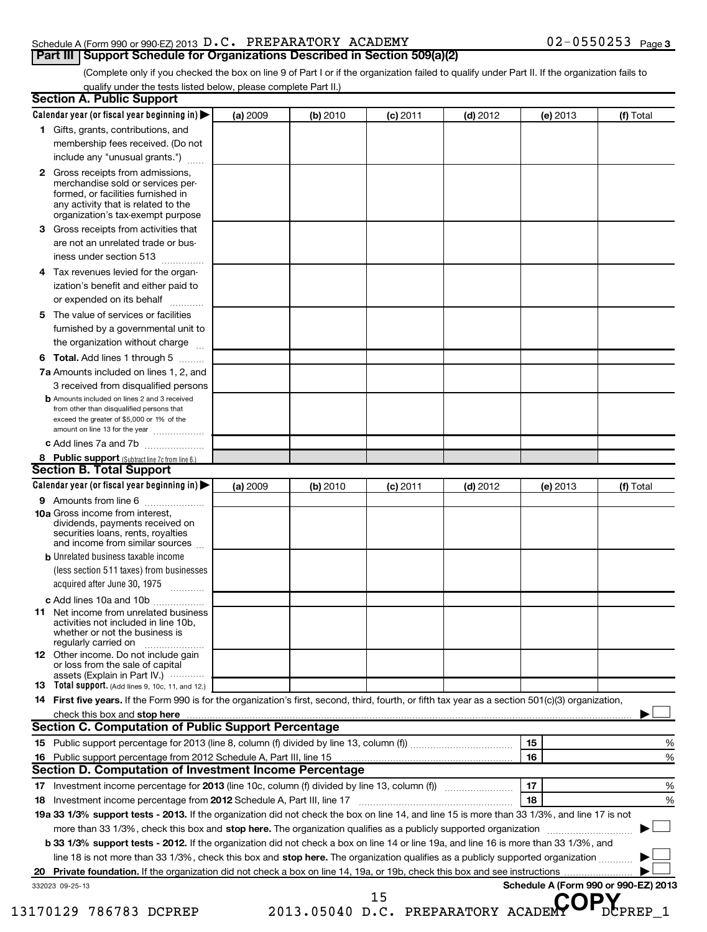#### Schedule A (Form 990 or 990-EZ) 2013  $D.C.$  PREPARATORY ACADEMY  $O2-0550253$  Page **Part III Support Schedule for Organizations Described in Section 509(a)(2)**

(Complete only if you checked the box on line 9 of Part I or if the organization failed to qualify under Part II. If the organization fails to qualify under the tests listed below, please complete Part II.)

| 2<br>3<br>4<br>5<br>6 | 1 Gifts, grants, contributions, and<br>membership fees received. (Do not<br>include any "unusual grants.")<br>Gross receipts from admissions,<br>merchandise sold or services per-<br>formed, or facilities furnished in<br>any activity that is related to the<br>organization's tax-exempt purpose<br>Gross receipts from activities that<br>are not an unrelated trade or bus-<br>iness under section 513<br>Tax revenues levied for the organ-<br>ization's benefit and either paid to<br>or expended on its behalf<br>The value of services or facilities<br>furnished by a governmental unit to<br>the organization without charge<br>Total. Add lines 1 through 5<br>7a Amounts included on lines 1, 2, and<br>3 received from disqualified persons |          |          | $(c)$ 2011 |            | (e) 2013                             |           |
|-----------------------|------------------------------------------------------------------------------------------------------------------------------------------------------------------------------------------------------------------------------------------------------------------------------------------------------------------------------------------------------------------------------------------------------------------------------------------------------------------------------------------------------------------------------------------------------------------------------------------------------------------------------------------------------------------------------------------------------------------------------------------------------------|----------|----------|------------|------------|--------------------------------------|-----------|
|                       |                                                                                                                                                                                                                                                                                                                                                                                                                                                                                                                                                                                                                                                                                                                                                            |          |          |            |            |                                      |           |
|                       |                                                                                                                                                                                                                                                                                                                                                                                                                                                                                                                                                                                                                                                                                                                                                            |          |          |            |            |                                      |           |
|                       |                                                                                                                                                                                                                                                                                                                                                                                                                                                                                                                                                                                                                                                                                                                                                            |          |          |            |            |                                      |           |
|                       |                                                                                                                                                                                                                                                                                                                                                                                                                                                                                                                                                                                                                                                                                                                                                            |          |          |            |            |                                      |           |
|                       |                                                                                                                                                                                                                                                                                                                                                                                                                                                                                                                                                                                                                                                                                                                                                            |          |          |            |            |                                      |           |
|                       |                                                                                                                                                                                                                                                                                                                                                                                                                                                                                                                                                                                                                                                                                                                                                            |          |          |            |            |                                      |           |
|                       |                                                                                                                                                                                                                                                                                                                                                                                                                                                                                                                                                                                                                                                                                                                                                            |          |          |            |            |                                      |           |
|                       |                                                                                                                                                                                                                                                                                                                                                                                                                                                                                                                                                                                                                                                                                                                                                            |          |          |            |            |                                      |           |
|                       |                                                                                                                                                                                                                                                                                                                                                                                                                                                                                                                                                                                                                                                                                                                                                            |          |          |            |            |                                      |           |
|                       |                                                                                                                                                                                                                                                                                                                                                                                                                                                                                                                                                                                                                                                                                                                                                            |          |          |            |            |                                      |           |
|                       |                                                                                                                                                                                                                                                                                                                                                                                                                                                                                                                                                                                                                                                                                                                                                            |          |          |            |            |                                      |           |
|                       |                                                                                                                                                                                                                                                                                                                                                                                                                                                                                                                                                                                                                                                                                                                                                            |          |          |            |            |                                      |           |
|                       |                                                                                                                                                                                                                                                                                                                                                                                                                                                                                                                                                                                                                                                                                                                                                            |          |          |            |            |                                      |           |
|                       |                                                                                                                                                                                                                                                                                                                                                                                                                                                                                                                                                                                                                                                                                                                                                            |          |          |            |            |                                      |           |
|                       |                                                                                                                                                                                                                                                                                                                                                                                                                                                                                                                                                                                                                                                                                                                                                            |          |          |            |            |                                      |           |
|                       |                                                                                                                                                                                                                                                                                                                                                                                                                                                                                                                                                                                                                                                                                                                                                            |          |          |            |            |                                      |           |
|                       |                                                                                                                                                                                                                                                                                                                                                                                                                                                                                                                                                                                                                                                                                                                                                            |          |          |            |            |                                      |           |
|                       |                                                                                                                                                                                                                                                                                                                                                                                                                                                                                                                                                                                                                                                                                                                                                            |          |          |            |            |                                      |           |
|                       |                                                                                                                                                                                                                                                                                                                                                                                                                                                                                                                                                                                                                                                                                                                                                            |          |          |            |            |                                      |           |
|                       |                                                                                                                                                                                                                                                                                                                                                                                                                                                                                                                                                                                                                                                                                                                                                            |          |          |            |            |                                      |           |
|                       | <b>b</b> Amounts included on lines 2 and 3 received                                                                                                                                                                                                                                                                                                                                                                                                                                                                                                                                                                                                                                                                                                        |          |          |            |            |                                      |           |
|                       | from other than disqualified persons that                                                                                                                                                                                                                                                                                                                                                                                                                                                                                                                                                                                                                                                                                                                  |          |          |            |            |                                      |           |
|                       | exceed the greater of \$5,000 or 1% of the<br>amount on line 13 for the year                                                                                                                                                                                                                                                                                                                                                                                                                                                                                                                                                                                                                                                                               |          |          |            |            |                                      |           |
|                       | c Add lines 7a and 7b                                                                                                                                                                                                                                                                                                                                                                                                                                                                                                                                                                                                                                                                                                                                      |          |          |            |            |                                      |           |
|                       | 8 Public support (Subtract line 7c from line 6.)                                                                                                                                                                                                                                                                                                                                                                                                                                                                                                                                                                                                                                                                                                           |          |          |            |            |                                      |           |
|                       | <b>Section B. Total Support</b>                                                                                                                                                                                                                                                                                                                                                                                                                                                                                                                                                                                                                                                                                                                            |          |          |            |            |                                      |           |
|                       | Calendar year (or fiscal year beginning in)                                                                                                                                                                                                                                                                                                                                                                                                                                                                                                                                                                                                                                                                                                                | (a) 2009 | (b) 2010 | $(c)$ 2011 | $(d)$ 2012 | (e) 2013                             | (f) Total |
|                       | <b>9</b> Amounts from line 6                                                                                                                                                                                                                                                                                                                                                                                                                                                                                                                                                                                                                                                                                                                               |          |          |            |            |                                      |           |
|                       | 10a Gross income from interest,                                                                                                                                                                                                                                                                                                                                                                                                                                                                                                                                                                                                                                                                                                                            |          |          |            |            |                                      |           |
|                       | dividends, payments received on                                                                                                                                                                                                                                                                                                                                                                                                                                                                                                                                                                                                                                                                                                                            |          |          |            |            |                                      |           |
|                       | securities loans, rents, royalties                                                                                                                                                                                                                                                                                                                                                                                                                                                                                                                                                                                                                                                                                                                         |          |          |            |            |                                      |           |
|                       | and income from similar sources                                                                                                                                                                                                                                                                                                                                                                                                                                                                                                                                                                                                                                                                                                                            |          |          |            |            |                                      |           |
|                       | <b>b</b> Unrelated business taxable income                                                                                                                                                                                                                                                                                                                                                                                                                                                                                                                                                                                                                                                                                                                 |          |          |            |            |                                      |           |
|                       | (less section 511 taxes) from businesses                                                                                                                                                                                                                                                                                                                                                                                                                                                                                                                                                                                                                                                                                                                   |          |          |            |            |                                      |           |
|                       | acquired after June 30, 1975                                                                                                                                                                                                                                                                                                                                                                                                                                                                                                                                                                                                                                                                                                                               |          |          |            |            |                                      |           |
|                       | c Add lines 10a and 10b                                                                                                                                                                                                                                                                                                                                                                                                                                                                                                                                                                                                                                                                                                                                    |          |          |            |            |                                      |           |
|                       | <b>11</b> Net income from unrelated business                                                                                                                                                                                                                                                                                                                                                                                                                                                                                                                                                                                                                                                                                                               |          |          |            |            |                                      |           |
|                       | activities not included in line 10b,<br>whether or not the business is                                                                                                                                                                                                                                                                                                                                                                                                                                                                                                                                                                                                                                                                                     |          |          |            |            |                                      |           |
|                       | regularly carried on                                                                                                                                                                                                                                                                                                                                                                                                                                                                                                                                                                                                                                                                                                                                       |          |          |            |            |                                      |           |
|                       | <b>12</b> Other income. Do not include gain                                                                                                                                                                                                                                                                                                                                                                                                                                                                                                                                                                                                                                                                                                                |          |          |            |            |                                      |           |
|                       | or loss from the sale of capital                                                                                                                                                                                                                                                                                                                                                                                                                                                                                                                                                                                                                                                                                                                           |          |          |            |            |                                      |           |
|                       | assets (Explain in Part IV.)<br><b>13</b> Total support. (Add lines 9, 10c, 11, and 12.)                                                                                                                                                                                                                                                                                                                                                                                                                                                                                                                                                                                                                                                                   |          |          |            |            |                                      |           |
|                       | 14 First five years. If the Form 990 is for the organization's first, second, third, fourth, or fifth tax year as a section 501(c)(3) organization,                                                                                                                                                                                                                                                                                                                                                                                                                                                                                                                                                                                                        |          |          |            |            |                                      |           |
|                       | check this box and stop here with the continuum control of the state of the state of the state of the state of the state of the state of the state of the state of the state of the state of the state of the state of the sta                                                                                                                                                                                                                                                                                                                                                                                                                                                                                                                             |          |          |            |            |                                      |           |
|                       | <b>Section C. Computation of Public Support Percentage</b>                                                                                                                                                                                                                                                                                                                                                                                                                                                                                                                                                                                                                                                                                                 |          |          |            |            |                                      |           |
|                       |                                                                                                                                                                                                                                                                                                                                                                                                                                                                                                                                                                                                                                                                                                                                                            |          |          |            |            | 15                                   |           |
|                       |                                                                                                                                                                                                                                                                                                                                                                                                                                                                                                                                                                                                                                                                                                                                                            |          |          |            |            | 16                                   |           |
|                       | Section D. Computation of Investment Income Percentage                                                                                                                                                                                                                                                                                                                                                                                                                                                                                                                                                                                                                                                                                                     |          |          |            |            |                                      |           |
|                       |                                                                                                                                                                                                                                                                                                                                                                                                                                                                                                                                                                                                                                                                                                                                                            |          |          |            |            |                                      |           |
|                       |                                                                                                                                                                                                                                                                                                                                                                                                                                                                                                                                                                                                                                                                                                                                                            |          |          |            |            | 17                                   |           |
| 18                    |                                                                                                                                                                                                                                                                                                                                                                                                                                                                                                                                                                                                                                                                                                                                                            |          |          |            |            | 18                                   |           |
|                       | 19a 33 1/3% support tests - 2013. If the organization did not check the box on line 14, and line 15 is more than 33 1/3%, and line 17 is not                                                                                                                                                                                                                                                                                                                                                                                                                                                                                                                                                                                                               |          |          |            |            |                                      |           |
|                       | more than 33 1/3%, check this box and stop here. The organization qualifies as a publicly supported organization                                                                                                                                                                                                                                                                                                                                                                                                                                                                                                                                                                                                                                           |          |          |            |            |                                      |           |
|                       | b 33 1/3% support tests - 2012. If the organization did not check a box on line 14 or line 19a, and line 16 is more than 33 1/3%, and                                                                                                                                                                                                                                                                                                                                                                                                                                                                                                                                                                                                                      |          |          |            |            |                                      |           |
|                       | line 18 is not more than 33 1/3%, check this box and stop here. The organization qualifies as a publicly supported organization                                                                                                                                                                                                                                                                                                                                                                                                                                                                                                                                                                                                                            |          |          |            |            |                                      |           |
|                       |                                                                                                                                                                                                                                                                                                                                                                                                                                                                                                                                                                                                                                                                                                                                                            |          |          |            |            |                                      |           |
|                       | 332023 09-25-13                                                                                                                                                                                                                                                                                                                                                                                                                                                                                                                                                                                                                                                                                                                                            |          |          |            |            | Schedule A (Form 990 or 990-EZ) 2013 |           |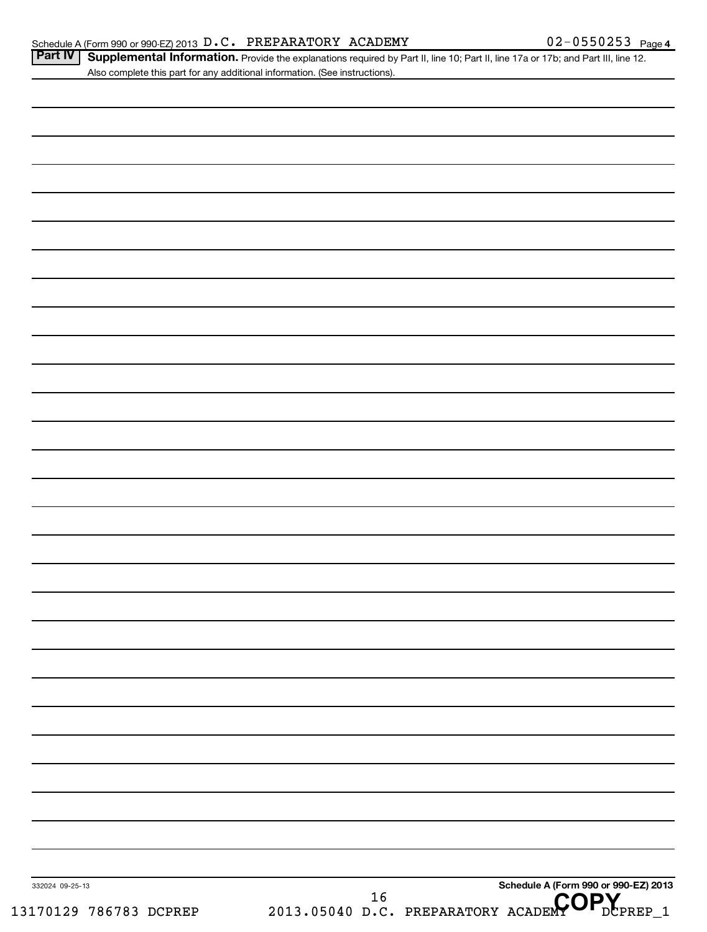Part IV | Supplemental Information. Provide the explanations required by Part II, line 10; Part II, line 17a or 17b; and Part III, line 12. Also complete this part for any additional information. (See instructions).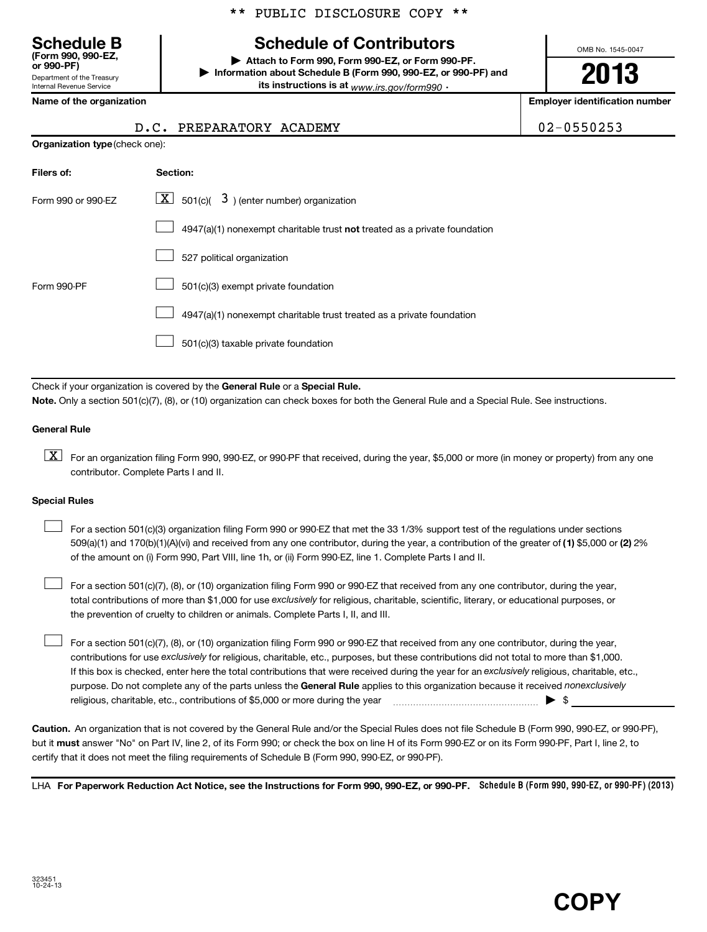# **Schedule of Contributors**

**or 990-PF) | Attach to Form 990, Form 990-EZ, or Form 990-PF. | Information about Schedule B (Form 990, 990-EZ, or 990-PF) and its instructions is at** www.irs.gov/form990  $\cdot$ 

OMB No. 1545-0047

**2013**

**Name of the organization Employer identification number**

 $02 - 0550253$ 

| <b>Schedule B</b><br>(Form 990, 990-EZ.<br>or 990-PF) |
|-------------------------------------------------------|
| Department of the Treasury                            |
| <b>Internal Revenue Service</b>                       |

|                                       | D.C. PREPARATORY ACADEMY |  |
|---------------------------------------|--------------------------|--|
| <b>Organization type (check one):</b> |                          |  |

| Filers of:         | Section:                                                                  |
|--------------------|---------------------------------------------------------------------------|
| Form 990 or 990-EZ | $\mathbf{X}$ 501(c)( 3) (enter number) organization                       |
|                    | 4947(a)(1) nonexempt charitable trust not treated as a private foundation |
|                    | 527 political organization                                                |
| Form 990-PF        | 501(c)(3) exempt private foundation                                       |
|                    | 4947(a)(1) nonexempt charitable trust treated as a private foundation     |
|                    | 501(c)(3) taxable private foundation                                      |

Check if your organization is covered by the General Rule or a Special Rule. **Note.**  Only a section 501(c)(7), (8), or (10) organization can check boxes for both the General Rule and a Special Rule. See instructions.

#### **General Rule**

 $\boxed{\text{X}}$  For an organization filing Form 990, 990-EZ, or 990-PF that received, during the year, \$5,000 or more (in money or property) from any one contributor. Complete Parts I and II.

#### **Special Rules**

509(a)(1) and 170(b)(1)(A)(vi) and received from any one contributor, during the year, a contribution of the greater of (1**)** \$5,000 or (**2**) 2% For a section 501(c)(3) organization filing Form 990 or 990-EZ that met the 33 1/3% support test of the regulations under sections of the amount on (i) Form 990, Part VIII, line 1h, or (ii) Form 990-EZ, line 1. Complete Parts I and II.  $\left\vert \cdot\right\vert$ 

total contributions of more than \$1,000 for use exclusively for religious, charitable, scientific, literary, or educational purposes, or For a section 501(c)(7), (8), or (10) organization filing Form 990 or 990-EZ that received from any one contributor, during the year, the prevention of cruelty to children or animals. Complete Parts I, II, and III.  $\left\vert \cdot\right\vert$ 

purpose. Do not complete any of the parts unless the General Rule applies to this organization because it received nonexclusively contributions for use exclusively for religious, charitable, etc., purposes, but these contributions did not total to more than \$1,000. If this box is checked, enter here the total contributions that were received during the year for an exclusively religious, charitable, etc., For a section 501(c)(7), (8), or (10) organization filing Form 990 or 990-EZ that received from any one contributor, during the year, religious, charitable, etc., contributions of \$5,000 or more during the year  $\ldots$   $\ldots$   $\ldots$   $\ldots$   $\ldots$   $\ldots$   $\ldots$   $\ldots$   $\ldots$ 

**Caution.** An organization that is not covered by the General Rule and/or the Special Rules does not file Schedule B (Form 990, 990-EZ, or 990-PF), but it **must** answer "No" on Part IV, line 2, of its Form 990; or check the box on line H of its Form 990-EZ or on its Form 990-PF, Part I, line 2, to certify that it does not meet the filing requirements of Schedule B (Form 990, 990-EZ, or 990-PF).

LHA For Paperwork Reduction Act Notice, see the Instructions for Form 990, 990-EZ, or 990-PF. Schedule B (Form 990, 990-EZ, or 990-PF) (2013)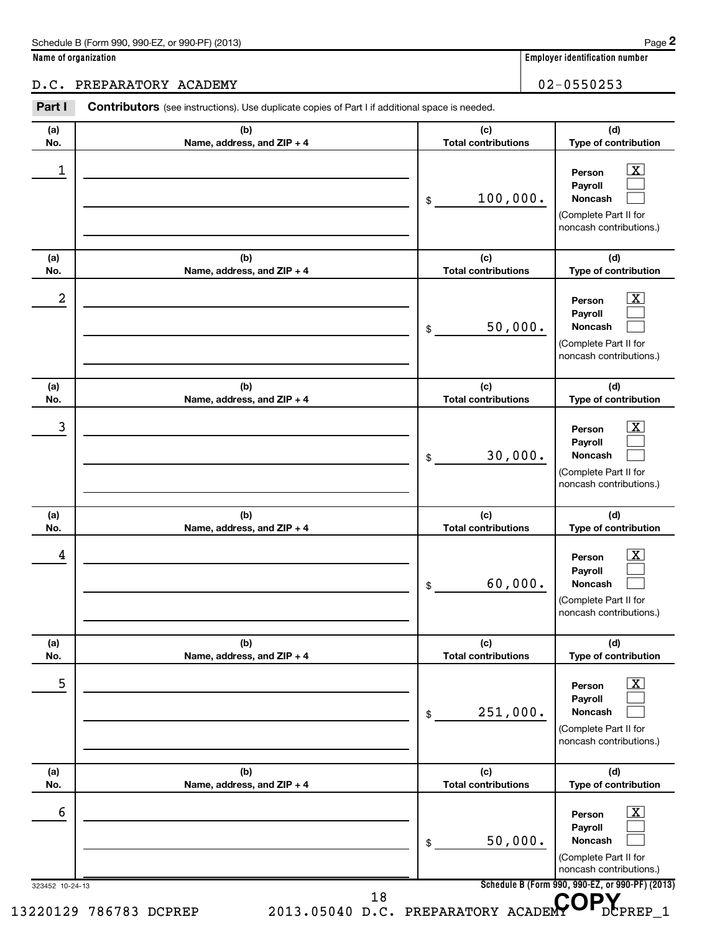#### D.C. PREPARATORY ACADEMY 02-0550253

323452 10-24-13 **Schedule B (Form 990, 990-EZ, or 990-PF) (2013) (a) No. (b) Name, address, and ZIP + 4 (c) Total contributions (d) Type of contribution Person Payroll Noncash (a) No. (b) Name, address, and ZIP + 4 (c) Total contributions (d) Type of contribution Person Payroll Noncash (a) No. (b) Name, address, and ZIP + 4 (c) Total contributions (d) Type of contribution Person Payroll Noncash (a) No. (b) Name, address, and ZIP + 4 (c) Total contributions (d) Type of contribution Person Payroll Noncash (a) No. (b) Name, address, and ZIP + 4 (c) Total contributions (d) Type of contribution Person Payroll Noncash (a) No. (b) Name, address, and ZIP + 4 (c) Total contributions (d) Type of contribution Person Payroll Noncash** Part I Contributors (see instructions). Use duplicate copies of Part I if additional space is needed. \$ (Complete Part II for noncash contributions.) \$ (Complete Part II for noncash contributions.) \$ (Complete Part II for noncash contributions.) \$ (Complete Part II for noncash contributions.) \$ (Complete Part II for noncash contributions.) \$ (Complete Part II for noncash contributions.)  $\overline{X}$  $\Box$  $\Box$  $\boxed{\text{X}}$  $\Box$  $\Box$  $\lfloor x \rfloor$  $\Box$  $\Box$  $\overline{X}$  $\Box$  $\Box$  $\lfloor x \rfloor$  $\Box$  $\Box$  $\vert$  X  $\vert$  $\Box$  $\Box$ 1 X 100,000.  $2$  Person  $\overline{\text{X}}$ 50,000. 3 X 30,000.  $\begin{array}{|c|c|c|c|c|}\hline \text{4} & \text{Person} & \text{X} \ \hline \end{array}$ 60,000. 5 X 251,000.  $\overline{6}$  Person  $\overline{X}$ 50,000. 13220129 786783 DCPREP 2013.05040 D.C. PREPARATORY ACADEMY OPREP\_1 18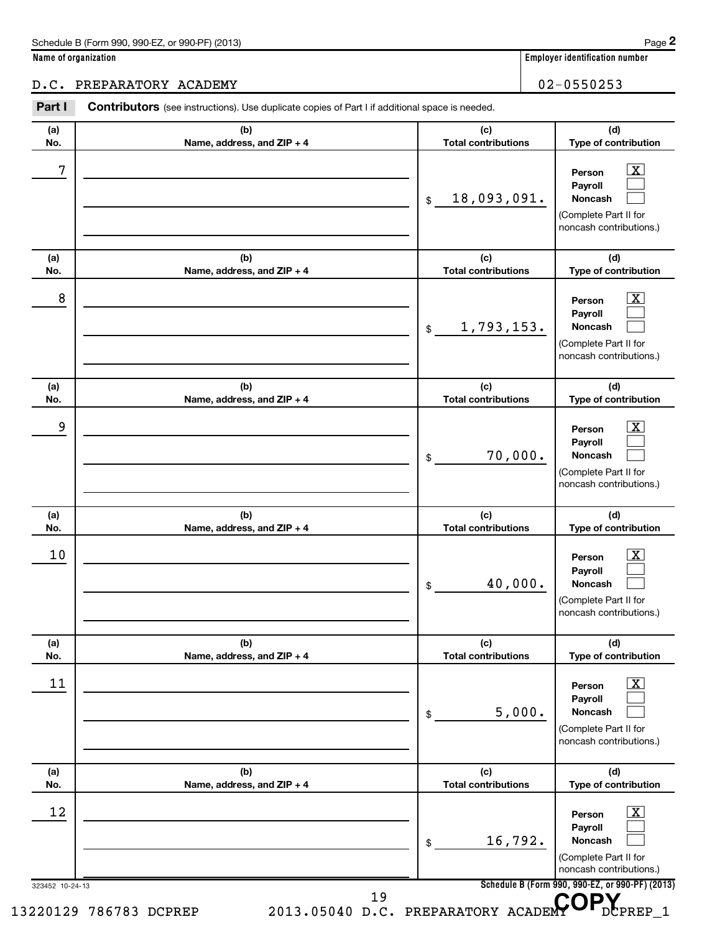#### D.C. PREPARATORY ACADEMY 02-0550253

323452 10-24-13 **Schedule B (Form 990, 990-EZ, or 990-PF) (2013) (a) No. (b) Name, address, and ZIP + 4 (c) Total contributions (d) Type of contribution Person Payroll Noncash (a) No. (b) Name, address, and ZIP + 4 (c) Total contributions (d) Type of contribution Person Payroll Noncash (a) No. (b) Name, address, and ZIP + 4 (c) Total contributions (d) Type of contribution Person Payroll Noncash (a) No. (b) Name, address, and ZIP + 4 (c) Total contributions (d) Type of contribution Person Payroll Noncash (a) No. (b) Name, address, and ZIP + 4 (c) Total contributions (d) Type of contribution Person Payroll Noncash (a) No. (b) Name, address, and ZIP + 4 (c) Total contributions (d) Type of contribution Person Payroll Noncash** Part I Contributors (see instructions). Use duplicate copies of Part I if additional space is needed. \$ (Complete Part II for noncash contributions.) \$ (Complete Part II for noncash contributions.) \$ (Complete Part II for noncash contributions.) \$ (Complete Part II for noncash contributions.) \$ (Complete Part II for noncash contributions.) \$ (Complete Part II for noncash contributions.)  $\overline{X}$  $\Box$  $\Box$  $\boxed{\textbf{X}}$  $\Box$  $\Box$  $\vert$  X  $\vert$  $\Box$  $\Box$  $\overline{X}$  $\Box$  $\Box$  $\lfloor x \rfloor$  $\Box$  $\Box$  $\vert$  X  $\vert$  $\Box$  $\Box$  $7$   $|$  Person  $\overline{\text{X}}$ 18,093,091.  $8$  Person  $\overline{\text{X}}$ 1,793,153. 9 X 70,000.  $10$  Person  $\overline{\text{X}}$ 40,000.  $\begin{array}{|c|c|c|c|c|c|}\hline \text{11} & \text{Person} & \text{X} \end{array}$ 5,000. 12 X 16,792. 13220129 786783 DCPREP 2013.05040 D.C. PREPARATORY ACADEMY OPREP\_1 19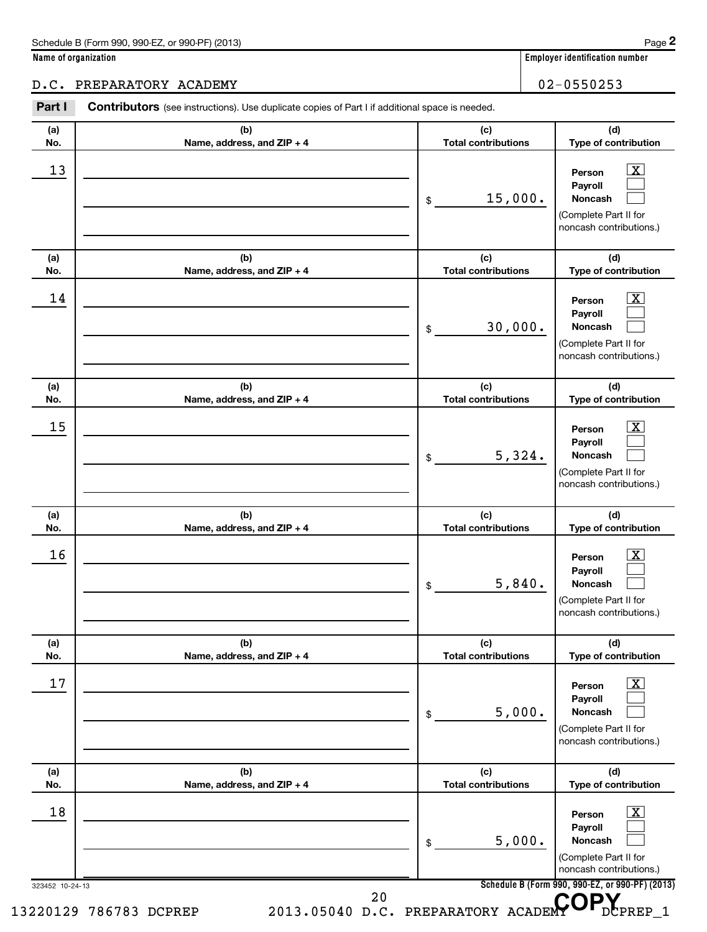#### D.C. PREPARATORY ACADEMY 02-0550253

323452 10-24-13 **Schedule B (Form 990, 990-EZ, or 990-PF) (2013) (a) No. (b) Name, address, and ZIP + 4 (c) Total contributions (d) Type of contribution Person Payroll Noncash (a) No. (b) Name, address, and ZIP + 4 (c) Total contributions (d) Type of contribution Person Payroll Noncash (a) No. (b) Name, address, and ZIP + 4 (c) Total contributions (d) Type of contribution Person Payroll Noncash (a) No. (b) Name, address, and ZIP + 4 (c) Total contributions (d) Type of contribution Person Payroll Noncash (a) No. (b) Name, address, and ZIP + 4 (c) Total contributions (d) Type of contribution Person Payroll Noncash (a) No. (b) Name, address, and ZIP + 4 (c) Total contributions (d) Type of contribution Person Payroll Noncash** Part I Contributors (see instructions). Use duplicate copies of Part I if additional space is needed. \$ (Complete Part II for noncash contributions.) \$ (Complete Part II for noncash contributions.) \$ (Complete Part II for noncash contributions.) \$ (Complete Part II for noncash contributions.) \$ (Complete Part II for noncash contributions.) \$ (Complete Part II for noncash contributions.)  $\overline{\mathbf{x}}$  $\Box$  $\Box$  $\boxed{\textbf{X}}$  $\Box$  $\Box$  $\vert$  X  $\vert$  $\Box$  $\Box$  $\overline{X}$  $\Box$  $\Box$  $\lfloor x \rfloor$  $\Box$  $\Box$  $\vert$  X  $\vert$  $\Box$  $\Box$ 13 X 15,000.  $14$  Person  $\overline{\text{X}}$ 30,000.  $15$  Person  $\overline{\text{X}}$ 5,324.  $16$  Person  $\overline{\text{X}}$ 5,840.  $17$  Person  $\overline{\text{X}}$ 5,000. 18 X 5,000. 13220129 786783 DCPREP 2013.05040 D.C. PREPARATORY ACADEMY OPREP\_1 20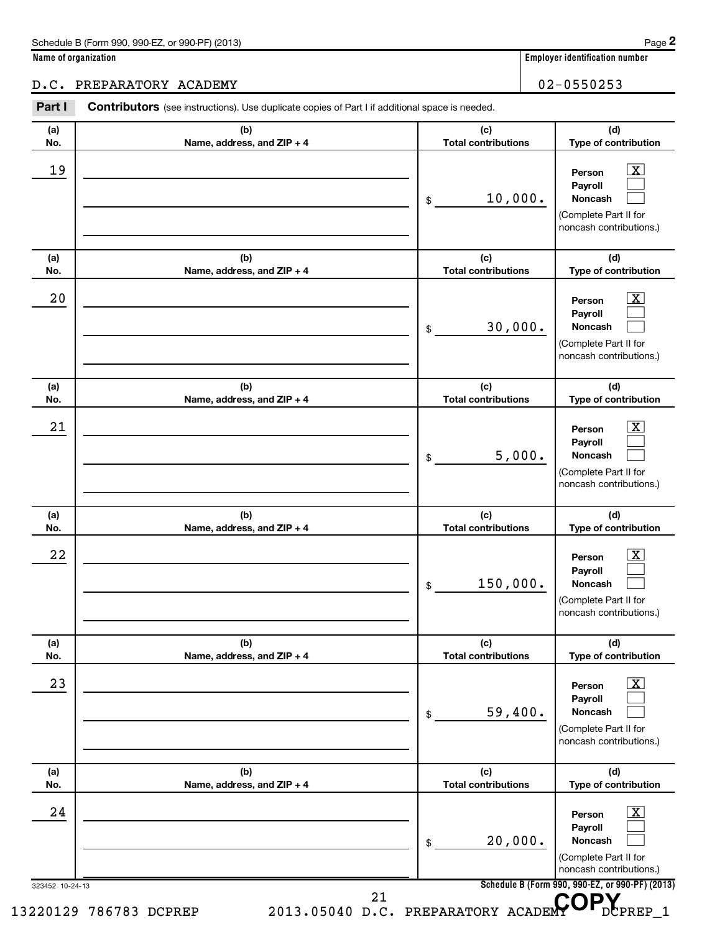#### D.C. PREPARATORY ACADEMY 02-0550253

323452 10-24-13 **Schedule B (Form 990, 990-EZ, or 990-PF) (2013) (a) No. (b) Name, address, and ZIP + 4 (c) Total contributions (d) Type of contribution Person Payroll Noncash (a) No. (b) Name, address, and ZIP + 4 (c) Total contributions (d) Type of contribution Person Payroll Noncash (a) No. (b) Name, address, and ZIP + 4 (c) Total contributions (d) Type of contribution Person Payroll Noncash (a) No. (b) Name, address, and ZIP + 4 (c) Total contributions (d) Type of contribution Person Payroll Noncash (a) No. (b) Name, address, and ZIP + 4 (c) Total contributions (d) Type of contribution Person Payroll Noncash (a) No. (b) Name, address, and ZIP + 4 (c) Total contributions (d) Type of contribution Person Payroll Noncash** Part I Contributors (see instructions). Use duplicate copies of Part I if additional space is needed. \$ (Complete Part II for noncash contributions.) \$ (Complete Part II for noncash contributions.) \$ (Complete Part II for noncash contributions.) \$ (Complete Part II for noncash contributions.) \$ (Complete Part II for noncash contributions.) \$ (Complete Part II for noncash contributions.)  $\overline{\mathbf{x}}$  $\Box$  $\Box$  $\boxed{\text{X}}$  $\Box$  $\Box$  $\vert$  X  $\vert$  $\Box$  $\Box$  $\overline{X}$  $\Box$  $\Box$  $\lfloor x \rfloor$  $\Box$  $\Box$  $\vert$  X  $\vert$  $\Box$  $\Box$  $19$  Person  $\overline{\text{X}}$ 10,000.  $20$  Person  $\overline{\text{X}}$ 30,000.  $21$  Person  $\overline{\text{X}}$ 5,000.  $22$  Person  $\overline{\text{X}}$ 150,000.  $23$  Person  $\overline{\text{X}}$ 59,400.  $24$  Person  $\overline{\text{X}}$ 20,000. 13220129 786783 DCPREP 2013.05040 D.C. PREPARATORY ACADEMY OPREP\_1 21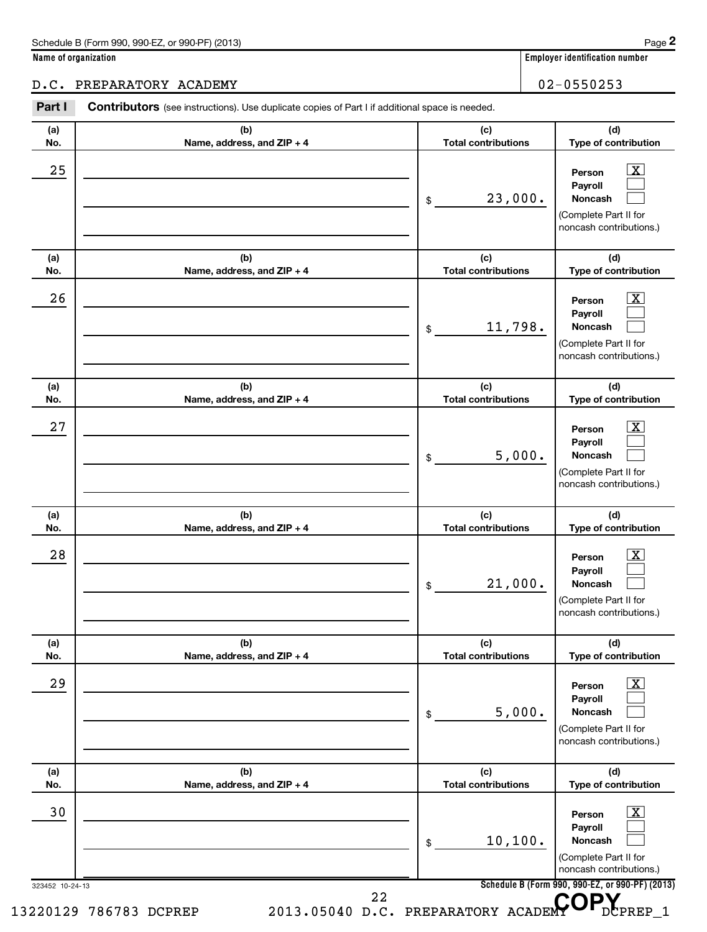#### D.C. PREPARATORY ACADEMY 02-0550253

323452 10-24-13 **Schedule B (Form 990, 990-EZ, or 990-PF) (2013) (a) No. (b) Name, address, and ZIP + 4 (c) Total contributions (d) Type of contribution Person Payroll Noncash (a) No. (b) Name, address, and ZIP + 4 (c) Total contributions (d) Type of contribution Person Payroll Noncash (a) No. (b) Name, address, and ZIP + 4 (c) Total contributions (d) Type of contribution Person Payroll Noncash (a) No. (b) Name, address, and ZIP + 4 (c) Total contributions (d) Type of contribution Person Payroll Noncash (a) No. (b) Name, address, and ZIP + 4 (c) Total contributions (d) Type of contribution Person Payroll Noncash (a) No. (b) Name, address, and ZIP + 4 (c) Total contributions (d) Type of contribution Person Payroll Noncash** Part I Contributors (see instructions). Use duplicate copies of Part I if additional space is needed. \$ (Complete Part II for noncash contributions.) \$ (Complete Part II for noncash contributions.) \$ (Complete Part II for noncash contributions.) \$ (Complete Part II for noncash contributions.) \$ (Complete Part II for noncash contributions.) \$ (Complete Part II for noncash contributions.)  $\overline{\mathbf{x}}$  $\Box$  $\Box$  $\boxed{\text{X}}$  $\Box$  $\Box$  $\vert$  X  $\vert$  $\Box$  $\Box$  $\overline{X}$  $\Box$  $\Box$  $\lfloor x \rfloor$  $\Box$  $\Box$  $\vert$  X  $\vert$  $\Box$  $\Box$  $25$  Person  $\overline{\text{X}}$ 23,000.  $26$  Person  $\overline{\text{X}}$ 11,798.  $27$  Person  $\overline{\text{X}}$ 5,000.  $28$  Person  $\overline{\text{X}}$ 21,000.  $29$  Person  $\overline{\text{X}}$ 5,000. 30 X 10,100. 13220129 786783 DCPREP 2013.05040 D.C. PREPARATORY ACADEMY OPREP\_1 22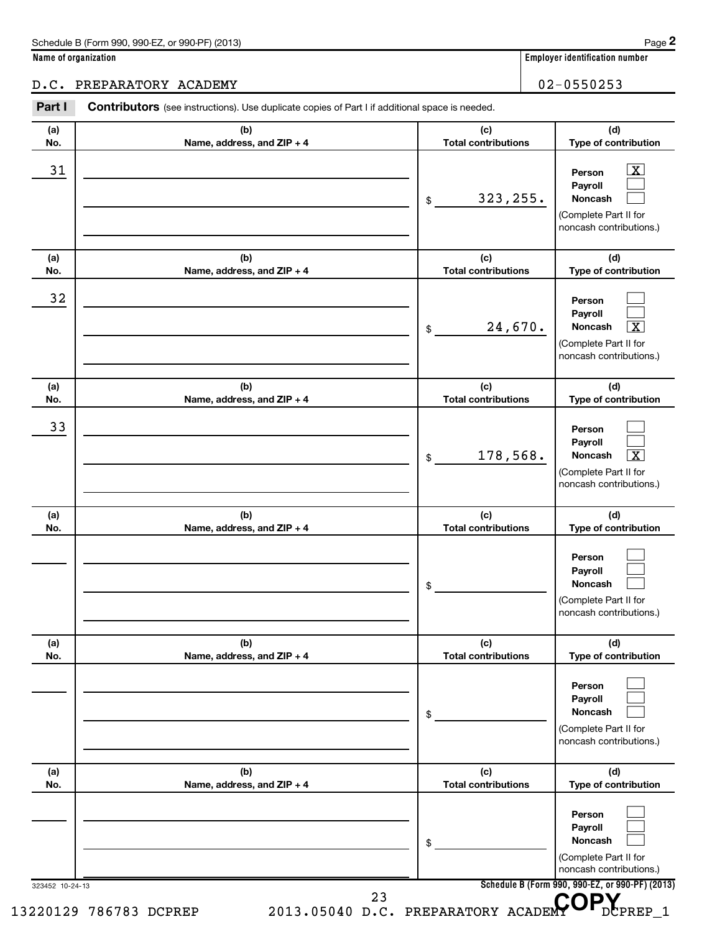#### D.C. PREPARATORY ACADEMY 02-0550253

323452 10-24-13 **Schedule B (Form 990, 990-EZ, or 990-PF) (2013) (a) No. (b) Name, address, and ZIP + 4 (c) Total contributions (d) Type of contribution Person Payroll Noncash (a) No. (b) Name, address, and ZIP + 4 (c) Total contributions (d) Type of contribution Person Payroll Noncash (a) No. (b) Name, address, and ZIP + 4 (c) Total contributions (d) Type of contribution Person Payroll Noncash (a) No. (b) Name, address, and ZIP + 4 (c) Total contributions (d) Type of contribution Person Payroll Noncash (a) No. (b) Name, address, and ZIP + 4 (c) Total contributions (d) Type of contribution Person Payroll Noncash (a) No. (b) Name, address, and ZIP + 4 (c) Total contributions (d) Type of contribution Person Payroll Noncash** Part I Contributors (see instructions). Use duplicate copies of Part I if additional space is needed. \$ (Complete Part II for noncash contributions.) \$ (Complete Part II for noncash contributions.) \$ (Complete Part II for noncash contributions.) \$ (Complete Part II for noncash contributions.) \$ (Complete Part II for noncash contributions.) \$ (Complete Part II for noncash contributions.)  $\overline{X}$  $\Box$  $\Box$  $\Box$  $\Box$ †  $\Box$  $\Box$  $\overline{X}$  $\Box$  $\Box$  $\Box$  $\Box$  $\Box$  $\Box$  $\Box$  $\Box$  $\Box$ 31 X 323,255. 32 24,670. 33 178,568. X 13220129 786783 DCPREP 2013.05040 D.C. PREPARATORY ACADEMY OPREP\_1 23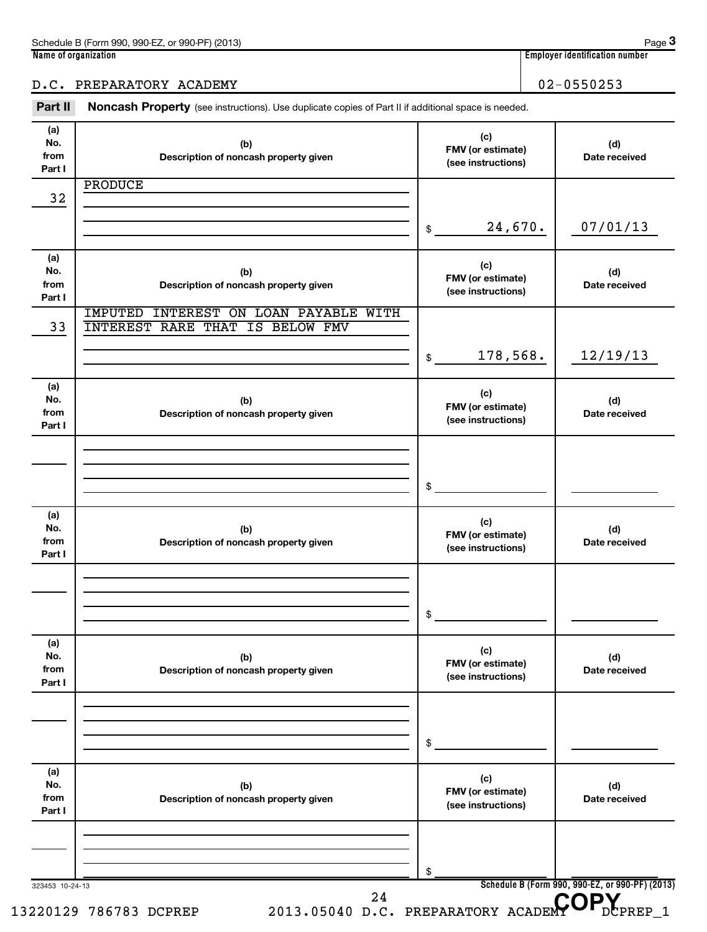#### D.C. PREPARATORY ACADEMY 02-0550253

Part II Noncash Property (see instructions). Use duplicate copies of Part II if additional space is needed.

| (a)<br>No.<br>from<br>Part I | (b)<br>Description of noncash property given    | (c)<br>FMV (or estimate)<br>(see instructions) | (d)<br>Date received                            |
|------------------------------|-------------------------------------------------|------------------------------------------------|-------------------------------------------------|
|                              | <b>PRODUCE</b>                                  |                                                |                                                 |
| 32                           |                                                 |                                                |                                                 |
|                              |                                                 | 24,670.<br>\$                                  | 07/01/13                                        |
| (a)                          |                                                 |                                                |                                                 |
| No.                          | (b)                                             | (c)<br>FMV (or estimate)                       | (d)                                             |
| from                         | Description of noncash property given           | (see instructions)                             | Date received                                   |
| Part I                       | <b>IMPUTED</b><br>INTEREST ON LOAN PAYABLE WITH |                                                |                                                 |
| 33                           | <b>INTEREST RARE THAT IS BELOW FMV</b>          |                                                |                                                 |
|                              |                                                 |                                                |                                                 |
|                              |                                                 | 178,568.<br>\$                                 | 12/19/13                                        |
|                              |                                                 |                                                |                                                 |
| (a)<br>No.                   | (b)                                             | (c)                                            | (d)                                             |
| from                         | Description of noncash property given           | FMV (or estimate)                              | Date received                                   |
| Part I                       |                                                 | (see instructions)                             |                                                 |
|                              |                                                 |                                                |                                                 |
|                              |                                                 |                                                |                                                 |
|                              |                                                 | \$                                             |                                                 |
|                              |                                                 |                                                |                                                 |
| (a)                          |                                                 | (c)                                            |                                                 |
| No.<br>from                  | (b)<br>Description of noncash property given    | FMV (or estimate)                              | (d)<br>Date received                            |
| Part I                       |                                                 | (see instructions)                             |                                                 |
|                              |                                                 |                                                |                                                 |
|                              |                                                 |                                                |                                                 |
|                              |                                                 | \$                                             |                                                 |
|                              |                                                 |                                                |                                                 |
| (a)                          |                                                 | (c)                                            |                                                 |
| No.<br>from                  | (b)                                             | FMV (or estimate)                              | (d)                                             |
| Part I                       | Description of noncash property given           | (see instructions)                             | Date received                                   |
|                              |                                                 |                                                |                                                 |
|                              |                                                 |                                                |                                                 |
|                              |                                                 | \$                                             |                                                 |
|                              |                                                 |                                                |                                                 |
| (a)                          |                                                 | (c)                                            |                                                 |
| No.<br>from                  | (b)<br>Description of noncash property given    | FMV (or estimate)                              | (d)<br>Date received                            |
| Part I                       |                                                 | (see instructions)                             |                                                 |
|                              |                                                 |                                                |                                                 |
|                              |                                                 |                                                |                                                 |
|                              |                                                 | \$                                             |                                                 |
| 323453 10-24-13              |                                                 |                                                | Schedule B (Form 990, 990-EZ, or 990-PF) (2013) |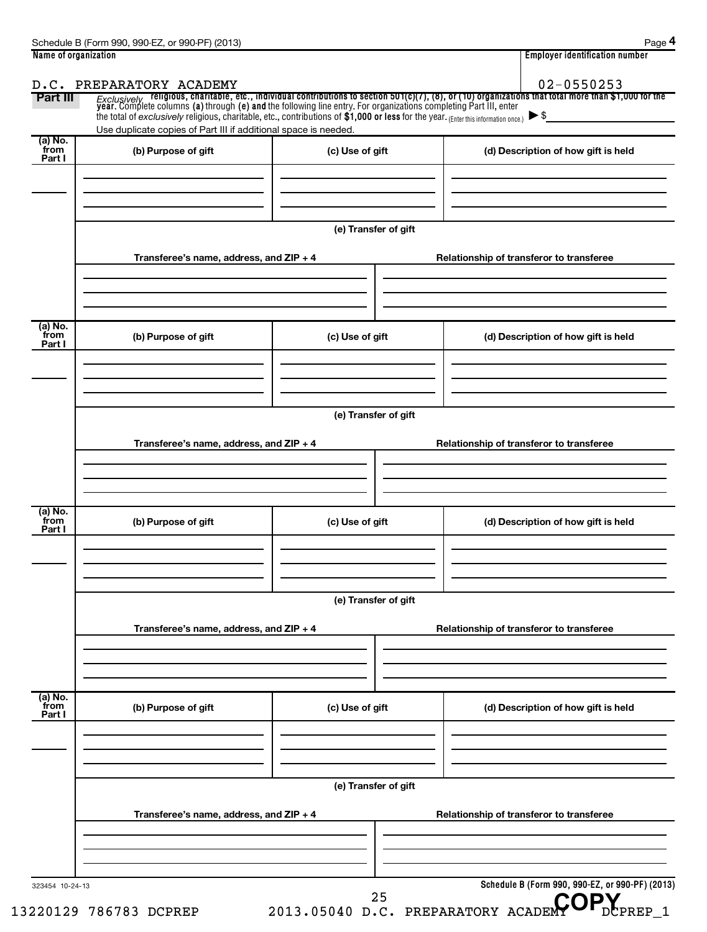| Part III                  | the total of exclusively religious, charitable, etc., contributions of \$1,000 or less for the year. (Enter this information once.) |                      | Exclusively religious, charitable, etc., individual contributions to section 501(c)(7), (8), or (10) organizations that total more than \$1,000 for the<br>year. Complete columns (a) through (e) and the following line entry. Fo |
|---------------------------|-------------------------------------------------------------------------------------------------------------------------------------|----------------------|------------------------------------------------------------------------------------------------------------------------------------------------------------------------------------------------------------------------------------|
| (a) No.                   | Use duplicate copies of Part III if additional space is needed.                                                                     |                      |                                                                                                                                                                                                                                    |
| from<br>Part I            | (b) Purpose of gift                                                                                                                 | (c) Use of gift      | (d) Description of how gift is held                                                                                                                                                                                                |
|                           |                                                                                                                                     | (e) Transfer of gift |                                                                                                                                                                                                                                    |
|                           | Transferee's name, address, and ZIP + 4                                                                                             |                      | Relationship of transferor to transferee                                                                                                                                                                                           |
| (a) No.<br>from<br>Part I | (b) Purpose of gift                                                                                                                 | (c) Use of gift      | (d) Description of how gift is held                                                                                                                                                                                                |
|                           |                                                                                                                                     |                      |                                                                                                                                                                                                                                    |
|                           | Transferee's name, address, and ZIP + 4                                                                                             | (e) Transfer of gift | Relationship of transferor to transferee                                                                                                                                                                                           |
|                           |                                                                                                                                     |                      |                                                                                                                                                                                                                                    |
| (a) No.<br>from<br>Part I | (b) Purpose of gift                                                                                                                 | (c) Use of gift      | (d) Description of how gift is held                                                                                                                                                                                                |
|                           |                                                                                                                                     | (e) Transfer of gift |                                                                                                                                                                                                                                    |
|                           | Transferee's name, address, and ZIP + 4                                                                                             |                      | Relationship of transferor to transferee                                                                                                                                                                                           |
| (a) No.                   |                                                                                                                                     |                      |                                                                                                                                                                                                                                    |
| from<br>Part I            | (b) Purpose of gift                                                                                                                 | (c) Use of gift      | (d) Description of how gift is held                                                                                                                                                                                                |
|                           |                                                                                                                                     | (e) Transfer of gift |                                                                                                                                                                                                                                    |
|                           | Transferee's name, address, and ZIP + 4                                                                                             |                      | Relationship of transferor to transferee                                                                                                                                                                                           |
|                           |                                                                                                                                     |                      |                                                                                                                                                                                                                                    |

13220129 786783 DCPREP 2013.05040 D.C. PREPARATORY ACADEMY DCPREP\_1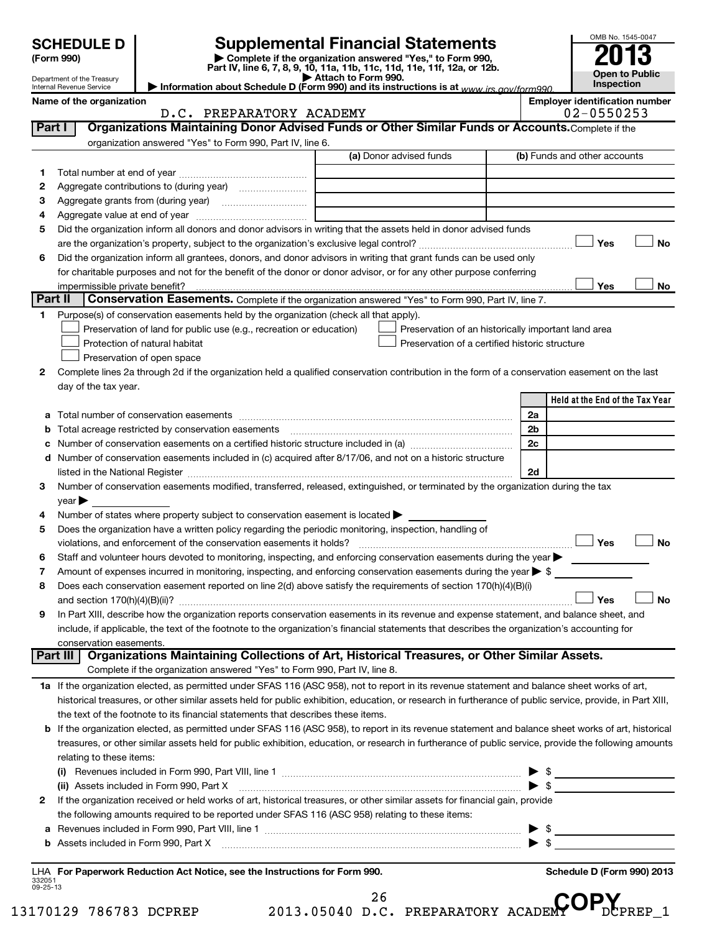# **Supplemental Financial Statements**

**(Form 990) | Complete if the organization answered "Yes," to Form 990, Part IV, line 6, 7, 8, 9, 10, 11a, 11b, 11c, 11d, 11e, 11f, 12a, or 12b.**<br>• Attach to Form 990. **| Attach to Form 990. | Information about Schedule D (Form 990) and its instructions is at**  *www.irs.gov/form990.*

| OMB No. 1545-0047     |
|-----------------------|
|                       |
| 201<br>I              |
|                       |
| <b>Open to Public</b> |
| Inspection            |

Department of the Treasury Internal Revenue Service

**Name of the organization Employer identification Name of the organization Employer identification number** 

|                | D.C. PREPARATORY ACADEMY                                                                                                                                  | $02 - 0550253$                                                                                                                                                                                                                                                                                                                             |
|----------------|-----------------------------------------------------------------------------------------------------------------------------------------------------------|--------------------------------------------------------------------------------------------------------------------------------------------------------------------------------------------------------------------------------------------------------------------------------------------------------------------------------------------|
| Part I         | Organizations Maintaining Donor Advised Funds or Other Similar Funds or Accounts. Complete if the                                                         |                                                                                                                                                                                                                                                                                                                                            |
|                | organization answered "Yes" to Form 990, Part IV, line 6.                                                                                                 |                                                                                                                                                                                                                                                                                                                                            |
|                | (a) Donor advised funds                                                                                                                                   | (b) Funds and other accounts                                                                                                                                                                                                                                                                                                               |
| 1.             |                                                                                                                                                           |                                                                                                                                                                                                                                                                                                                                            |
| 2              | Aggregate contributions to (during year) <i>manual contribution</i>                                                                                       |                                                                                                                                                                                                                                                                                                                                            |
| з              |                                                                                                                                                           |                                                                                                                                                                                                                                                                                                                                            |
| 4              |                                                                                                                                                           |                                                                                                                                                                                                                                                                                                                                            |
| 5              | Did the organization inform all donors and donor advisors in writing that the assets held in donor advised funds                                          |                                                                                                                                                                                                                                                                                                                                            |
|                |                                                                                                                                                           | Yes<br>No                                                                                                                                                                                                                                                                                                                                  |
| 6              | Did the organization inform all grantees, donors, and donor advisors in writing that grant funds can be used only                                         |                                                                                                                                                                                                                                                                                                                                            |
|                | for charitable purposes and not for the benefit of the donor or donor advisor, or for any other purpose conferring                                        |                                                                                                                                                                                                                                                                                                                                            |
|                |                                                                                                                                                           | Yes<br>No                                                                                                                                                                                                                                                                                                                                  |
| <b>Part II</b> | Conservation Easements. Complete if the organization answered "Yes" to Form 990, Part IV, line 7.                                                         |                                                                                                                                                                                                                                                                                                                                            |
| 1.             | Purpose(s) of conservation easements held by the organization (check all that apply).                                                                     |                                                                                                                                                                                                                                                                                                                                            |
|                | Preservation of land for public use (e.g., recreation or education)<br>Preservation of an historically important land area                                |                                                                                                                                                                                                                                                                                                                                            |
|                | Protection of natural habitat<br>Preservation of a certified historic structure                                                                           |                                                                                                                                                                                                                                                                                                                                            |
|                | Preservation of open space                                                                                                                                |                                                                                                                                                                                                                                                                                                                                            |
| 2              | Complete lines 2a through 2d if the organization held a qualified conservation contribution in the form of a conservation easement on the last            |                                                                                                                                                                                                                                                                                                                                            |
|                | day of the tax year.                                                                                                                                      |                                                                                                                                                                                                                                                                                                                                            |
|                |                                                                                                                                                           | Held at the End of the Tax Year                                                                                                                                                                                                                                                                                                            |
| а              |                                                                                                                                                           | 2a                                                                                                                                                                                                                                                                                                                                         |
|                | Total acreage restricted by conservation easements [11,111] [11,111] [11,111] [11,111] [11,111] [11,111] [11,                                             | 2 <sub>b</sub>                                                                                                                                                                                                                                                                                                                             |
|                |                                                                                                                                                           | 2c                                                                                                                                                                                                                                                                                                                                         |
| d              | Number of conservation easements included in (c) acquired after 8/17/06, and not on a historic structure                                                  |                                                                                                                                                                                                                                                                                                                                            |
|                |                                                                                                                                                           | 2d                                                                                                                                                                                                                                                                                                                                         |
| 3              | Number of conservation easements modified, transferred, released, extinguished, or terminated by the organization during the tax                          |                                                                                                                                                                                                                                                                                                                                            |
|                | $\vee$ ear $\blacktriangleright$                                                                                                                          |                                                                                                                                                                                                                                                                                                                                            |
| 4              | Number of states where property subject to conservation easement is located >                                                                             |                                                                                                                                                                                                                                                                                                                                            |
| 5              | Does the organization have a written policy regarding the periodic monitoring, inspection, handling of                                                    |                                                                                                                                                                                                                                                                                                                                            |
|                | violations, and enforcement of the conservation easements it holds?                                                                                       | Yes<br><b>No</b>                                                                                                                                                                                                                                                                                                                           |
| 6              | Staff and volunteer hours devoted to monitoring, inspecting, and enforcing conservation easements during the year                                         |                                                                                                                                                                                                                                                                                                                                            |
| 7              | Amount of expenses incurred in monitoring, inspecting, and enforcing conservation easements during the year $\triangleright$ \$                           |                                                                                                                                                                                                                                                                                                                                            |
| 8              | Does each conservation easement reported on line 2(d) above satisfy the requirements of section 170(h)(4)(B)(i)                                           |                                                                                                                                                                                                                                                                                                                                            |
|                |                                                                                                                                                           | <b>No</b><br><b>Yes</b>                                                                                                                                                                                                                                                                                                                    |
| 9              | In Part XIII, describe how the organization reports conservation easements in its revenue and expense statement, and balance sheet, and                   |                                                                                                                                                                                                                                                                                                                                            |
|                | include, if applicable, the text of the footnote to the organization's financial statements that describes the organization's accounting for              |                                                                                                                                                                                                                                                                                                                                            |
|                | conservation easements.<br>Organizations Maintaining Collections of Art, Historical Treasures, or Other Similar Assets.<br><b>Part III</b>                |                                                                                                                                                                                                                                                                                                                                            |
|                | Complete if the organization answered "Yes" to Form 990, Part IV, line 8.                                                                                 |                                                                                                                                                                                                                                                                                                                                            |
|                | 1a If the organization elected, as permitted under SFAS 116 (ASC 958), not to report in its revenue statement and balance sheet works of art,             |                                                                                                                                                                                                                                                                                                                                            |
|                | historical treasures, or other similar assets held for public exhibition, education, or research in furtherance of public service, provide, in Part XIII, |                                                                                                                                                                                                                                                                                                                                            |
|                | the text of the footnote to its financial statements that describes these items.                                                                          |                                                                                                                                                                                                                                                                                                                                            |
|                | If the organization elected, as permitted under SFAS 116 (ASC 958), to report in its revenue statement and balance sheet works of art, historical         |                                                                                                                                                                                                                                                                                                                                            |
|                | treasures, or other similar assets held for public exhibition, education, or research in furtherance of public service, provide the following amounts     |                                                                                                                                                                                                                                                                                                                                            |
|                | relating to these items:                                                                                                                                  |                                                                                                                                                                                                                                                                                                                                            |
|                |                                                                                                                                                           |                                                                                                                                                                                                                                                                                                                                            |
|                | (ii) Assets included in Form 990, Part X                                                                                                                  | $\frac{1}{2}$ $\frac{1}{2}$ $\frac{1}{2}$ $\frac{1}{2}$ $\frac{1}{2}$ $\frac{1}{2}$ $\frac{1}{2}$ $\frac{1}{2}$ $\frac{1}{2}$ $\frac{1}{2}$ $\frac{1}{2}$ $\frac{1}{2}$ $\frac{1}{2}$ $\frac{1}{2}$ $\frac{1}{2}$ $\frac{1}{2}$ $\frac{1}{2}$ $\frac{1}{2}$ $\frac{1}{2}$ $\frac{1}{2}$ $\frac{1}{2}$ $\frac{1}{2}$<br>$\triangleright$ \$ |
| 2              | If the organization received or held works of art, historical treasures, or other similar assets for financial gain, provide                              |                                                                                                                                                                                                                                                                                                                                            |
|                | the following amounts required to be reported under SFAS 116 (ASC 958) relating to these items:                                                           |                                                                                                                                                                                                                                                                                                                                            |
| а              |                                                                                                                                                           | - \$                                                                                                                                                                                                                                                                                                                                       |
| b              | Assets included in Form 990, Part X                                                                                                                       |                                                                                                                                                                                                                                                                                                                                            |
|                |                                                                                                                                                           |                                                                                                                                                                                                                                                                                                                                            |

332051 09-25-13 **For Paperwork Reduction Act Notice, see the Instructions for Form 990. Schedule D (Form 990) 2013** LHA

13170129 786783 DCPREP 2013.05040 D.C. PREPARATORY ACADEMY DCPREP\_1

<sup>26</sup> D.C. PREPARATORY ACADEMY OP.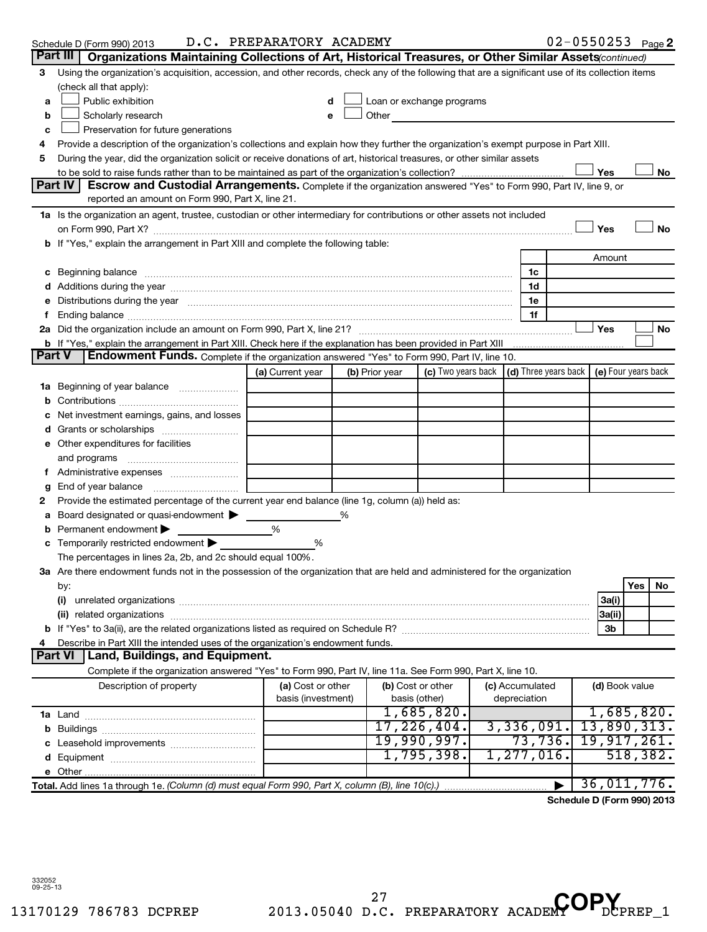|    | Schedule D (Form 990) 2013                                                                                                                                                                                                     | D.C. PREPARATORY ACADEMY |                |                             |                                                                             | $02 - 0550253$ Page 2      |     |           |
|----|--------------------------------------------------------------------------------------------------------------------------------------------------------------------------------------------------------------------------------|--------------------------|----------------|-----------------------------|-----------------------------------------------------------------------------|----------------------------|-----|-----------|
|    | Part III<br>Organizations Maintaining Collections of Art, Historical Treasures, or Other Similar Assets (continued)                                                                                                            |                          |                |                             |                                                                             |                            |     |           |
| 3  | Using the organization's acquisition, accession, and other records, check any of the following that are a significant use of its collection items                                                                              |                          |                |                             |                                                                             |                            |     |           |
|    | (check all that apply):                                                                                                                                                                                                        |                          |                |                             |                                                                             |                            |     |           |
| a  | Public exhibition                                                                                                                                                                                                              |                          |                | Loan or exchange programs   |                                                                             |                            |     |           |
| b  | Scholarly research                                                                                                                                                                                                             | e                        | Other          |                             |                                                                             |                            |     |           |
| c  | Preservation for future generations                                                                                                                                                                                            |                          |                |                             |                                                                             |                            |     |           |
| 4  | Provide a description of the organization's collections and explain how they further the organization's exempt purpose in Part XIII.                                                                                           |                          |                |                             |                                                                             |                            |     |           |
| 5  | During the year, did the organization solicit or receive donations of art, historical treasures, or other similar assets                                                                                                       |                          |                |                             |                                                                             |                            |     |           |
|    |                                                                                                                                                                                                                                |                          |                |                             |                                                                             | Yes                        |     | No        |
|    | Part IV<br>Escrow and Custodial Arrangements. Complete if the organization answered "Yes" to Form 990, Part IV, line 9, or                                                                                                     |                          |                |                             |                                                                             |                            |     |           |
|    | reported an amount on Form 990, Part X, line 21.                                                                                                                                                                               |                          |                |                             |                                                                             |                            |     |           |
|    | 1a Is the organization an agent, trustee, custodian or other intermediary for contributions or other assets not included                                                                                                       |                          |                |                             |                                                                             |                            |     |           |
|    |                                                                                                                                                                                                                                |                          |                |                             |                                                                             | Yes                        |     | <b>No</b> |
|    | b If "Yes," explain the arrangement in Part XIII and complete the following table:                                                                                                                                             |                          |                |                             |                                                                             |                            |     |           |
|    |                                                                                                                                                                                                                                |                          |                |                             |                                                                             | Amount                     |     |           |
|    | c Beginning balance measurements and the contract of the contract of the contract of the contract of the contract of the contract of the contract of the contract of the contract of the contract of the contract of the contr |                          |                |                             | 1c                                                                          |                            |     |           |
|    |                                                                                                                                                                                                                                |                          |                |                             | 1d                                                                          |                            |     |           |
|    | Distributions during the year manufactured and an account of the year manufactured and the year manufactured and the year manufactured and the year manufactured and the year manufactured and the year manufactured and the y |                          |                |                             | 1e                                                                          |                            |     |           |
|    |                                                                                                                                                                                                                                |                          |                |                             | 1f                                                                          |                            |     |           |
|    |                                                                                                                                                                                                                                |                          |                |                             |                                                                             | Yes                        |     | No        |
|    | b If "Yes," explain the arrangement in Part XIII. Check here if the explanation has been provided in Part XIII<br><b>Part V</b>                                                                                                |                          |                |                             |                                                                             |                            |     |           |
|    | <b>Endowment Funds.</b> Complete if the organization answered "Yes" to Form 990, Part IV, line 10.                                                                                                                             |                          |                |                             |                                                                             |                            |     |           |
|    |                                                                                                                                                                                                                                | (a) Current year         | (b) Prior year |                             | (c) Two years back $\vert$ (d) Three years back $\vert$ (e) Four years back |                            |     |           |
| 1a | Beginning of year balance                                                                                                                                                                                                      |                          |                |                             |                                                                             |                            |     |           |
| b  |                                                                                                                                                                                                                                |                          |                |                             |                                                                             |                            |     |           |
|    | Net investment earnings, gains, and losses                                                                                                                                                                                     |                          |                |                             |                                                                             |                            |     |           |
|    |                                                                                                                                                                                                                                |                          |                |                             |                                                                             |                            |     |           |
|    | e Other expenditures for facilities                                                                                                                                                                                            |                          |                |                             |                                                                             |                            |     |           |
|    | and programs                                                                                                                                                                                                                   |                          |                |                             |                                                                             |                            |     |           |
|    |                                                                                                                                                                                                                                |                          |                |                             |                                                                             |                            |     |           |
| g  | End of year balance                                                                                                                                                                                                            |                          |                |                             |                                                                             |                            |     |           |
| 2  | Provide the estimated percentage of the current year end balance (line 1g, column (a)) held as:                                                                                                                                |                          |                |                             |                                                                             |                            |     |           |
| а  | Board designated or quasi-endowment                                                                                                                                                                                            |                          |                |                             |                                                                             |                            |     |           |
|    | Permanent endowment                                                                                                                                                                                                            | %                        |                |                             |                                                                             |                            |     |           |
|    | Temporarily restricted endowment                                                                                                                                                                                               | %                        |                |                             |                                                                             |                            |     |           |
|    | The percentages in lines 2a, 2b, and 2c should equal 100%.                                                                                                                                                                     |                          |                |                             |                                                                             |                            |     |           |
|    | 3a Are there endowment funds not in the possession of the organization that are held and administered for the organization                                                                                                     |                          |                |                             |                                                                             |                            |     |           |
|    | by:                                                                                                                                                                                                                            |                          |                |                             |                                                                             |                            | Yes | No        |
|    | (i)                                                                                                                                                                                                                            |                          |                |                             |                                                                             | 3a(i)                      |     |           |
|    |                                                                                                                                                                                                                                |                          |                |                             |                                                                             | 3a(ii)                     |     |           |
|    |                                                                                                                                                                                                                                |                          |                |                             |                                                                             | 3b                         |     |           |
|    | Describe in Part XIII the intended uses of the organization's endowment funds.                                                                                                                                                 |                          |                |                             |                                                                             |                            |     |           |
|    | <b>Part VI</b><br>Land, Buildings, and Equipment.                                                                                                                                                                              |                          |                |                             |                                                                             |                            |     |           |
|    | Complete if the organization answered "Yes" to Form 990, Part IV, line 11a. See Form 990, Part X, line 10.                                                                                                                     |                          |                |                             |                                                                             |                            |     |           |
|    | Description of property                                                                                                                                                                                                        | (a) Cost or other        |                | (b) Cost or other           | (c) Accumulated                                                             | (d) Book value             |     |           |
|    |                                                                                                                                                                                                                                | basis (investment)       |                | basis (other)<br>1,685,820. | depreciation                                                                |                            |     |           |
|    |                                                                                                                                                                                                                                |                          |                |                             |                                                                             | 1,685,820.                 |     |           |
|    |                                                                                                                                                                                                                                |                          |                | 17,226,404.<br>19,990,997.  | 3,336,091.                                                                  | 13,890,313.                |     |           |
|    |                                                                                                                                                                                                                                |                          |                |                             | 73,736.                                                                     | 19,917,261.                |     |           |
|    |                                                                                                                                                                                                                                |                          |                | 1,795,398.                  | 1, 277, 016.                                                                |                            |     | 518, 382. |
|    |                                                                                                                                                                                                                                |                          |                |                             |                                                                             |                            |     |           |
|    | Total. Add lines 1a through 1e. (Column (d) must equal Form 990, Part X, column (B), line 10(c).)                                                                                                                              |                          |                |                             |                                                                             | 36,011,776.                |     |           |
|    |                                                                                                                                                                                                                                |                          |                |                             |                                                                             | Schedule D (Form 990) 2013 |     |           |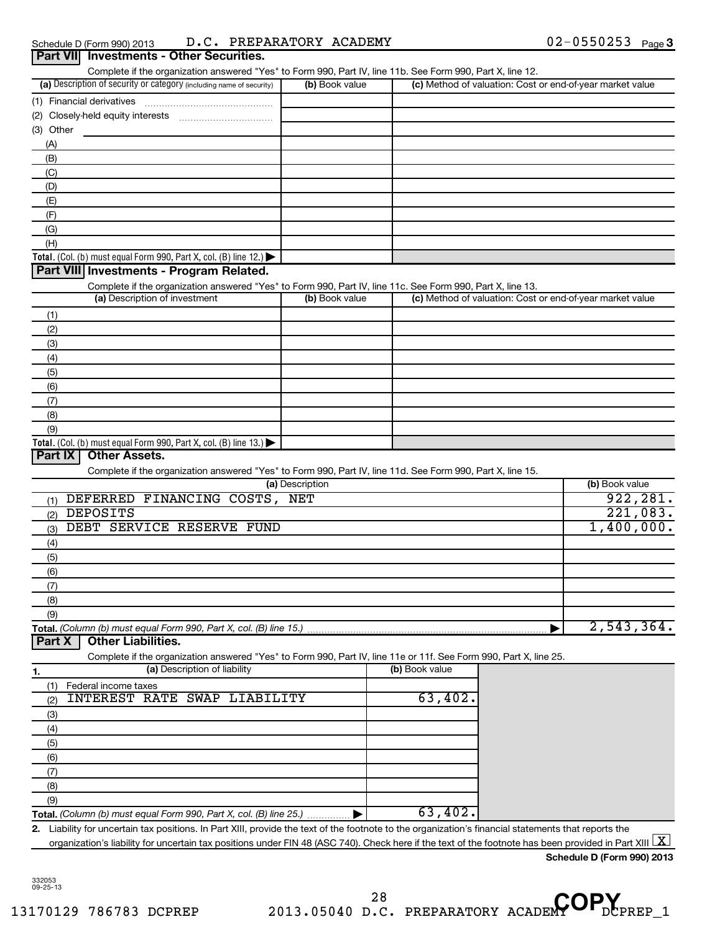| (a) Description of security or category (including name of security)                                              | (b) Book value  |                | Complete if the organization answered "Yes" to Form 990, Part IV, line 11b. See Form 990, Part X, line 12.<br>(c) Method of valuation: Cost or end-of-year market value |                |
|-------------------------------------------------------------------------------------------------------------------|-----------------|----------------|-------------------------------------------------------------------------------------------------------------------------------------------------------------------------|----------------|
|                                                                                                                   |                 |                |                                                                                                                                                                         |                |
|                                                                                                                   |                 |                |                                                                                                                                                                         |                |
| (3) Other                                                                                                         |                 |                |                                                                                                                                                                         |                |
| (A)                                                                                                               |                 |                |                                                                                                                                                                         |                |
| (B)                                                                                                               |                 |                |                                                                                                                                                                         |                |
| (C)                                                                                                               |                 |                |                                                                                                                                                                         |                |
| (D)                                                                                                               |                 |                |                                                                                                                                                                         |                |
| (E)                                                                                                               |                 |                |                                                                                                                                                                         |                |
| (F)                                                                                                               |                 |                |                                                                                                                                                                         |                |
| (G)                                                                                                               |                 |                |                                                                                                                                                                         |                |
| (H)                                                                                                               |                 |                |                                                                                                                                                                         |                |
| Total. (Col. (b) must equal Form 990, Part X, col. (B) line 12.)                                                  |                 |                |                                                                                                                                                                         |                |
| Part VIII Investments - Program Related.                                                                          |                 |                |                                                                                                                                                                         |                |
| Complete if the organization answered "Yes" to Form 990, Part IV, line 11c. See Form 990, Part X, line 13.        |                 |                |                                                                                                                                                                         |                |
| (a) Description of investment                                                                                     | (b) Book value  |                | (c) Method of valuation: Cost or end-of-year market value                                                                                                               |                |
| (1)                                                                                                               |                 |                |                                                                                                                                                                         |                |
| (2)                                                                                                               |                 |                |                                                                                                                                                                         |                |
| (3)                                                                                                               |                 |                |                                                                                                                                                                         |                |
|                                                                                                                   |                 |                |                                                                                                                                                                         |                |
| (4)                                                                                                               |                 |                |                                                                                                                                                                         |                |
| (5)                                                                                                               |                 |                |                                                                                                                                                                         |                |
| (6)                                                                                                               |                 |                |                                                                                                                                                                         |                |
| (7)                                                                                                               |                 |                |                                                                                                                                                                         |                |
|                                                                                                                   |                 |                |                                                                                                                                                                         |                |
| (8)                                                                                                               |                 |                |                                                                                                                                                                         |                |
| (9)                                                                                                               |                 |                |                                                                                                                                                                         |                |
| Total. (Col. (b) must equal Form 990, Part X, col. (B) line 13.) $\blacktriangleright$                            |                 |                |                                                                                                                                                                         |                |
| <b>Other Assets.</b><br>Part IX                                                                                   |                 |                |                                                                                                                                                                         |                |
| Complete if the organization answered "Yes" to Form 990, Part IV, line 11d. See Form 990, Part X, line 15.        |                 |                |                                                                                                                                                                         |                |
|                                                                                                                   | (a) Description |                |                                                                                                                                                                         | (b) Book value |
| (1) DEFERRED FINANCING COSTS, NET                                                                                 |                 |                |                                                                                                                                                                         | 922, 281.      |
| <b>DEPOSITS</b><br>(2)                                                                                            |                 |                |                                                                                                                                                                         | 221,083.       |
| DEBT SERVICE RESERVE FUND<br>(3)                                                                                  |                 |                |                                                                                                                                                                         | 1,400,000.     |
| (4)                                                                                                               |                 |                |                                                                                                                                                                         |                |
| (5)                                                                                                               |                 |                |                                                                                                                                                                         |                |
| (6)                                                                                                               |                 |                |                                                                                                                                                                         |                |
| (7)                                                                                                               |                 |                |                                                                                                                                                                         |                |
| (8)                                                                                                               |                 |                |                                                                                                                                                                         |                |
| (9)                                                                                                               |                 |                |                                                                                                                                                                         |                |
| Part X<br><b>Other Liabilities.</b>                                                                               |                 |                |                                                                                                                                                                         | 2,543,364.     |
| Complete if the organization answered "Yes" to Form 990, Part IV, line 11e or 11f. See Form 990, Part X, line 25. |                 |                |                                                                                                                                                                         |                |
| (a) Description of liability<br>1.                                                                                |                 | (b) Book value |                                                                                                                                                                         |                |
| Federal income taxes<br>(1)                                                                                       |                 |                |                                                                                                                                                                         |                |
| INTEREST RATE SWAP LIABILITY<br>(2)                                                                               |                 | 63,402.        |                                                                                                                                                                         |                |
| (3)                                                                                                               |                 |                |                                                                                                                                                                         |                |
| (4)                                                                                                               |                 |                |                                                                                                                                                                         |                |
| (5)                                                                                                               |                 |                |                                                                                                                                                                         |                |
| (6)                                                                                                               |                 |                |                                                                                                                                                                         |                |
| (7)                                                                                                               |                 |                |                                                                                                                                                                         |                |
| (8)                                                                                                               |                 |                |                                                                                                                                                                         |                |
| (9)                                                                                                               |                 | 63,402.        |                                                                                                                                                                         |                |

**Schedule D (Form 990) 2013**

332053 09-25-13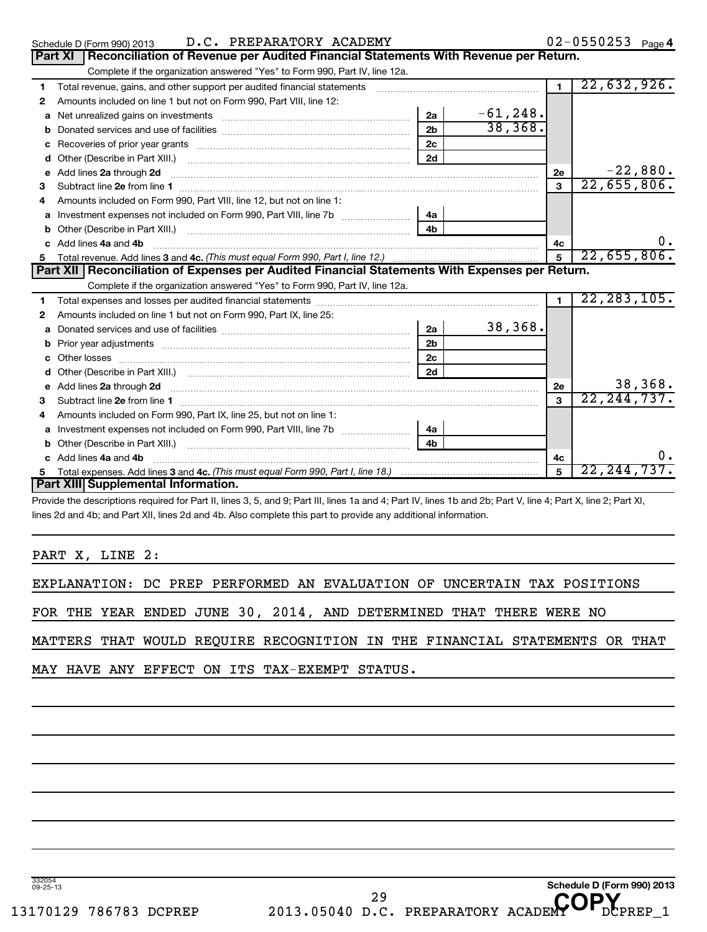| Schedule D | 2013<br>990<br>: Form) ر |  | PREPARATORY | <b>ACADEMY</b> |  | rade <b>"</b> |
|------------|--------------------------|--|-------------|----------------|--|---------------|
|------------|--------------------------|--|-------------|----------------|--|---------------|

**Schedule D (Form 990) 2013**

|    | Part XI   Reconciliation of Revenue per Audited Financial Statements With Revenue per Return.                  |                |             |                |               |
|----|----------------------------------------------------------------------------------------------------------------|----------------|-------------|----------------|---------------|
|    | Complete if the organization answered "Yes" to Form 990, Part IV, line 12a.                                    |                |             |                |               |
| 1  | Total revenue, gains, and other support per audited financial statements                                       |                |             | $\blacksquare$ | 22,632,926.   |
| 2  | Amounts included on line 1 but not on Form 990, Part VIII, line 12:                                            |                |             |                |               |
|    |                                                                                                                | 2a             | $-61, 248.$ |                |               |
| b  |                                                                                                                | 2 <sub>b</sub> | 38,368.     |                |               |
| с  |                                                                                                                | 2 <sub>c</sub> |             |                |               |
|    |                                                                                                                | 2d             |             |                |               |
| e  | Add lines 2a through 2d                                                                                        |                |             | 2e             | $-22,880.$    |
| 3  |                                                                                                                |                |             | 3              | 22,655,806.   |
| 4  | Amounts included on Form 990, Part VIII, line 12, but not on line 1:                                           |                |             |                |               |
| a  | Investment expenses not included on Form 990, Part VIII, line 7b [100] [100] [100] [100] [100] [100] [100] [10 | 4a             |             |                |               |
| b  | Other (Describe in Part XIII.)                                                                                 | 4 <sub>b</sub> |             |                |               |
|    | c Add lines 4a and 4b                                                                                          |                |             | 4с             | $0$ .         |
| 5  |                                                                                                                |                |             | 5              | 22,655,806.   |
|    |                                                                                                                |                |             |                |               |
|    | Part XII Reconciliation of Expenses per Audited Financial Statements With Expenses per Return.                 |                |             |                |               |
|    | Complete if the organization answered "Yes" to Form 990, Part IV, line 12a.                                    |                |             |                |               |
| 1  |                                                                                                                |                |             | $\blacksquare$ | 22, 283, 105. |
| 2  | Amounts included on line 1 but not on Form 990, Part IX, line 25:                                              |                |             |                |               |
|    |                                                                                                                | 2a             | 38,368.     |                |               |
| b  |                                                                                                                | 2 <sub>b</sub> |             |                |               |
|    | Other losses                                                                                                   | 2c             |             |                |               |
| d  |                                                                                                                | 2d             |             |                |               |
|    | e Add lines 2a through 2d                                                                                      |                |             | 2e             | 38,368.       |
| 3  |                                                                                                                |                |             | 3              | 22, 244, 737. |
| 4  | Amounts included on Form 990, Part IX, line 25, but not on line 1:                                             |                |             |                |               |
|    |                                                                                                                | 4a             |             |                |               |
| b  | Other (Describe in Part XIII.)                                                                                 | 4 <sub>h</sub> |             |                |               |
|    | c Add lines 4a and 4b                                                                                          |                |             | 4c             | 0.            |
| 5. | Part XIII Supplemental Information.                                                                            |                |             | 5              | 22, 244, 737. |

Provide the descriptions required for Part II, lines 3, 5, and 9; Part III, lines 1a and 4; Part IV, lines 1b and 2b; Part V, line 4; Part X, line 2; Part XI, lines 2d and 4b; and Part XII, lines 2d and 4b. Also complete this part to provide any additional information.

PART X, LINE 2:

| EXPLANATION: DC PREP PERFORMED AN EVALUATION OF UNCERTAIN TAX POSITIONS |  |  |  |  |  |  |  |  |  |
|-------------------------------------------------------------------------|--|--|--|--|--|--|--|--|--|
|-------------------------------------------------------------------------|--|--|--|--|--|--|--|--|--|

FOR THE YEAR ENDED JUNE 30, 2014, AND DETERMINED THAT THERE WERE NO

MATTERS THAT WOULD REQUIRE RECOGNITION IN THE FINANCIAL STATEMENTS OR THAT

MAY HAVE ANY EFFECT ON ITS TAX-EXEMPT STATUS.

332054 09-25-13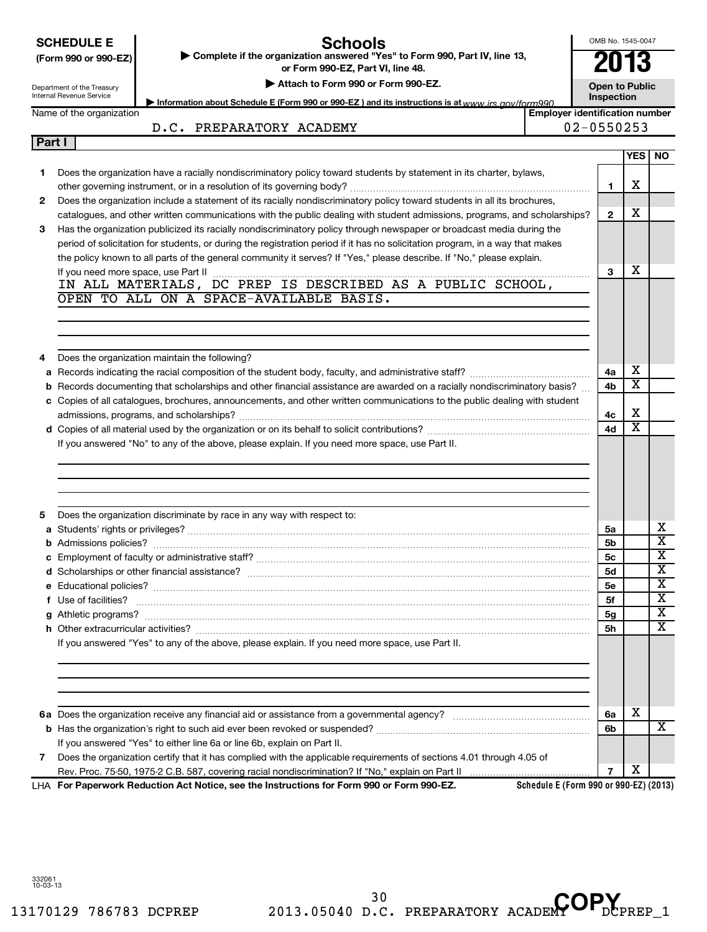## **Schools**

OMB No. 1545-0047

I

|              | (Form 990 or 990-EZ)                                   | Complete if the organization answered "Yes" to Form 990, Part IV, line 13,<br>or Form 990-EZ, Part VI, line 48.                  |                                       | 2013                                |                         |                                                    |
|--------------|--------------------------------------------------------|----------------------------------------------------------------------------------------------------------------------------------|---------------------------------------|-------------------------------------|-------------------------|----------------------------------------------------|
|              | Department of the Treasury<br>Internal Revenue Service | Attach to Form 990 or Form 990-EZ.                                                                                               |                                       | <b>Open to Public</b><br>Inspection |                         |                                                    |
|              | Name of the organization                               | Information about Schedule E (Form 990 or 990-EZ) and its instructions is at www irs gov/form990                                 | <b>Employer identification number</b> |                                     |                         |                                                    |
|              |                                                        | D.C. PREPARATORY ACADEMY                                                                                                         |                                       | $02 - 0550253$                      |                         |                                                    |
| Part I       |                                                        |                                                                                                                                  |                                       |                                     |                         |                                                    |
|              |                                                        |                                                                                                                                  |                                       |                                     | YES                     | NO.                                                |
| 1.           |                                                        | Does the organization have a racially nondiscriminatory policy toward students by statement in its charter, bylaws,              |                                       |                                     |                         |                                                    |
|              |                                                        |                                                                                                                                  |                                       | 1                                   | х                       |                                                    |
| $\mathbf{2}$ |                                                        | Does the organization include a statement of its racially nondiscriminatory policy toward students in all its brochures,         |                                       |                                     |                         |                                                    |
|              |                                                        | catalogues, and other written communications with the public dealing with student admissions, programs, and scholarships?        |                                       | $\mathbf{2}$                        | х                       |                                                    |
| 3            |                                                        | Has the organization publicized its racially nondiscriminatory policy through newspaper or broadcast media during the            |                                       |                                     |                         |                                                    |
|              |                                                        | period of solicitation for students, or during the registration period if it has no solicitation program, in a way that makes    |                                       |                                     |                         |                                                    |
|              |                                                        | the policy known to all parts of the general community it serves? If "Yes," please describe. If "No," please explain.            |                                       |                                     | х                       |                                                    |
|              |                                                        |                                                                                                                                  |                                       | 3                                   |                         |                                                    |
|              |                                                        | OPEN TO ALL ON A SPACE-AVAILABLE BASIS.                                                                                          |                                       |                                     |                         |                                                    |
|              |                                                        |                                                                                                                                  |                                       |                                     |                         |                                                    |
|              |                                                        |                                                                                                                                  |                                       |                                     |                         |                                                    |
|              |                                                        |                                                                                                                                  |                                       |                                     |                         |                                                    |
|              |                                                        | Does the organization maintain the following?                                                                                    |                                       |                                     |                         |                                                    |
|              |                                                        |                                                                                                                                  |                                       | 4a                                  | X                       |                                                    |
|              |                                                        | <b>b</b> Records documenting that scholarships and other financial assistance are awarded on a racially nondiscriminatory basis? |                                       | 4b                                  | $\overline{\text{x}}$   |                                                    |
|              |                                                        | c Copies of all catalogues, brochures, announcements, and other written communications to the public dealing with student        |                                       |                                     |                         |                                                    |
|              |                                                        |                                                                                                                                  |                                       | 4c                                  | X                       |                                                    |
|              |                                                        |                                                                                                                                  |                                       | 4d                                  | $\overline{\texttt{x}}$ |                                                    |
|              |                                                        | If you answered "No" to any of the above, please explain. If you need more space, use Part II.                                   |                                       |                                     |                         |                                                    |
|              |                                                        |                                                                                                                                  |                                       |                                     |                         |                                                    |
|              |                                                        |                                                                                                                                  |                                       |                                     |                         |                                                    |
|              |                                                        |                                                                                                                                  |                                       |                                     |                         |                                                    |
|              |                                                        |                                                                                                                                  |                                       |                                     |                         |                                                    |
| 5            |                                                        | Does the organization discriminate by race in any way with respect to:                                                           |                                       |                                     |                         |                                                    |
|              |                                                        |                                                                                                                                  |                                       | 5а                                  |                         | х                                                  |
|              |                                                        |                                                                                                                                  |                                       | 5b                                  |                         | $\overline{\textbf{x}}$                            |
|              |                                                        |                                                                                                                                  |                                       | 5с                                  |                         | $\overline{\mathtt{x}}$<br>$\overline{\mathtt{x}}$ |
|              |                                                        |                                                                                                                                  |                                       | 5d                                  |                         |                                                    |
|              | f Use of facilities?                                   |                                                                                                                                  |                                       | <b>5e</b>                           |                         | Y<br>$\overline{\texttt{x}}$                       |
|              |                                                        |                                                                                                                                  |                                       | 5f                                  |                         | х                                                  |
|              |                                                        |                                                                                                                                  |                                       | 5g<br>5h                            |                         | $\overline{\text{x}}$                              |
|              |                                                        | If you answered "Yes" to any of the above, please explain. If you need more space, use Part II.                                  |                                       |                                     |                         |                                                    |
|              |                                                        |                                                                                                                                  |                                       |                                     |                         |                                                    |
|              |                                                        |                                                                                                                                  |                                       |                                     |                         |                                                    |
|              |                                                        |                                                                                                                                  |                                       |                                     |                         |                                                    |
|              |                                                        |                                                                                                                                  |                                       |                                     |                         |                                                    |
|              |                                                        |                                                                                                                                  |                                       | 6a                                  | х                       |                                                    |
|              |                                                        |                                                                                                                                  |                                       | 6b                                  |                         | X                                                  |
|              |                                                        | If you answered "Yes" to either line 6a or line 6b, explain on Part II.                                                          |                                       |                                     |                         |                                                    |
| 7            |                                                        | Does the organization certify that it has complied with the applicable requirements of sections 4.01 through 4.05 of             |                                       |                                     |                         |                                                    |
|              |                                                        |                                                                                                                                  |                                       | $\overline{7}$                      | х                       |                                                    |

**For Paperwork Reduction Act Notice, see the Instructions for Form 990 or Form 990-EZ.** LHA

**Schedule E (Form 990 or 990-EZ) (2013)**

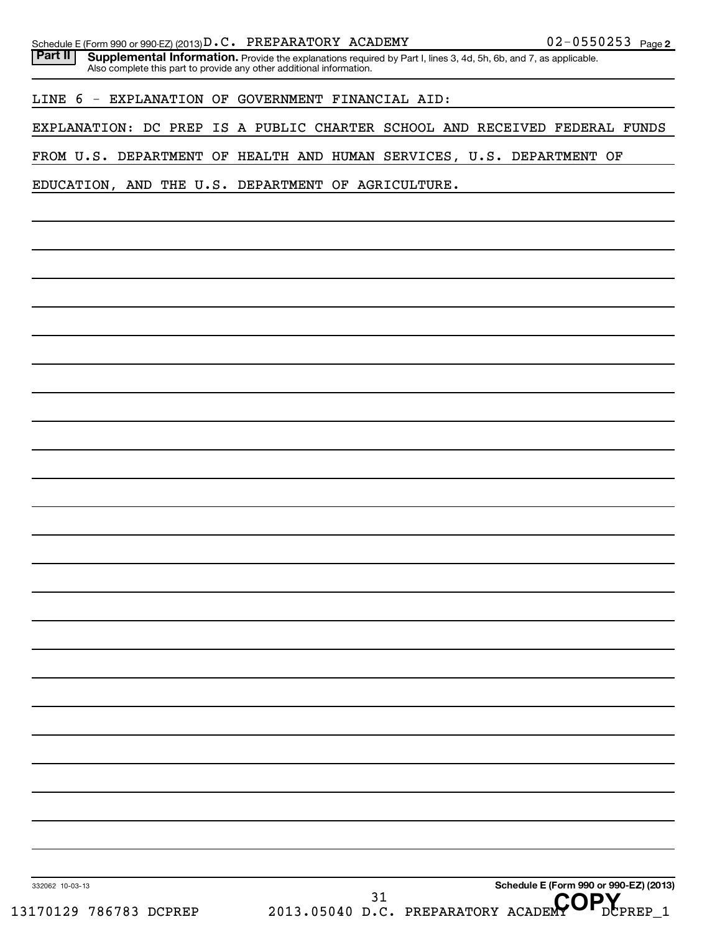| Part II | Schedule E (Form 990 or 990-EZ) (2013) $D.C.$ PREPARATORY ACADEMY<br><b>Supplemental Information.</b> Provide the explanations required by Part I, lines 3, 4d, 5h, 6b, and 7, as applicable. | $02 - 0550253$ Page 2                  |
|---------|-----------------------------------------------------------------------------------------------------------------------------------------------------------------------------------------------|----------------------------------------|
|         | Also complete this part to provide any other additional information.                                                                                                                          |                                        |
|         | LINE 6 - EXPLANATION OF GOVERNMENT FINANCIAL AID:                                                                                                                                             |                                        |
|         | EXPLANATION: DC PREP IS A PUBLIC CHARTER SCHOOL AND RECEIVED FEDERAL FUNDS                                                                                                                    |                                        |
|         | FROM U.S. DEPARTMENT OF HEALTH AND HUMAN SERVICES, U.S. DEPARTMENT OF                                                                                                                         |                                        |
|         | EDUCATION, AND THE U.S. DEPARTMENT OF AGRICULTURE.                                                                                                                                            |                                        |
|         |                                                                                                                                                                                               |                                        |
|         |                                                                                                                                                                                               |                                        |
|         |                                                                                                                                                                                               |                                        |
|         |                                                                                                                                                                                               |                                        |
|         |                                                                                                                                                                                               |                                        |
|         |                                                                                                                                                                                               |                                        |
|         |                                                                                                                                                                                               |                                        |
|         |                                                                                                                                                                                               |                                        |
|         |                                                                                                                                                                                               |                                        |
|         |                                                                                                                                                                                               |                                        |
|         |                                                                                                                                                                                               |                                        |
|         |                                                                                                                                                                                               |                                        |
|         |                                                                                                                                                                                               |                                        |
|         |                                                                                                                                                                                               |                                        |
|         |                                                                                                                                                                                               |                                        |
|         |                                                                                                                                                                                               |                                        |
|         |                                                                                                                                                                                               |                                        |
|         |                                                                                                                                                                                               |                                        |
|         |                                                                                                                                                                                               |                                        |
|         |                                                                                                                                                                                               |                                        |
|         |                                                                                                                                                                                               |                                        |
|         |                                                                                                                                                                                               |                                        |
|         |                                                                                                                                                                                               |                                        |
|         |                                                                                                                                                                                               |                                        |
|         |                                                                                                                                                                                               |                                        |
|         |                                                                                                                                                                                               | Schedule E (Form 990 or 990-EZ) (2013) |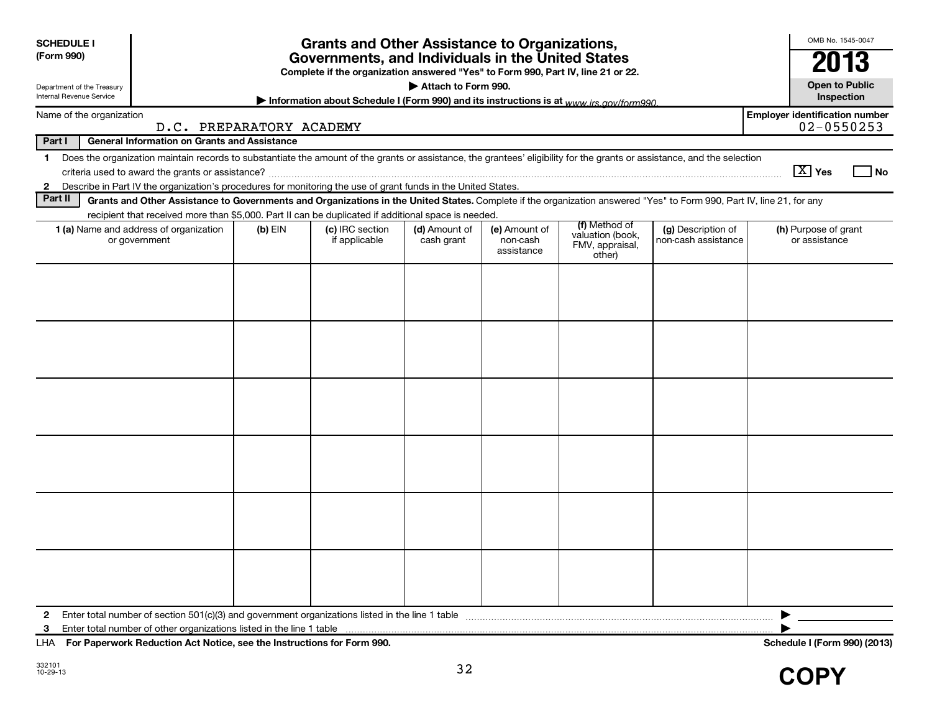| <b>SCHEDULE I</b><br>(Form 990)<br>Department of the Treasury<br><b>Internal Revenue Service</b><br>Name of the organization<br>Part I<br><b>General Information on Grants and Assistance</b><br>Does the organization maintain records to substantiate the amount of the grants or assistance, the grantees' eligibility for the grants or assistance, and the selection<br>$\mathbf 1$ | D.C. PREPARATORY ACADEMY | <b>Grants and Other Assistance to Organizations,</b><br>Governments, and Individuals in the United States<br>Complete if the organization answered "Yes" to Form 990, Part IV, line 21 or 22.<br>Information about Schedule I (Form 990) and its instructions is at www irs gov/form990 | Attach to Form 990.         |                                         |                                                                |                                           | OMB No. 1545-0047<br>2013<br><b>Open to Public</b><br>Inspection<br><b>Employer identification number</b><br>$02 - 0550253$                                                                                                                                                                                                             |
|------------------------------------------------------------------------------------------------------------------------------------------------------------------------------------------------------------------------------------------------------------------------------------------------------------------------------------------------------------------------------------------|--------------------------|-----------------------------------------------------------------------------------------------------------------------------------------------------------------------------------------------------------------------------------------------------------------------------------------|-----------------------------|-----------------------------------------|----------------------------------------------------------------|-------------------------------------------|-----------------------------------------------------------------------------------------------------------------------------------------------------------------------------------------------------------------------------------------------------------------------------------------------------------------------------------------|
|                                                                                                                                                                                                                                                                                                                                                                                          |                          |                                                                                                                                                                                                                                                                                         |                             |                                         |                                                                |                                           | $ \mathbf{X} $ Yes<br>l No                                                                                                                                                                                                                                                                                                              |
| Describe in Part IV the organization's procedures for monitoring the use of grant funds in the United States.<br>$\mathbf{2}$<br>Part II<br>Grants and Other Assistance to Governments and Organizations in the United States. Complete if the organization answered "Yes" to Form 990, Part IV, line 21, for any                                                                        |                          |                                                                                                                                                                                                                                                                                         |                             |                                         |                                                                |                                           |                                                                                                                                                                                                                                                                                                                                         |
| recipient that received more than \$5,000. Part II can be duplicated if additional space is needed.                                                                                                                                                                                                                                                                                      |                          |                                                                                                                                                                                                                                                                                         |                             |                                         |                                                                |                                           |                                                                                                                                                                                                                                                                                                                                         |
| 1 (a) Name and address of organization<br>or government                                                                                                                                                                                                                                                                                                                                  | $(b)$ EIN                | (c) IRC section<br>if applicable                                                                                                                                                                                                                                                        | (d) Amount of<br>cash grant | (e) Amount of<br>non-cash<br>assistance | (f) Method of<br>valuation (book,<br>FMV, appraisal,<br>other) | (g) Description of<br>non-cash assistance | (h) Purpose of grant<br>or assistance                                                                                                                                                                                                                                                                                                   |
|                                                                                                                                                                                                                                                                                                                                                                                          |                          |                                                                                                                                                                                                                                                                                         |                             |                                         |                                                                |                                           |                                                                                                                                                                                                                                                                                                                                         |
| 3<br>$\lambda$ . For December 1, Deduction Ast Matter and the Instrumental Ass Frame 000.                                                                                                                                                                                                                                                                                                |                          |                                                                                                                                                                                                                                                                                         |                             |                                         |                                                                |                                           | ▶<br>$\mathbf{1}$ $\mathbf{1}$ $\mathbf{1}$ $\mathbf{1}$ $\mathbf{1}$ $\mathbf{1}$ $\mathbf{1}$ $\mathbf{1}$ $\mathbf{1}$ $\mathbf{1}$ $\mathbf{1}$ $\mathbf{1}$ $\mathbf{1}$ $\mathbf{1}$ $\mathbf{1}$ $\mathbf{1}$ $\mathbf{1}$ $\mathbf{1}$ $\mathbf{1}$ $\mathbf{1}$ $\mathbf{1}$ $\mathbf{1}$ $\mathbf{1}$ $\mathbf{1}$ $\mathbf{$ |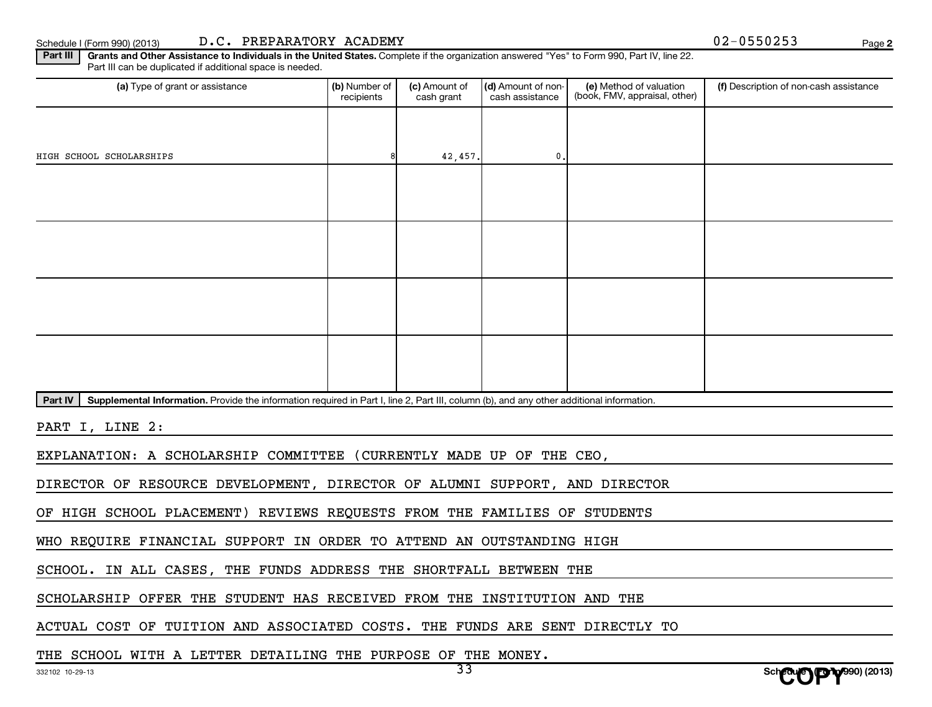Schedule I (Form 990) (2013) D.C. PREPARATORY ACADEMY **Depart of the CONTACT CONTACT CONTACT CONTACT CONTACT CONT** 

**2**

Part III | Grants and Other Assistance to Individuals in the United States. Complete if the organization answered "Yes" to Form 990, Part IV, line 22. Part III can be duplicated if additional space is needed.

| (a) Type of grant or assistance                                                                                                                      | (b) Number of<br>recipients | (c) Amount of<br>cash grant | (d) Amount of non-<br>cash assistance | (e) Method of valuation<br>(book, FMV, appraisal, other) | (f) Description of non-cash assistance |
|------------------------------------------------------------------------------------------------------------------------------------------------------|-----------------------------|-----------------------------|---------------------------------------|----------------------------------------------------------|----------------------------------------|
|                                                                                                                                                      |                             |                             |                                       |                                                          |                                        |
| HIGH SCHOOL SCHOLARSHIPS                                                                                                                             |                             | 42,457.                     | $\mathbf{0}$ .                        |                                                          |                                        |
|                                                                                                                                                      |                             |                             |                                       |                                                          |                                        |
|                                                                                                                                                      |                             |                             |                                       |                                                          |                                        |
|                                                                                                                                                      |                             |                             |                                       |                                                          |                                        |
|                                                                                                                                                      |                             |                             |                                       |                                                          |                                        |
|                                                                                                                                                      |                             |                             |                                       |                                                          |                                        |
|                                                                                                                                                      |                             |                             |                                       |                                                          |                                        |
|                                                                                                                                                      |                             |                             |                                       |                                                          |                                        |
|                                                                                                                                                      |                             |                             |                                       |                                                          |                                        |
| Supplemental Information. Provide the information required in Part I, line 2, Part III, column (b), and any other additional information.<br>Part IV |                             |                             |                                       |                                                          |                                        |

PART I, LINE 2:

EXPLANATION: A SCHOLARSHIP COMMITTEE (CURRENTLY MADE UP OF THE CEO,

DIRECTOR OF RESOURCE DEVELOPMENT, DIRECTOR OF ALUMNI SUPPORT, AND DIRECTOR

OF HIGH SCHOOL PLACEMENT) REVIEWS REQUESTS FROM THE FAMILIES OF STUDENTS

WHO REQUIRE FINANCIAL SUPPORT IN ORDER TO ATTEND AN OUTSTANDING HIGH

SCHOOL. IN ALL CASES, THE FUNDS ADDRESS THE SHORTFALL BETWEEN THE

SCHOLARSHIP OFFER THE STUDENT HAS RECEIVED FROM THE INSTITUTION AND THE

ACTUAL COST OF TUITION AND ASSOCIATED COSTS. THE FUNDS ARE SENT DIRECTLY TO

#### THE SCHOOL WITH A LETTER DETAILING THE PURPOSE OF THE MONEY.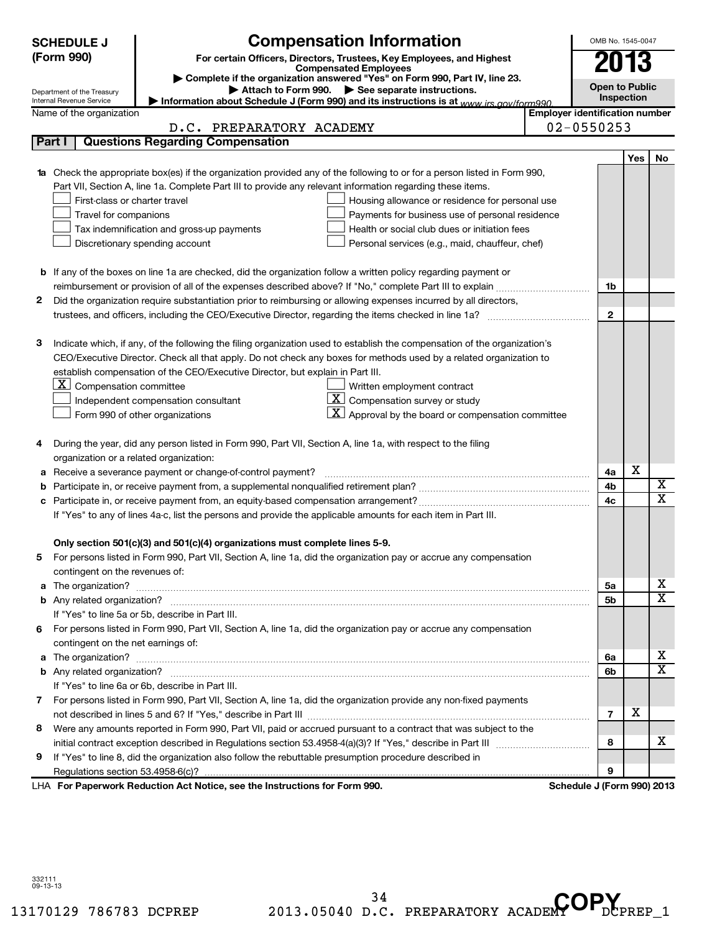|   | <b>Compensation Information</b><br><b>SCHEDULE J</b>                                                                                                                                                                                    | OMB No. 1545-0047                     |            |                         |
|---|-----------------------------------------------------------------------------------------------------------------------------------------------------------------------------------------------------------------------------------------|---------------------------------------|------------|-------------------------|
|   | (Form 990)<br>For certain Officers, Directors, Trustees, Key Employees, and Highest                                                                                                                                                     | 2013                                  |            |                         |
|   | <b>Compensated Employees</b><br>Complete if the organization answered "Yes" on Form 990, Part IV, line 23.                                                                                                                              |                                       |            |                         |
|   | Attach to Form 990. See separate instructions.<br>Department of the Treasury                                                                                                                                                            | <b>Open to Public</b>                 |            |                         |
|   | Internal Revenue Service<br>Information about Schedule J (Form 990) and its instructions is at www irs gov/form990                                                                                                                      |                                       | Inspection |                         |
|   | Name of the organization                                                                                                                                                                                                                | <b>Employer identification number</b> |            |                         |
|   | D.C. PREPARATORY ACADEMY                                                                                                                                                                                                                | $02 - 0550253$                        |            |                         |
|   | Part I<br><b>Questions Regarding Compensation</b>                                                                                                                                                                                       |                                       |            |                         |
|   |                                                                                                                                                                                                                                         |                                       | Yes        | No                      |
|   | 1a Check the appropriate box(es) if the organization provided any of the following to or for a person listed in Form 990,<br>Part VII, Section A, line 1a. Complete Part III to provide any relevant information regarding these items. |                                       |            |                         |
|   | First-class or charter travel<br>Housing allowance or residence for personal use                                                                                                                                                        |                                       |            |                         |
|   | Travel for companions<br>Payments for business use of personal residence                                                                                                                                                                |                                       |            |                         |
|   | Health or social club dues or initiation fees<br>Tax indemnification and gross-up payments                                                                                                                                              |                                       |            |                         |
|   | Discretionary spending account<br>Personal services (e.g., maid, chauffeur, chef)                                                                                                                                                       |                                       |            |                         |
|   |                                                                                                                                                                                                                                         |                                       |            |                         |
|   | b If any of the boxes on line 1a are checked, did the organization follow a written policy regarding payment or                                                                                                                         |                                       |            |                         |
|   |                                                                                                                                                                                                                                         | 1b                                    |            |                         |
| 2 | Did the organization require substantiation prior to reimbursing or allowing expenses incurred by all directors,                                                                                                                        |                                       |            |                         |
|   | trustees, and officers, including the CEO/Executive Director, regarding the items checked in line 1a?                                                                                                                                   | $\mathbf{2}$                          |            |                         |
|   |                                                                                                                                                                                                                                         |                                       |            |                         |
| з | Indicate which, if any, of the following the filing organization used to establish the compensation of the organization's                                                                                                               |                                       |            |                         |
|   | CEO/Executive Director. Check all that apply. Do not check any boxes for methods used by a related organization to                                                                                                                      |                                       |            |                         |
|   | establish compensation of the CEO/Executive Director, but explain in Part III.                                                                                                                                                          |                                       |            |                         |
|   | $\lfloor x \rfloor$<br>Compensation committee<br>Written employment contract                                                                                                                                                            |                                       |            |                         |
|   | $\boxed{\textbf{X}}$ Compensation survey or study<br>Independent compensation consultant                                                                                                                                                |                                       |            |                         |
|   | X I<br>Approval by the board or compensation committee<br>Form 990 of other organizations                                                                                                                                               |                                       |            |                         |
|   |                                                                                                                                                                                                                                         |                                       |            |                         |
| 4 | During the year, did any person listed in Form 990, Part VII, Section A, line 1a, with respect to the filing                                                                                                                            |                                       |            |                         |
|   | organization or a related organization:                                                                                                                                                                                                 |                                       |            |                         |
|   | a Receive a severance payment or change-of-control payment?                                                                                                                                                                             | 4a                                    | х          |                         |
| b |                                                                                                                                                                                                                                         | 4b                                    |            | X                       |
| с |                                                                                                                                                                                                                                         | 4c                                    |            | $\overline{\mathtt{x}}$ |
|   | If "Yes" to any of lines 4a-c, list the persons and provide the applicable amounts for each item in Part III.                                                                                                                           |                                       |            |                         |
|   |                                                                                                                                                                                                                                         |                                       |            |                         |
|   | Only section 501(c)(3) and 501(c)(4) organizations must complete lines 5-9.                                                                                                                                                             |                                       |            |                         |
|   | For persons listed in Form 990, Part VII, Section A, line 1a, did the organization pay or accrue any compensation                                                                                                                       |                                       |            |                         |
|   | contingent on the revenues of:                                                                                                                                                                                                          |                                       |            | x                       |
|   |                                                                                                                                                                                                                                         | 5a                                    |            | $\overline{\textbf{X}}$ |
|   |                                                                                                                                                                                                                                         | 5b                                    |            |                         |
|   | If "Yes" to line 5a or 5b, describe in Part III.                                                                                                                                                                                        |                                       |            |                         |
| 6 | For persons listed in Form 990, Part VII, Section A, line 1a, did the organization pay or accrue any compensation                                                                                                                       |                                       |            |                         |
|   | contingent on the net earnings of:                                                                                                                                                                                                      | 6а                                    |            | х                       |
|   |                                                                                                                                                                                                                                         | 6b                                    |            | $\overline{\textbf{X}}$ |
|   | If "Yes" to line 6a or 6b, describe in Part III.                                                                                                                                                                                        |                                       |            |                         |
|   | 7 For persons listed in Form 990, Part VII, Section A, line 1a, did the organization provide any non-fixed payments                                                                                                                     |                                       |            |                         |
|   |                                                                                                                                                                                                                                         | $\overline{7}$                        | Х          |                         |
| 8 | Were any amounts reported in Form 990, Part VII, paid or accrued pursuant to a contract that was subject to the                                                                                                                         |                                       |            |                         |
|   |                                                                                                                                                                                                                                         | 8                                     |            | х                       |
| 9 | If "Yes" to line 8, did the organization also follow the rebuttable presumption procedure described in                                                                                                                                  |                                       |            |                         |
|   | Regulations section 53.4958-6(c)?                                                                                                                                                                                                       | 9                                     |            |                         |
|   | LHA For Paperwork Reduction Act Notice, see the Instructions for Form 990.                                                                                                                                                              | Schedule J (Form 990) 2013            |            |                         |

332111 09-13-13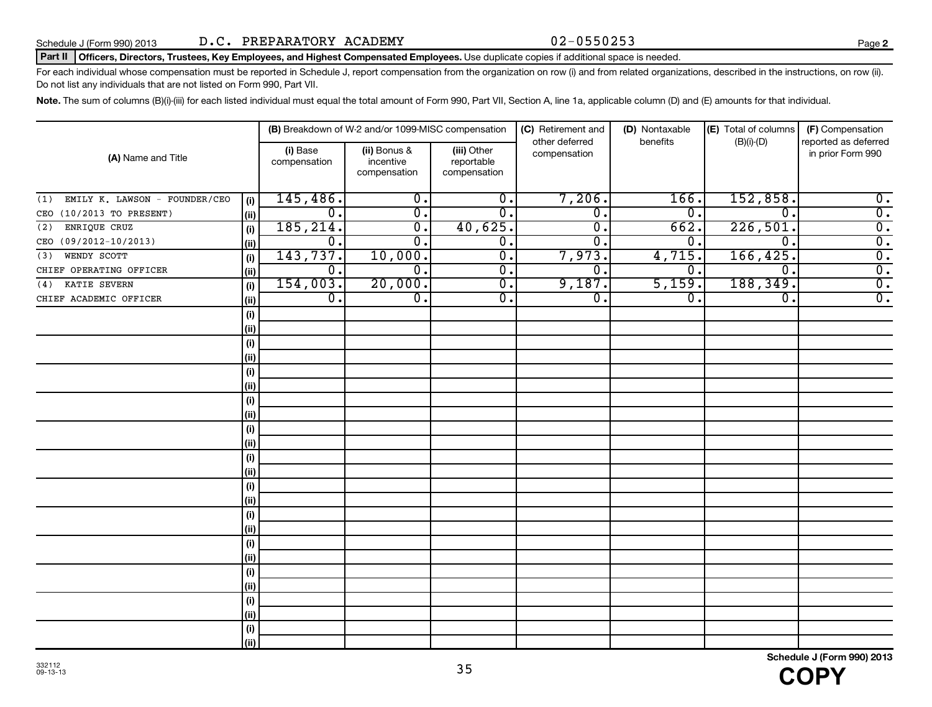### Schedule J (Form 990) 2013 Page D.C. PREPARATORY ACADEMY 02-0550253

#### Part II | Officers, Directors, Trustees, Key Employees, and Highest Compensated Employees. Use duplicate copies if additional space is needed.

For each individual whose compensation must be reported in Schedule J, report compensation from the organization on row (i) and from related organizations, described in the instructions, on row (ii). Do not list any individuals that are not listed on Form 990, Part VII.

Note. The sum of columns (B)(i)-(iii) for each listed individual must equal the total amount of Form 990, Part VII, Section A, line 1a, applicable column (D) and (E) amounts for that individual.

|                                      |      |                          | (B) Breakdown of W-2 and/or 1099-MISC compensation |                                           | (C) Retirement and             | (D) Nontaxable | (E) Total of columns | (F) Compensation                          |
|--------------------------------------|------|--------------------------|----------------------------------------------------|-------------------------------------------|--------------------------------|----------------|----------------------|-------------------------------------------|
| (A) Name and Title                   |      | (i) Base<br>compensation | (ii) Bonus &<br>incentive<br>compensation          | (iii) Other<br>reportable<br>compensation | other deferred<br>compensation | benefits       | $(B)(i)-(D)$         | reported as deferred<br>in prior Form 990 |
| EMILY K. LAWSON - FOUNDER/CEO<br>(1) | (i)  | 145,486.                 | $\overline{\mathfrak{o}}$ .                        | $\overline{\mathfrak{o}}$ .               | 7,206.                         | 166.           | 152,858.             | $\overline{0}$ .                          |
| CEO (10/2013 TO PRESENT)             | (ii) | $\overline{0}$ .         | $\overline{0}$                                     | $\overline{0}$ .                          | $\overline{\mathfrak{o}}$ .    | 0.             | $\mathbf 0$ .        | $\overline{0}$ .                          |
| ENRIQUE CRUZ<br>(2)                  | (i)  | 185, 214.                | $\overline{0}$                                     | 40,625.                                   | σ.                             | 662.           | 226,501              | $\overline{0}$ .                          |
| CEO (09/2012-10/2013)                | (ii) | 0.                       | $\overline{0}$ .                                   | $\overline{0}$ .                          | σ.                             | 0.             | $\overline{0}$       | $\overline{0}$ .                          |
| WENDY SCOTT<br>(3)                   | (i)  | 143,737.                 | 10,000.                                            | $\overline{\mathfrak{o}}$ .               | 7,973.                         | 4,715.         | 166, 425.            | $\overline{0}$ .                          |
| CHIEF OPERATING OFFICER              | (ii) | 0.                       | 0.                                                 | σ.                                        | σ.                             | $\mathbf 0$ .  | $\overline{0}$ .     | $\overline{0}$ .                          |
| KATIE SEVERN<br>(4)                  | (i)  | 154,003.                 | 20,000.                                            | σ.                                        | 9,187.                         | 5,159.         | 188,349.             | $\overline{0}$ .                          |
| CHIEF ACADEMIC OFFICER               | (ii) | $\overline{0}$ .         | $\overline{0}$ .                                   | $\overline{\mathfrak{o}}$ .               | $\overline{\mathfrak{o}}$ .    | 0.             | $\overline{0}$ .     | $\overline{0}$ .                          |
|                                      | (i)  |                          |                                                    |                                           |                                |                |                      |                                           |
|                                      | (ii) |                          |                                                    |                                           |                                |                |                      |                                           |
|                                      | (i)  |                          |                                                    |                                           |                                |                |                      |                                           |
|                                      | (ii) |                          |                                                    |                                           |                                |                |                      |                                           |
|                                      | (i)  |                          |                                                    |                                           |                                |                |                      |                                           |
|                                      | (ii) |                          |                                                    |                                           |                                |                |                      |                                           |
|                                      | (i)  |                          |                                                    |                                           |                                |                |                      |                                           |
|                                      | (ii) |                          |                                                    |                                           |                                |                |                      |                                           |
|                                      | (i)  |                          |                                                    |                                           |                                |                |                      |                                           |
|                                      | (ii) |                          |                                                    |                                           |                                |                |                      |                                           |
|                                      | (i)  |                          |                                                    |                                           |                                |                |                      |                                           |
|                                      | (ii) |                          |                                                    |                                           |                                |                |                      |                                           |
|                                      | (i)  |                          |                                                    |                                           |                                |                |                      |                                           |
|                                      | (ii) |                          |                                                    |                                           |                                |                |                      |                                           |
|                                      | (i)  |                          |                                                    |                                           |                                |                |                      |                                           |
|                                      | (ii) |                          |                                                    |                                           |                                |                |                      |                                           |
|                                      | (i)  |                          |                                                    |                                           |                                |                |                      |                                           |
|                                      | (ii) |                          |                                                    |                                           |                                |                |                      |                                           |
|                                      | (i)  |                          |                                                    |                                           |                                |                |                      |                                           |
|                                      | (ii) |                          |                                                    |                                           |                                |                |                      |                                           |
|                                      | (i)  |                          |                                                    |                                           |                                |                |                      |                                           |
|                                      | (ii) |                          |                                                    |                                           |                                |                |                      |                                           |
|                                      | (i)  |                          |                                                    |                                           |                                |                |                      |                                           |
|                                      | (ii) |                          |                                                    |                                           |                                |                |                      |                                           |

35

**2**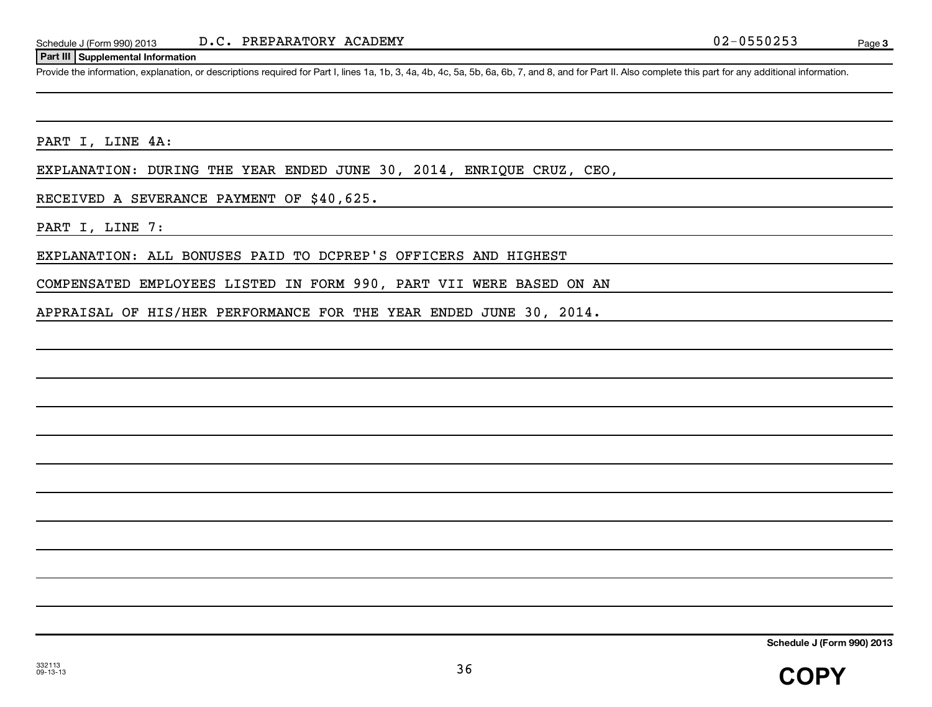#### **Part III Supplemental Information**

Provide the information, explanation, or descriptions required for Part I, lines 1a, 1b, 3, 4a, 4b, 4c, 5a, 5b, 6a, 6b, 7, and 8, and for Part II. Also complete this part for any additional information.

PART I, LINE 4A:

EXPLANATION: DURING THE YEAR ENDED JUNE 30, 2014, ENRIQUE CRUZ, CEO,

RECEIVED A SEVERANCE PAYMENT OF \$40,625.

PART I, LINE 7:

EXPLANATION: ALL BONUSES PAID TO DCPREP'S OFFICERS AND HIGHEST

COMPENSATED EMPLOYEES LISTED IN FORM 990, PART VII WERE BASED ON AN

APPRAISAL OF HIS/HER PERFORMANCE FOR THE YEAR ENDED JUNE 30, 2014.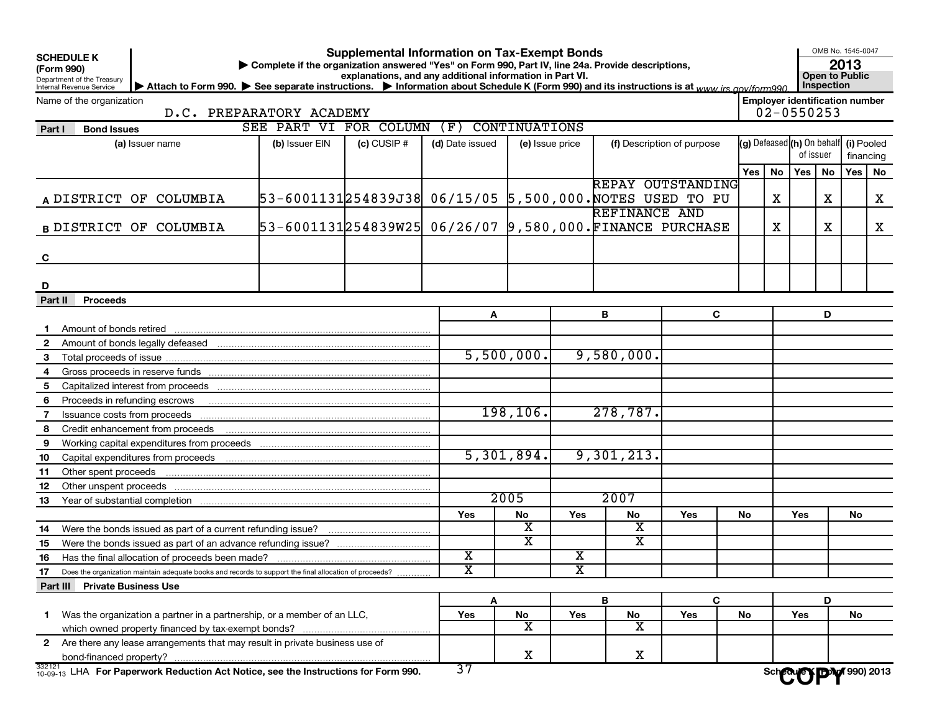**SCHEDULE K**

## Department of the Treasury

#### **Supplemental Information on Tax-Exempt Bonds**

**(Form 990) | Complete if the organization answered "Yes" on Form 990, Part IV, line 24a. Provide descriptions,**

OMB No. 1545-0047

**2013**

Internal Revenue Service **explanations, and any additional information in Part VI.**<br> **Communisty of the Information about Schedule K (Form 990) and its instructions is at www.im.com/form000. Inspection** ▶ Attach to Form 990. ▶ See separate instructions. ▶ Information about Schedule K (Form 990) and its instructions is at <sub>www.irs.gov/form990</sub> │ Inspection

Name of the organization

**Employer identification number**

D.C. PREPARATORY ACADEMY 02-0550253

#### Does the organization maintain adequate books and records to support the final allocation of proceeds? 332121 **Part I Bond Issues (a)** Issuer name **| (b)** Issuer EIN **| (c)** CUSIP # **| (d)** Date issued **| (e)** Issue price **| (f)** Description of purpose **(g)** Defeased **(h)** On behalf| **(i)** Pooled Yes | No | Yes | No | Yes | No A DISTRICT OF COLUMBIA **B** DISTRICT OF COLUMBIA **C D Part II Proceeds A B C D 1** Amount of bonds retired **2** Amount of bonds legally defeased **3** Total proceeds of issue **4** Gross proceeds in reserve funds **5** Capitalized interest from proceeds **6** Proceeds in refunding escrows **contained in the contained of Proceeds** in refunding escrows **7** Issuance costs from proceeds **8** Credit enhancement from proceeds **9 10 11 12 13 14 15 16 17** Yes | No | Yes | No | Yes | No | Yes | No **Part III Private Business Use A B C D 1** Was the organization a partner in a partnership, or a member of an LLC, **2** Are there any lease arrangements that may result in private business use of Yes | No | Yes | No | Yes | No | Yes | No (g) Defeased (h) On behalf of issuer financing Working capital expenditures from proceeds Capital expenditures from proceeds Other spent proceeds Other unspent proceeds Year of substantial completion Were the bonds issued as part of a current refunding issue? Were the bonds issued as part of an advance refunding issue? Has the final allocation of proceeds been made? . . . . . . . . . . . . which owned property financed by tax-exempt bonds? ................ bond-financed property? SEE PART VI FOR COLUMN (F) CONTINUATIONS DISTRICT OF COLUMBIA 53-6001131|254839J38| 06/15/05 5,500,000.NOTES USED TO PU | | X | | X | | X REPAY OUTSTANDING DISTRICT OF COLUMBIA 53-6001131254839W25| 06/26/07 9,580,000.FINANCE PURCHASE | | X | | X | | X REFINANCE AND 5,500,000. 9,580,000. 198,106. 278,787. 5,301,894. 9,301,213. 2005 2007  $\mathbf{x}$  x  $\mathbf{x}$  x  $X$  x  $X$  x  $\mathbf{x}$  x  $\mathbf{x}$  |  $\mathbf{x}$ Sch**edule Y | DDW** 990) 2013

32-14 **For Paperwork Reduction Act Notice, see the Instructions for Form 990.**  $\frac{3}{5}$ / **Schedule K (Form 990) 2013**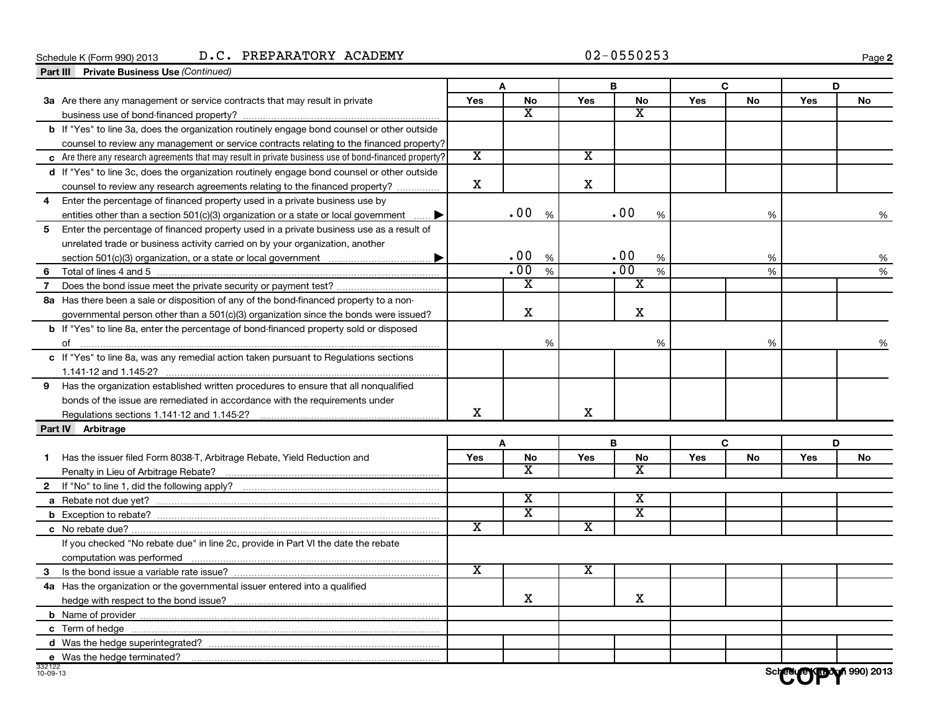#### Schedule K (Form 990) 2013 D • C • PREPARATORY ACADEMY Page

**2**

|                | Part III Private Business Use (Continued)                                                                 |                         |                         |                         |                         |            |           |     |           |
|----------------|-----------------------------------------------------------------------------------------------------------|-------------------------|-------------------------|-------------------------|-------------------------|------------|-----------|-----|-----------|
|                |                                                                                                           |                         | A                       |                         | В                       |            | C         |     | D         |
|                | 3a Are there any management or service contracts that may result in private                               | Yes                     | No                      | Yes                     | No                      | <b>Yes</b> | No        | Yes | No        |
|                |                                                                                                           |                         | x                       |                         | X                       |            |           |     |           |
|                | b If "Yes" to line 3a, does the organization routinely engage bond counsel or other outside               |                         |                         |                         |                         |            |           |     |           |
|                | counsel to review any management or service contracts relating to the financed property?                  |                         |                         |                         |                         |            |           |     |           |
|                | $\,$ Are there any research agreements that may result in private business use of bond-financed property? | $\overline{\mathbf{x}}$ |                         | $\overline{\text{x}}$   |                         |            |           |     |           |
|                | d If "Yes" to line 3c, does the organization routinely engage bond counsel or other outside               |                         |                         |                         |                         |            |           |     |           |
|                | counsel to review any research agreements relating to the financed property?                              | $\mathbf x$             |                         | х                       |                         |            |           |     |           |
| 4              | Enter the percentage of financed property used in a private business use by                               |                         |                         |                         |                         |            |           |     |           |
|                | entities other than a section $501(c)(3)$ organization or a state or local government                     |                         | .00<br>%                |                         | .00<br>%                |            | %         |     | %         |
|                | 5 Enter the percentage of financed property used in a private business use as a result of                 |                         |                         |                         |                         |            |           |     |           |
|                | unrelated trade or business activity carried on by your organization, another                             |                         |                         |                         |                         |            |           |     |           |
|                |                                                                                                           |                         | .00<br>%                |                         | .00<br>%                |            | %         |     | %         |
|                |                                                                                                           |                         | .00<br>$\%$             |                         | $\overline{.00}$<br>%   |            | %         |     | %         |
|                | 7 Does the bond issue meet the private security or payment test?                                          |                         | $\overline{\text{x}}$   |                         | $\overline{\textbf{x}}$ |            |           |     |           |
|                | 8a Has there been a sale or disposition of any of the bond-financed property to a non-                    |                         |                         |                         |                         |            |           |     |           |
|                | governmental person other than a $501(c)(3)$ organization since the bonds were issued?                    |                         | х                       |                         | x                       |            |           |     |           |
|                | <b>b</b> If "Yes" to line 8a, enter the percentage of bond-financed property sold or disposed             |                         |                         |                         |                         |            |           |     |           |
|                |                                                                                                           |                         | %                       |                         | %                       |            | %         |     |           |
|                | c If "Yes" to line 8a, was any remedial action taken pursuant to Regulations sections                     |                         |                         |                         |                         |            |           |     |           |
|                |                                                                                                           |                         |                         |                         |                         |            |           |     |           |
|                | 9 Has the organization established written procedures to ensure that all nonqualified                     |                         |                         |                         |                         |            |           |     |           |
|                | bonds of the issue are remediated in accordance with the requirements under                               |                         |                         |                         |                         |            |           |     |           |
|                | Regulations sections 1.141-12 and 1.145-2?                                                                | х                       |                         | X                       |                         |            |           |     |           |
|                | Part IV Arbitrage                                                                                         |                         |                         |                         |                         |            |           |     |           |
|                |                                                                                                           |                         | A                       |                         | B                       |            | C         |     | D         |
| 1.             | Has the issuer filed Form 8038-T, Arbitrage Rebate, Yield Reduction and                                   | Yes                     | <b>No</b>               | <b>Yes</b>              | <b>No</b>               | Yes        | <b>No</b> | Yes | <b>No</b> |
|                |                                                                                                           |                         | x                       |                         | x                       |            |           |     |           |
|                |                                                                                                           |                         |                         |                         |                         |            |           |     |           |
|                |                                                                                                           |                         | X                       |                         | х                       |            |           |     |           |
|                |                                                                                                           |                         | $\overline{\textbf{x}}$ |                         | $\overline{\textbf{x}}$ |            |           |     |           |
|                |                                                                                                           | X                       |                         | $\overline{\textbf{x}}$ |                         |            |           |     |           |
|                | If you checked "No rebate due" in line 2c, provide in Part VI the date the rebate                         |                         |                         |                         |                         |            |           |     |           |
|                |                                                                                                           |                         |                         |                         |                         |            |           |     |           |
|                |                                                                                                           | $\overline{\text{x}}$   |                         | $\overline{\textbf{x}}$ |                         |            |           |     |           |
|                | 4a Has the organization or the governmental issuer entered into a qualified                               |                         |                         |                         |                         |            |           |     |           |
|                |                                                                                                           |                         | X                       |                         | х                       |            |           |     |           |
|                |                                                                                                           |                         |                         |                         |                         |            |           |     |           |
|                |                                                                                                           |                         |                         |                         |                         |            |           |     |           |
|                |                                                                                                           |                         |                         |                         |                         |            |           |     |           |
|                | e Was the hedge terminated?                                                                               |                         |                         |                         |                         |            |           |     |           |
| $10 - 09 - 13$ |                                                                                                           |                         |                         |                         |                         |            |           |     |           |
|                |                                                                                                           |                         |                         |                         |                         |            |           |     |           |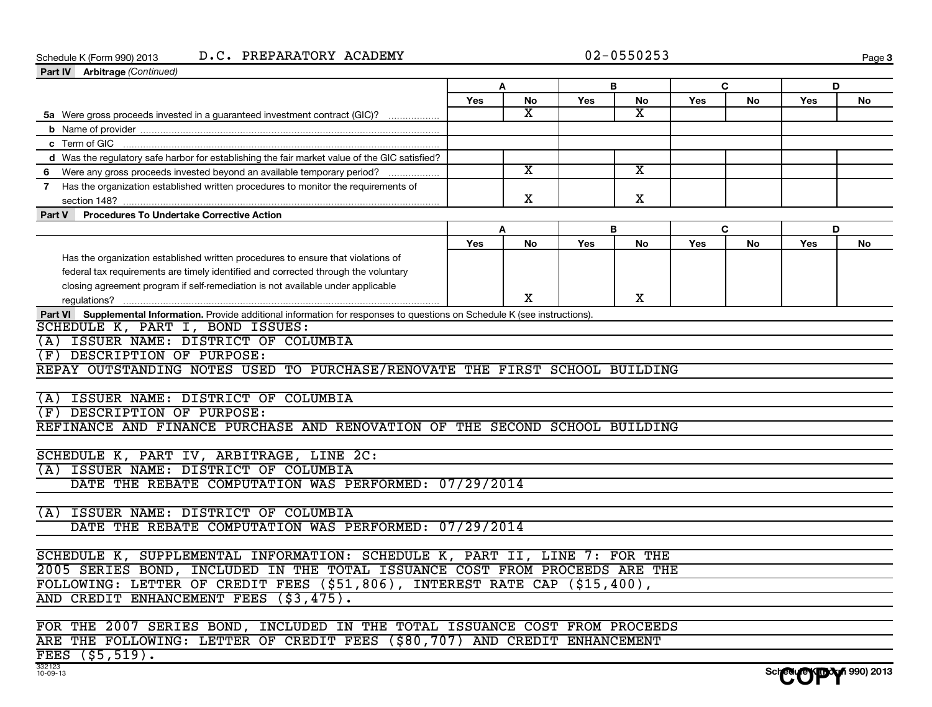#### Schedule K (Form 990) 2013 D • C • PREPARATORY ACADEMY Page

|  | 02-0550253 |  |  |  |  |  |  |  |  |
|--|------------|--|--|--|--|--|--|--|--|
|--|------------|--|--|--|--|--|--|--|--|

**Schedule K (Form 990) 2013** 

| Part IV Arbitrage (Continued)                                                                                                 |     |                         |     |    |     |    |     |    |
|-------------------------------------------------------------------------------------------------------------------------------|-----|-------------------------|-----|----|-----|----|-----|----|
|                                                                                                                               |     | A                       | B   |    |     | C  | D   |    |
|                                                                                                                               | Yes | No                      | Yes | No | Yes | No | Yes | No |
| 5a Were gross proceeds invested in a guaranteed investment contract (GIC)?                                                    |     | x                       |     | x  |     |    |     |    |
|                                                                                                                               |     |                         |     |    |     |    |     |    |
| c Term of GIC                                                                                                                 |     |                         |     |    |     |    |     |    |
| d Was the regulatory safe harbor for establishing the fair market value of the GIC satisfied?                                 |     |                         |     |    |     |    |     |    |
| 6 Were any gross proceeds invested beyond an available temporary period?                                                      |     | $\overline{\mathbf{x}}$ |     | x  |     |    |     |    |
| 7 Has the organization established written procedures to monitor the requirements of                                          |     |                         |     |    |     |    |     |    |
| section 148?                                                                                                                  |     | X                       |     | x  |     |    |     |    |
| Part V Procedures To Undertake Corrective Action                                                                              |     |                         |     |    |     |    |     |    |
|                                                                                                                               |     | A                       | B   |    |     | C  | D   |    |
|                                                                                                                               | Yes | No                      | Yes | No | Yes | No | Yes | No |
| Has the organization established written procedures to ensure that violations of                                              |     |                         |     |    |     |    |     |    |
| federal tax requirements are timely identified and corrected through the voluntary                                            |     |                         |     |    |     |    |     |    |
| closing agreement program if self-remediation is not available under applicable                                               |     |                         |     |    |     |    |     |    |
|                                                                                                                               |     | X                       |     | x  |     |    |     |    |
| Part VI Supplemental Information. Provide additional information for responses to questions on Schedule K (see instructions). |     |                         |     |    |     |    |     |    |
| SCHEDULE K, PART I, BOND ISSUES:                                                                                              |     |                         |     |    |     |    |     |    |
| (A) ISSUER NAME: DISTRICT OF COLUMBIA                                                                                         |     |                         |     |    |     |    |     |    |
| (F) DESCRIPTION OF PURPOSE:                                                                                                   |     |                         |     |    |     |    |     |    |
| REPAY OUTSTANDING NOTES USED TO PURCHASE/RENOVATE THE FIRST SCHOOL BUILDING                                                   |     |                         |     |    |     |    |     |    |
|                                                                                                                               |     |                         |     |    |     |    |     |    |
| (A) ISSUER NAME: DISTRICT OF COLUMBIA                                                                                         |     |                         |     |    |     |    |     |    |
| (F) DESCRIPTION OF PURPOSE:                                                                                                   |     |                         |     |    |     |    |     |    |
| REFINANCE AND FINANCE PURCHASE AND RENOVATION OF THE SECOND SCHOOL BUILDING                                                   |     |                         |     |    |     |    |     |    |
|                                                                                                                               |     |                         |     |    |     |    |     |    |
| SCHEDULE K, PART IV, ARBITRAGE, LINE 2C:                                                                                      |     |                         |     |    |     |    |     |    |
| (A) ISSUER NAME: DISTRICT OF COLUMBIA                                                                                         |     |                         |     |    |     |    |     |    |
| DATE THE REBATE COMPUTATION WAS PERFORMED: 07/29/2014                                                                         |     |                         |     |    |     |    |     |    |
|                                                                                                                               |     |                         |     |    |     |    |     |    |
|                                                                                                                               |     |                         |     |    |     |    |     |    |
| (A) ISSUER NAME: DISTRICT OF COLUMBIA                                                                                         |     |                         |     |    |     |    |     |    |
| DATE THE REBATE COMPUTATION WAS PERFORMED: 07/29/2014                                                                         |     |                         |     |    |     |    |     |    |
|                                                                                                                               |     |                         |     |    |     |    |     |    |
| SCHEDULE K, SUPPLEMENTAL INFORMATION: SCHEDULE K, PART II, LINE 7: FOR THE                                                    |     |                         |     |    |     |    |     |    |
| 2005 SERIES BOND, INCLUDED IN THE TOTAL ISSUANCE COST FROM PROCEEDS ARE THE                                                   |     |                         |     |    |     |    |     |    |
| FOLLOWING: LETTER OF CREDIT FEES (\$51,806), INTEREST RATE CAP (\$15,400),                                                    |     |                         |     |    |     |    |     |    |
| AND CREDIT ENHANCEMENT FEES (\$3,475).                                                                                        |     |                         |     |    |     |    |     |    |
|                                                                                                                               |     |                         |     |    |     |    |     |    |
| FOR THE 2007 SERIES BOND, INCLUDED IN THE TOTAL ISSUANCE COST FROM PROCEEDS                                                   |     |                         |     |    |     |    |     |    |
| ARE THE FOLLOWING: LETTER OF CREDIT FEES (\$80,707) AND CREDIT ENHANCEMENT                                                    |     |                         |     |    |     |    |     |    |
| FEES (\$5,519).                                                                                                               |     |                         |     |    |     |    |     |    |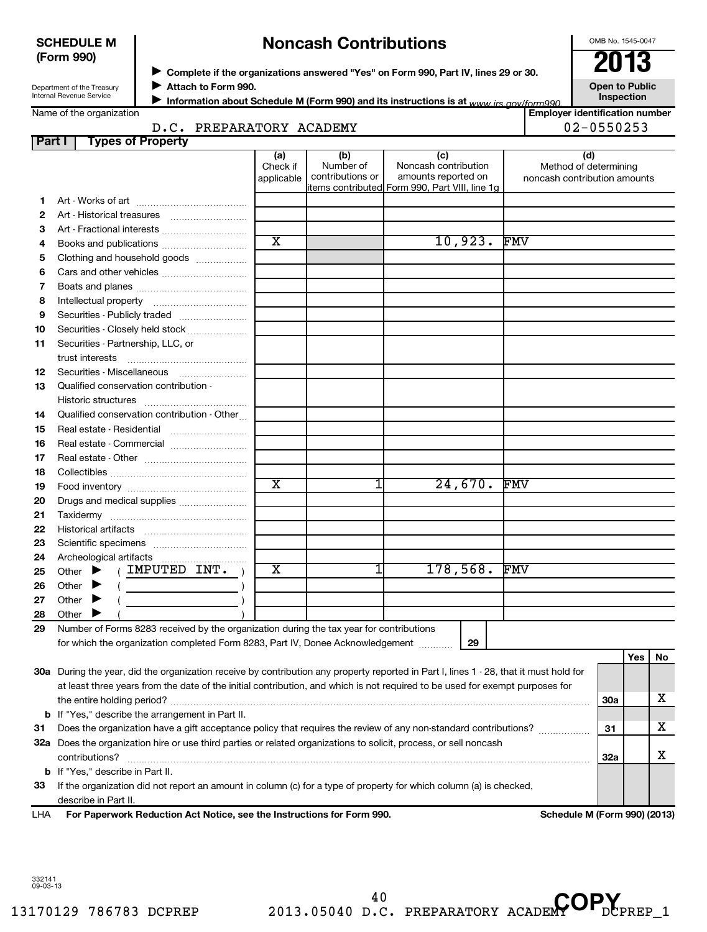#### **SCHEDULE M (Form 990)**

# **Noncash Contributions**

OMB No. 1545-0047

| Department of the Treasury |  |
|----------------------------|--|
| Internal Revenue Service   |  |

Name of the organization

◆ Complete if the organizations answered "Yes" on Form 990, Part IV, lines 29 or 30.<br>▶ Complete if the organizations answered "Yes" on Form 990, Part IV, lines 29 or 30.

**Attach to Form 990.** J

**Information about Schedule M (Form 990) and its instructions is at www irs gov/form990.** 

**Open to Public Inspection**

**Employer identification number**

|               | D.C. PREPARATORY ACADEMY                                                                                                                                                                                                                                                                                                                                                                                                                                                                                                                                                                    |                               |                                      |                                                                                                      |          | 02-0550253                                                   |     |     |           |
|---------------|---------------------------------------------------------------------------------------------------------------------------------------------------------------------------------------------------------------------------------------------------------------------------------------------------------------------------------------------------------------------------------------------------------------------------------------------------------------------------------------------------------------------------------------------------------------------------------------------|-------------------------------|--------------------------------------|------------------------------------------------------------------------------------------------------|----------|--------------------------------------------------------------|-----|-----|-----------|
| <b>Part I</b> | <b>Types of Property</b>                                                                                                                                                                                                                                                                                                                                                                                                                                                                                                                                                                    |                               |                                      |                                                                                                      |          |                                                              |     |     |           |
|               |                                                                                                                                                                                                                                                                                                                                                                                                                                                                                                                                                                                             | (a)<br>Check if<br>applicable | (b)<br>Number of<br>contributions or | (c)<br>Noncash contribution<br>amounts reported on<br>items contributed Form 990, Part VIII, line 1g |          | (d)<br>Method of determining<br>noncash contribution amounts |     |     |           |
| 1.            |                                                                                                                                                                                                                                                                                                                                                                                                                                                                                                                                                                                             |                               |                                      |                                                                                                      |          |                                                              |     |     |           |
| 2             |                                                                                                                                                                                                                                                                                                                                                                                                                                                                                                                                                                                             |                               |                                      |                                                                                                      |          |                                                              |     |     |           |
| з             |                                                                                                                                                                                                                                                                                                                                                                                                                                                                                                                                                                                             |                               |                                      |                                                                                                      |          |                                                              |     |     |           |
| 4             | Books and publications                                                                                                                                                                                                                                                                                                                                                                                                                                                                                                                                                                      | $\overline{\text{x}}$         |                                      |                                                                                                      | 10,923.  | <b>FMV</b>                                                   |     |     |           |
| 5             | Clothing and household goods                                                                                                                                                                                                                                                                                                                                                                                                                                                                                                                                                                |                               |                                      |                                                                                                      |          |                                                              |     |     |           |
| 6             |                                                                                                                                                                                                                                                                                                                                                                                                                                                                                                                                                                                             |                               |                                      |                                                                                                      |          |                                                              |     |     |           |
| 7             |                                                                                                                                                                                                                                                                                                                                                                                                                                                                                                                                                                                             |                               |                                      |                                                                                                      |          |                                                              |     |     |           |
| 8             |                                                                                                                                                                                                                                                                                                                                                                                                                                                                                                                                                                                             |                               |                                      |                                                                                                      |          |                                                              |     |     |           |
| 9             | Securities - Publicly traded                                                                                                                                                                                                                                                                                                                                                                                                                                                                                                                                                                |                               |                                      |                                                                                                      |          |                                                              |     |     |           |
| 10            | Securities - Closely held stock                                                                                                                                                                                                                                                                                                                                                                                                                                                                                                                                                             |                               |                                      |                                                                                                      |          |                                                              |     |     |           |
| 11            | Securities - Partnership, LLC, or                                                                                                                                                                                                                                                                                                                                                                                                                                                                                                                                                           |                               |                                      |                                                                                                      |          |                                                              |     |     |           |
|               | trust interests                                                                                                                                                                                                                                                                                                                                                                                                                                                                                                                                                                             |                               |                                      |                                                                                                      |          |                                                              |     |     |           |
| 12            |                                                                                                                                                                                                                                                                                                                                                                                                                                                                                                                                                                                             |                               |                                      |                                                                                                      |          |                                                              |     |     |           |
| 13            | Qualified conservation contribution -                                                                                                                                                                                                                                                                                                                                                                                                                                                                                                                                                       |                               |                                      |                                                                                                      |          |                                                              |     |     |           |
|               | Historic structures                                                                                                                                                                                                                                                                                                                                                                                                                                                                                                                                                                         |                               |                                      |                                                                                                      |          |                                                              |     |     |           |
| 14            | Qualified conservation contribution - Other                                                                                                                                                                                                                                                                                                                                                                                                                                                                                                                                                 |                               |                                      |                                                                                                      |          |                                                              |     |     |           |
| 15            |                                                                                                                                                                                                                                                                                                                                                                                                                                                                                                                                                                                             |                               |                                      |                                                                                                      |          |                                                              |     |     |           |
| 16            |                                                                                                                                                                                                                                                                                                                                                                                                                                                                                                                                                                                             |                               |                                      |                                                                                                      |          |                                                              |     |     |           |
| 17            |                                                                                                                                                                                                                                                                                                                                                                                                                                                                                                                                                                                             |                               |                                      |                                                                                                      |          |                                                              |     |     |           |
| 18            |                                                                                                                                                                                                                                                                                                                                                                                                                                                                                                                                                                                             |                               |                                      |                                                                                                      |          |                                                              |     |     |           |
| 19            |                                                                                                                                                                                                                                                                                                                                                                                                                                                                                                                                                                                             | $\overline{\text{x}}$         | 1                                    |                                                                                                      | 24,670.  | <b>FMV</b>                                                   |     |     |           |
| 20            | Drugs and medical supplies                                                                                                                                                                                                                                                                                                                                                                                                                                                                                                                                                                  |                               |                                      |                                                                                                      |          |                                                              |     |     |           |
| 21            |                                                                                                                                                                                                                                                                                                                                                                                                                                                                                                                                                                                             |                               |                                      |                                                                                                      |          |                                                              |     |     |           |
| 22            |                                                                                                                                                                                                                                                                                                                                                                                                                                                                                                                                                                                             |                               |                                      |                                                                                                      |          |                                                              |     |     |           |
| 23            |                                                                                                                                                                                                                                                                                                                                                                                                                                                                                                                                                                                             |                               |                                      |                                                                                                      |          |                                                              |     |     |           |
| 24            |                                                                                                                                                                                                                                                                                                                                                                                                                                                                                                                                                                                             |                               |                                      |                                                                                                      |          |                                                              |     |     |           |
| 25            | ( IMPUTED INT.<br>Other $\blacktriangleright$                                                                                                                                                                                                                                                                                                                                                                                                                                                                                                                                               | х                             | 1                                    |                                                                                                      | 178,568. | <b>FMV</b>                                                   |     |     |           |
| 26            | Other<br>$\left(\begin{array}{ccc} \begin{array}{ccc} \end{array} & \begin{array}{ccc} \end{array} & \begin{array}{ccc} \end{array} & \begin{array}{ccc} \end{array} & \begin{array}{ccc} \end{array} & \begin{array}{ccc} \end{array} & \begin{array}{ccc} \end{array} & \begin{array}{ccc} \end{array} & \begin{array}{ccc} \end{array} & \begin{array}{ccc} \end{array} & \begin{array}{ccc} \end{array} & \begin{array}{ccc} \end{array} & \begin{array}{ccc} \end{array} & \begin{array}{ccc} \end{array} & \begin{array}{ccc} \end{array} & \begin{array}{ccc} \end{array} & \begin{$ |                               |                                      |                                                                                                      |          |                                                              |     |     |           |
| 27            | Other<br>$\blacktriangleright$                                                                                                                                                                                                                                                                                                                                                                                                                                                                                                                                                              |                               |                                      |                                                                                                      |          |                                                              |     |     |           |
| 28            | Other                                                                                                                                                                                                                                                                                                                                                                                                                                                                                                                                                                                       |                               |                                      |                                                                                                      |          |                                                              |     |     |           |
| 29            | Number of Forms 8283 received by the organization during the tax year for contributions                                                                                                                                                                                                                                                                                                                                                                                                                                                                                                     |                               |                                      |                                                                                                      |          |                                                              |     |     |           |
|               | for which the organization completed Form 8283, Part IV, Donee Acknowledgement                                                                                                                                                                                                                                                                                                                                                                                                                                                                                                              |                               |                                      |                                                                                                      | 29       |                                                              |     |     |           |
|               |                                                                                                                                                                                                                                                                                                                                                                                                                                                                                                                                                                                             |                               |                                      |                                                                                                      |          |                                                              |     | Yes | <b>No</b> |
|               | 30a During the year, did the organization receive by contribution any property reported in Part I, lines 1 - 28, that it must hold for                                                                                                                                                                                                                                                                                                                                                                                                                                                      |                               |                                      |                                                                                                      |          |                                                              |     |     |           |
|               | at least three years from the date of the initial contribution, and which is not required to be used for exempt purposes for                                                                                                                                                                                                                                                                                                                                                                                                                                                                |                               |                                      |                                                                                                      |          |                                                              |     |     |           |
|               |                                                                                                                                                                                                                                                                                                                                                                                                                                                                                                                                                                                             |                               |                                      |                                                                                                      |          |                                                              | 30a |     | x         |
|               | <b>b</b> If "Yes," describe the arrangement in Part II.                                                                                                                                                                                                                                                                                                                                                                                                                                                                                                                                     |                               |                                      |                                                                                                      |          |                                                              |     |     |           |
| 31            | Does the organization have a gift acceptance policy that requires the review of any non-standard contributions?                                                                                                                                                                                                                                                                                                                                                                                                                                                                             |                               |                                      |                                                                                                      |          |                                                              | 31  |     | x         |
|               | 32a Does the organization hire or use third parties or related organizations to solicit, process, or sell noncash                                                                                                                                                                                                                                                                                                                                                                                                                                                                           |                               |                                      |                                                                                                      |          |                                                              |     |     |           |
|               | contributions?                                                                                                                                                                                                                                                                                                                                                                                                                                                                                                                                                                              |                               |                                      |                                                                                                      |          |                                                              | 32a |     | x         |
|               | <b>b</b> If "Yes," describe in Part II.                                                                                                                                                                                                                                                                                                                                                                                                                                                                                                                                                     |                               |                                      |                                                                                                      |          |                                                              |     |     |           |
| 33            | If the organization did not report an amount in column (c) for a type of property for which column (a) is checked,                                                                                                                                                                                                                                                                                                                                                                                                                                                                          |                               |                                      |                                                                                                      |          |                                                              |     |     |           |
|               | describe in Part II.                                                                                                                                                                                                                                                                                                                                                                                                                                                                                                                                                                        |                               |                                      |                                                                                                      |          |                                                              |     |     |           |
| LHA           | For Paperwork Reduction Act Notice, see the Instructions for Form 990.                                                                                                                                                                                                                                                                                                                                                                                                                                                                                                                      |                               |                                      |                                                                                                      |          | Schedule M (Form 990) (2013)                                 |     |     |           |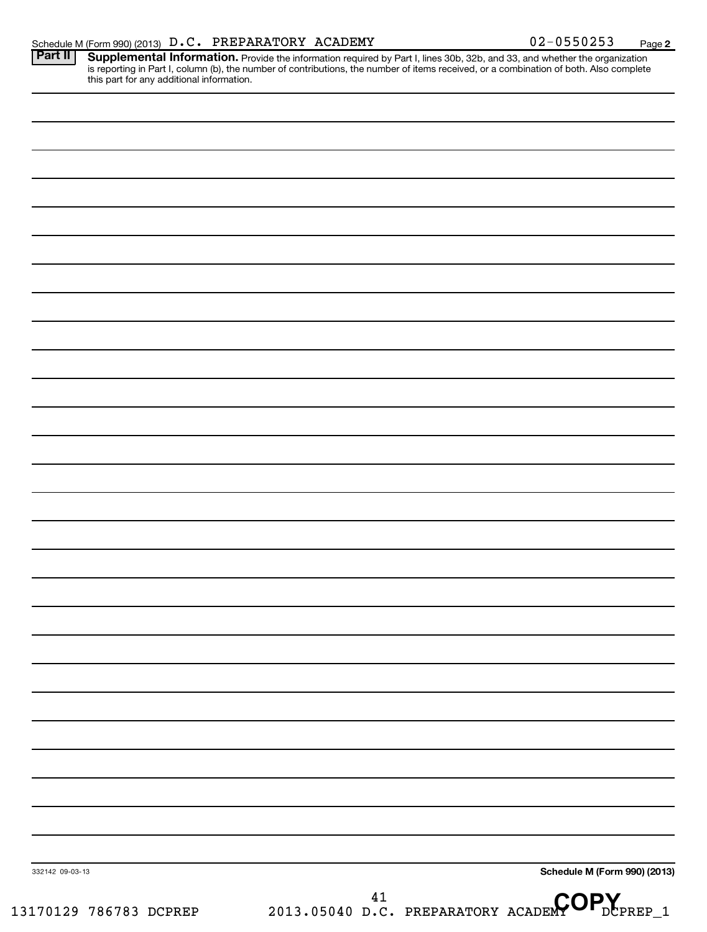| Part II   Supplemental Information. Provide the information required by Part I, lines 30b, 32b, and 33, and whether the organization   |
|----------------------------------------------------------------------------------------------------------------------------------------|
| is reporting in Part I, column (b), the number of contributions, the number of items received, or a combination of both. Also complete |
| this part for any additional information.                                                                                              |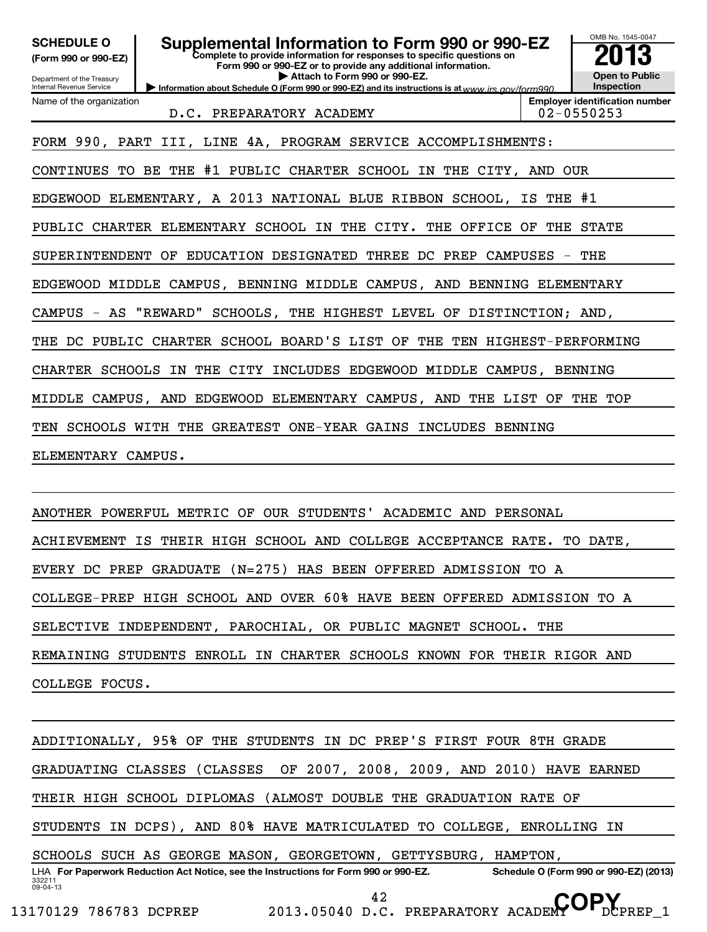| <b>SCHEDULE O</b><br>(Form 990 or 990-EZ)<br>Department of the Treasury  | Supplemental Information to Form 990 or 990-EZ<br>Complete to provide information for responses to specific questions on<br>Form 990 or 990-EZ or to provide any additional information.<br>Attach to Form 990 or 990-EZ. |  | OMB No. 1545-0047<br>$\ddot{13}$<br><b>Open to Public</b> |  |  |
|--------------------------------------------------------------------------|---------------------------------------------------------------------------------------------------------------------------------------------------------------------------------------------------------------------------|--|-----------------------------------------------------------|--|--|
| <b>Internal Revenue Service</b>                                          | Information about Schedule O (Form 990 or 990-EZ) and its instructions is at www irs gov/form990                                                                                                                          |  | Inspection                                                |  |  |
| Name of the organization                                                 |                                                                                                                                                                                                                           |  | <b>Employer identification number</b>                     |  |  |
|                                                                          | D.C. PREPARATORY ACADEMY                                                                                                                                                                                                  |  | $02 - 0550253$                                            |  |  |
| FORM 990, PART III, LINE 4A, PROGRAM SERVICE ACCOMPLISHMENTS:            |                                                                                                                                                                                                                           |  |                                                           |  |  |
| CONTINUES TO BE THE #1 PUBLIC CHARTER SCHOOL IN THE CITY, AND OUR        |                                                                                                                                                                                                                           |  |                                                           |  |  |
| EDGEWOOD ELEMENTARY, A 2013 NATIONAL BLUE RIBBON SCHOOL, IS THE #1       |                                                                                                                                                                                                                           |  |                                                           |  |  |
| PUBLIC CHARTER ELEMENTARY SCHOOL IN THE CITY. THE OFFICE OF<br>THE STATE |                                                                                                                                                                                                                           |  |                                                           |  |  |
| SUPERINTENDENT OF EDUCATION DESIGNATED THREE DC PREP CAMPUSES - THE      |                                                                                                                                                                                                                           |  |                                                           |  |  |
| EDGEWOOD MIDDLE CAMPUS, BENNING MIDDLE CAMPUS, AND BENNING ELEMENTARY    |                                                                                                                                                                                                                           |  |                                                           |  |  |
| CAMPUS - AS "REWARD" SCHOOLS, THE HIGHEST LEVEL OF DISTINCTION; AND,     |                                                                                                                                                                                                                           |  |                                                           |  |  |
| THE DC PUBLIC CHARTER SCHOOL BOARD'S LIST OF THE TEN HIGHEST-PERFORMING  |                                                                                                                                                                                                                           |  |                                                           |  |  |
| CHARTER SCHOOLS IN THE CITY INCLUDES EDGEWOOD MIDDLE CAMPUS, BENNING     |                                                                                                                                                                                                                           |  |                                                           |  |  |
| MIDDLE CAMPUS, AND EDGEWOOD ELEMENTARY CAMPUS, AND THE LIST OF THE TOP   |                                                                                                                                                                                                                           |  |                                                           |  |  |
| TEN SCHOOLS WITH THE GREATEST ONE-YEAR GAINS INCLUDES BENNING            |                                                                                                                                                                                                                           |  |                                                           |  |  |
| ELEMENTARY CAMPUS.                                                       |                                                                                                                                                                                                                           |  |                                                           |  |  |
|                                                                          |                                                                                                                                                                                                                           |  |                                                           |  |  |

ANOTHER POWERFUL METRIC OF OUR STUDENTS' ACADEMIC AND PERSONAL ACHIEVEMENT IS THEIR HIGH SCHOOL AND COLLEGE ACCEPTANCE RATE. TO DATE, EVERY DC PREP GRADUATE (N=275) HAS BEEN OFFERED ADMISSION TO A COLLEGE-PREP HIGH SCHOOL AND OVER 60% HAVE BEEN OFFERED ADMISSION TO A SELECTIVE INDEPENDENT, PAROCHIAL, OR PUBLIC MAGNET SCHOOL. THE REMAINING STUDENTS ENROLL IN CHARTER SCHOOLS KNOWN FOR THEIR RIGOR AND COLLEGE FOCUS.

332211 09-04-13 LHA For Paperwork Reduction Act Notice, see the Instructions for Form 990 or 990-EZ. Schedule O (Form 990 or 990-EZ) (2013) ADDITIONALLY, 95% OF THE STUDENTS IN DC PREP'S FIRST FOUR 8TH GRADE GRADUATING CLASSES (CLASSES OF 2007, 2008, 2009, AND 2010) HAVE EARNED THEIR HIGH SCHOOL DIPLOMAS (ALMOST DOUBLE THE GRADUATION RATE OF STUDENTS IN DCPS), AND 80% HAVE MATRICULATED TO COLLEGE, ENROLLING IN SCHOOLS SUCH AS GEORGE MASON, GEORGETOWN, GETTYSBURG, HAMPTON, <sup>42</sup> D.C. PREPARATORY ACADEMY OP.

13170129 786783 DCPREP 2013.05040 D.C. PREPARATORY ACADEMY DCPREP\_1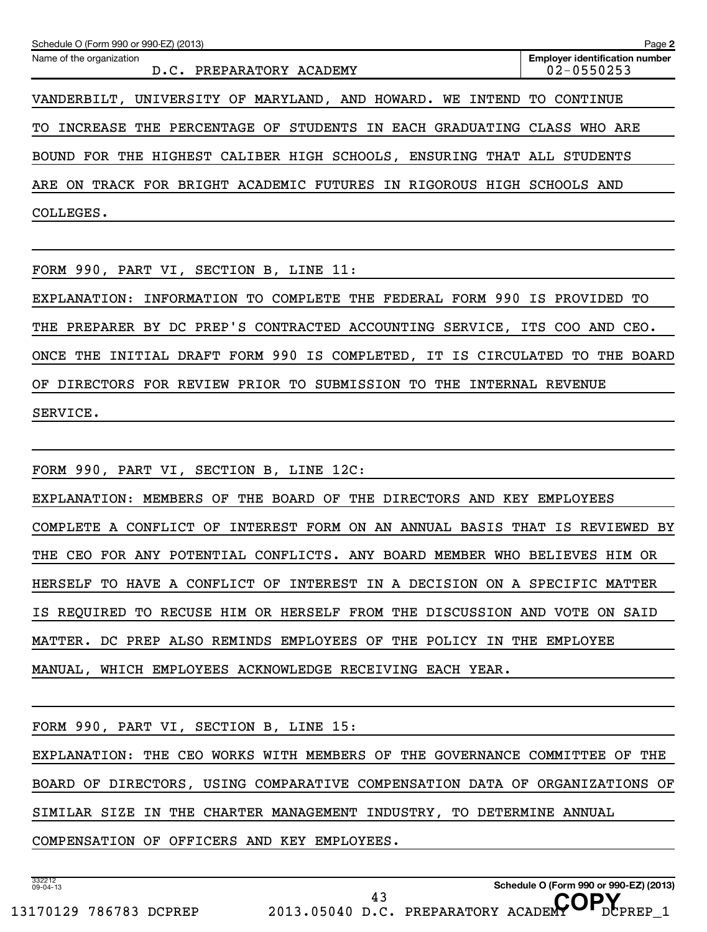| Schedule O (Form 990 or 990-EZ) (2013)                                      | Page 2                                              |  |
|-----------------------------------------------------------------------------|-----------------------------------------------------|--|
| Name of the organization<br>D.C. PREPARATORY ACADEMY                        | <b>Employer identification number</b><br>02-0550253 |  |
| VANDERBILT, UNIVERSITY OF MARYLAND, AND HOWARD.<br>WE INTEND TO             | CONTINUE                                            |  |
| INCREASE THE PERCENTAGE OF STUDENTS IN EACH GRADUATING CLASS WHO ARE<br>TO. |                                                     |  |
| THE HIGHEST CALIBER HIGH SCHOOLS, ENSURING THAT ALL<br>FOR<br><b>BOUND</b>  | STUDENTS                                            |  |
| TRACK FOR BRIGHT ACADEMIC FUTURES IN RIGOROUS HIGH<br>ARE<br>ON             | SCHOOLS AND                                         |  |
| COLLEGES.                                                                   |                                                     |  |
|                                                                             |                                                     |  |
| FORM 990, PART VI, SECTION B, LINE 11:                                      |                                                     |  |
| FEDERAL FORM 990<br>COMPLETE<br>THE<br>EXPLANATION:<br>INFORMATION<br>TO.   | IS<br>PROVIDED<br>TО                                |  |

THE PREPARER BY DC PREP'S CONTRACTED ACCOUNTING SERVICE, ITS COO AND CEO. ONCE THE INITIAL DRAFT FORM 990 IS COMPLETED, IT IS CIRCULATED TO THE BOARD OF DIRECTORS FOR REVIEW PRIOR TO SUBMISSION TO THE INTERNAL REVENUE SERVICE.

FORM 990, PART VI, SECTION B, LINE 12C: EXPLANATION: MEMBERS OF THE BOARD OF THE DIRECTORS AND KEY EMPLOYEES COMPLETE A CONFLICT OF INTEREST FORM ON AN ANNUAL BASIS THAT IS REVIEWED BY THE CEO FOR ANY POTENTIAL CONFLICTS. ANY BOARD MEMBER WHO BELIEVES HIM OR HERSELF TO HAVE A CONFLICT OF INTEREST IN A DECISION ON A SPECIFIC MATTER IS REQUIRED TO RECUSE HIM OR HERSELF FROM THE DISCUSSION AND VOTE ON SAID MATTER. DC PREP ALSO REMINDS EMPLOYEES OF THE POLICY IN THE EMPLOYEE MANUAL, WHICH EMPLOYEES ACKNOWLEDGE RECEIVING EACH YEAR.

FORM 990, PART VI, SECTION B, LINE 15: EXPLANATION: THE CEO WORKS WITH MEMBERS OF THE GOVERNANCE COMMITTEE OF THE BOARD OF DIRECTORS, USING COMPARATIVE COMPENSATION DATA OF ORGANIZATIONS OF SIMILAR SIZE IN THE CHARTER MANAGEMENT INDUSTRY, TO DETERMINE ANNUAL COMPENSATION OF OFFICERS AND KEY EMPLOYEES.

332212 09-04-13